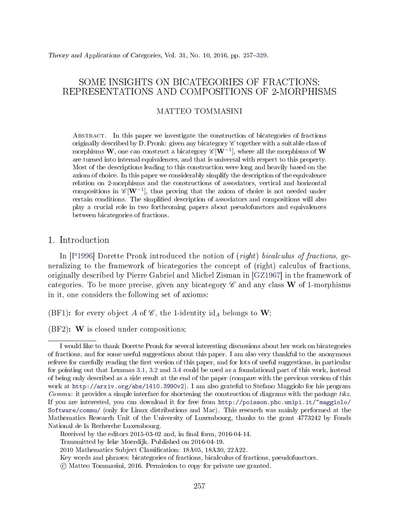# SOME INSIGHTS ON BICATEGORIES OF FRACTIONS: REPRESENTATIONS AND COMPOSITIONS OF 2-MORPHISMS

# MATTEO TOMMASINI

Abstract. In this paper we investigate the construction of bicategories of fractions originally described by D. Pronk: given any bicategory  $\mathscr C$  together with a suitable class of morphisms  $\bf{W},$  one can construct a bicategory  $\mathscr{C}[\bf{W}^{-1}],$  where all the morphisms of  $\bf{W}$ are turned into internal equivalences, and that is universal with respect to this property. Most of the descriptions leading to this construction were long and heavily based on the axiom of choice. In this paper we considerably simplify the description of the equivalence relation on 2-morphisms and the constructions of associators, vertical and horizontal compositions in  $\mathscr{C}[\mathbf{W}^{-1}]$ , thus proving that the axiom of choice is not needed under certain conditions. The simplied description of associators and compositions will also play a crucial role in two forthcoming papers about pseudofunctors and equivalences between bicategories of fractions.

# <span id="page-0-0"></span>1. Introduction

In [\[P1996\]](#page-71-1) Dorette Pronk introduced the notion of (right) bicalculus of fractions, generalizing to the framework of bicategories the concept of (right) calculus of fractions, originally described by Pierre Gabriel and Michel Zisman in [\[GZ1967\]](#page-71-2) in the framework of categories. To be more precise, given any bicategory  $\mathscr C$  and any class **W** of 1-morphisms in it, one considers the following set of axioms:

<span id="page-0-1"></span>(BF1): for every object A of  $\mathscr{C}$ , the 1-identity id<sub>A</sub> belongs to **W**;

<span id="page-0-2"></span>(BF2): W is closed under compositions;

I would like to thank Dorette Pronk for several interesting discussions about her work on bicategories of fractions, and for some useful suggestions about this paper. I am also very thankful to the anonymous referee for carefully reading the first version of this paper, and for lots of useful suggestions, in particular for pointing out that Lemmas [3.1,](#page-11-0) [3.2](#page-15-0) and [3.4](#page-17-0) could be used as a foundational part of this work, instead of being only described as a side result at the end of the paper (compare with the previous version of this work at [http://arxiv.org/abs/1410.3990v2\)](http://arxiv.org/abs/1410.3990v2). I am also grateful to Stefano Maggiolo for his program Commu: it provides a simple interface for shortening the construction of diagrams with the package tikz. If you are interested, you can download it for free from [http://poisson.phc.unipi.it/~maggiolo/](http://poisson.phc.unipi.it/~maggiolo/Software/commu/) [Software/commu/](http://poisson.phc.unipi.it/~maggiolo/Software/commu/) (only for Linux distributions and Mac). This research was mainly performed at the Mathematics Research Unit of the University of Luxembourg, thanks to the grant 4773242 by Fonds National de la Recherche Luxembourg.

Received by the editors  $2015-03-02$  and, in final form,  $2016-04-14$ .

Transmitted by Ieke Moerdijk. Published on 2016-04-19.

<sup>2010</sup> Mathematics Subject Classification: 18A05, 18A30, 22A22.

Key words and phrases: bicategories of fractions, bicalculus of fractions, pseudofunctors.

c Matteo Tommasini, 2016. Permission to copy for private use granted.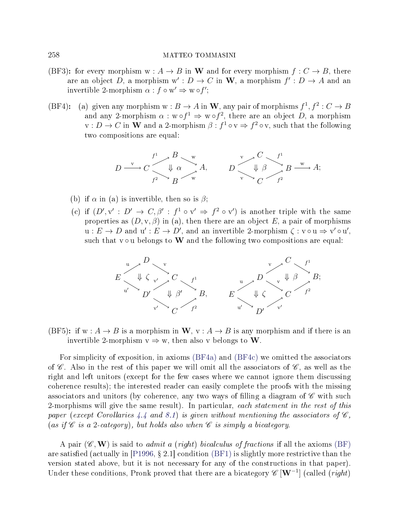- <span id="page-1-2"></span>(BF3): for every morphism  $w : A \to B$  in W and for every morphism  $f : C \to B$ , there are an object D, a morphism  $w': D \to C$  in W, a morphism  $f': D \to A$  and an invertible 2-morphism  $\alpha : f \circ w' \Rightarrow w \circ f'$ ;
- <span id="page-1-4"></span><span id="page-1-0"></span>(BF4): (a) given any morphism  $w : B \to A$  in W, any pair of morphisms  $f^1, f^2 : C \to B$ and any 2-morphism  $\alpha : w \circ f^1 \Rightarrow w \circ f^2$ , there are an object D, a morphism  $v: D \to C$  in W and a 2-morphism  $\beta: f^1 \circ v \Rightarrow f^2 \circ v$ , such that the following two compositions are equal:

$$
D \xrightarrow{v} C \xrightarrow{f^1} B \xrightarrow{w} A, \qquad D \xrightarrow{v} C \xrightarrow{f^1} B \xrightarrow{w} A;
$$
  

$$
D \xrightarrow{v} C \xrightarrow{f^1} B \xrightarrow{w} A;
$$

- <span id="page-1-5"></span>(b) if  $\alpha$  in (a) is invertible, then so is  $\beta$ ;
- <span id="page-1-1"></span>(c) if  $(D', v' : D' \to C, \beta' : f^1 \circ v' \Rightarrow f^2 \circ v'$  is another triple with the same properties as  $(D, v, \beta)$  in (a), then there are an object E, a pair of morphisms  $u: E \to D$  and  $u': E \to D'$ , and an invertible 2-morphism  $\zeta: v \circ u \Rightarrow v' \circ u'$ , such that  $v \circ u$  belongs to W and the following two compositions are equal:



<span id="page-1-3"></span>(BF5): if  $w : A \rightarrow B$  is a morphism in  $W$ ,  $v : A \rightarrow B$  is any morphism and if there is an invertible 2-morphism  $v \Rightarrow w$ , then also v belongs to W.

For simplicity of exposition, in axioms [\(BF4a\)](#page-1-0) and [\(BF4c\)](#page-1-1) we omitted the associators of  $\mathscr C$ . Also in the rest of this paper we will omit all the associators of  $\mathscr C$ , as well as the right and left unitors (except for the few cases where we cannot ignore them discussing coherence results); the interested reader can easily complete the proofs with the missing associators and unitors (by coherence, any two ways of filling a diagram of  $\mathscr C$  with such 2-morphisms will give the same result). In particular, each statement in the rest of this paper (except Corollaries [4.4](#page-29-0) and [8.1\)](#page-57-0) is given without mentioning the associators of  $\mathscr{C}$ , (as if  $\mathscr C$  is a 2-category), but holds also when  $\mathscr C$  is simply a bicategory.

A pair  $(\mathscr{C}, \mathbf{W})$  is said to *admit a (right) bicalculus of fractions* if all the axioms [\(BF\)](#page-0-0) are satisfied (actually in [\[P1996,](#page-71-1) § 2.1] condition [\(BF1\)](#page-0-1) is slightly more restrictive than the version stated above, but it is not necessary for any of the constructions in that paper). Under these conditions, Pronk proved that there are a bicategory  $\mathscr{C}[\mathbf{W}^{-1}]$  (called (right)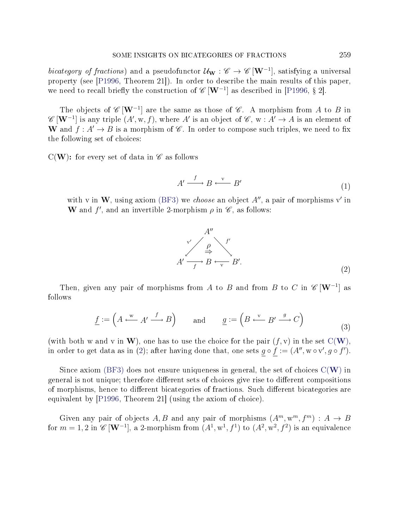bicategory of fractions) and a pseudofunctor  $\mathcal{U}_{\mathbf{W}} : \mathscr{C} \to \mathscr{C}[\mathbf{W}^{-1}]$ , satisfying a universal property (see [\[P1996,](#page-71-1) Theorem 21]). In order to describe the main results of this paper, we need to recall briefly the construction of  $\mathscr{C}[\mathbf{W}^{-1}]$  as described in [\[P1996,](#page-71-1) § 2].

The objects of  $\mathscr{C}[\mathbf{W}^{-1}]$  are the same as those of  $\mathscr{C}$ . A morphism from A to B in  $\mathscr{C}\left[\mathbf{W}^{-1}\right]$  is any triple  $(A', w, f)$ , where  $A'$  is an object of  $\mathscr{C}, w : A' \to A$  is an element of W and  $f: A' \to B$  is a morphism of  $\mathscr C$ . In order to compose such triples, we need to fix the following set of choices:

<span id="page-2-3"></span><span id="page-2-0"></span> $C(W)$ : for every set of data in  $\mathscr C$  as follows

$$
A' \xrightarrow{f} B \xleftarrow{\mathbf{v}} B'
$$
 (1)

<span id="page-2-1"></span>with v in W, using axiom [\(BF3\)](#page-1-2) we *choose* an object  $A''$ , a pair of morphisms v' in W and  $f'$ , and an invertible 2-morphism  $\rho$  in  $\mathscr{C}$ , as follows:

$$
A'' \xrightarrow{\rho} A'
$$
  
\n
$$
A' \xrightarrow{f'} B \xleftarrow{f'} B'
$$
 (2)

<span id="page-2-2"></span>Then, given any pair of morphisms from A to B and from B to C in  $\mathscr{C}[\mathbf{W}^{-1}]$  as follows

$$
\underline{f} := \left( A \stackrel{\text{w}}{\longleftarrow} A' \stackrel{f}{\longrightarrow} B \right) \qquad \text{and} \qquad \underline{g} := \left( B \stackrel{\text{v}}{\longleftarrow} B' \stackrel{g}{\longrightarrow} C \right) \tag{3}
$$

(with both w and v in [W](#page-2-0)), one has to use the choice for the pair  $(f, v)$  in the set  $C(W)$ . in order to get data as in [\(2\)](#page-2-1); after having done that, one sets  $g \circ f := (A'', \mathbf{w} \circ \mathbf{v}', g \circ f')$ .

Since axiom [\(BF3\)](#page-1-2) does not ensure uniqueness in general, the set of choices  $C(W)$  $C(W)$  $C(W)$  in general is not unique; therefore different sets of choices give rise to different compositions of morphisms, hence to different bicategories of fractions. Such different bicategories are equivalent by [\[P1996,](#page-71-1) Theorem 21] (using the axiom of choice).

Given any pair of objects A, B and any pair of morphisms  $(A^m, w^m, f^m) : A \to B$ for  $m=1,2$  in  $\mathscr{C}\left[{\bf W}^{-1}\right]$ , a 2-morphism from  $(A^{1},\text{w}^{1},f^{1})$  to  $(A^{2},\text{w}^{2},f^{2})$  is an equivalence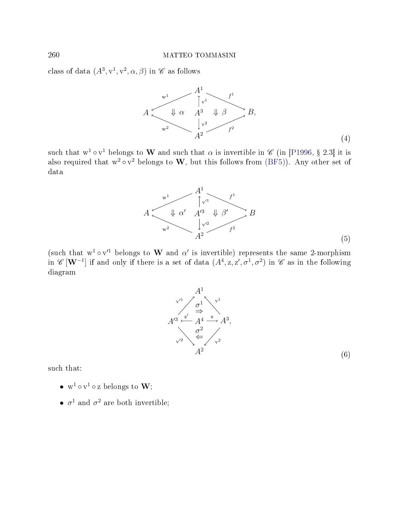<span id="page-3-0"></span>class of data  $(A^3, v^1, v^2, \alpha, \beta)$  in  $\mathscr C$  as follows



<span id="page-3-1"></span>such that  $w^1 \circ v^1$  belongs to  $\bf{W}$  and such that  $\alpha$  is invertible in  $\mathscr{C}$  (in [\[P1996,](#page-71-1) § 2.3] it is also required that  $w^2 \circ v^2$  belongs to  $W$ , but this follows from [\(BF5\)](#page-1-3)). Any other set of data



(such that  $w^1 \circ v'^1$  belongs to W and  $\alpha'$  is invertible) represents the same 2-morphism in  $\mathscr{C}\left[\mathbf{W}^{-1}\right]$  if and only if there is a set of data  $(A^{4}, z, z', \sigma^{1}, \sigma^{2})$  in  $\mathscr{C}$  as in the following diagram



such that:

- $w^1 \circ v^1 \circ z$  belongs to  $W$ ;
- $\sigma^1$  and  $\sigma^2$  are both invertible;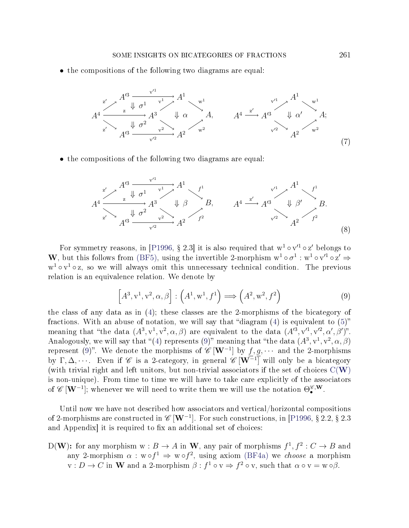• the compositions of the following two diagrams are equal:



• the compositions of the following two diagrams are equal:

$$
A^{4} \xrightarrow{\begin{array}{c} \mathbf{z'} & A'^{3} & \mathbf{v'}^{1} \\ \hline \mathbf{z'} & \mathbf{z'} & \mathbf{z'}^{1} \\ \mathbf{z'} & \mathbf{z'} & \mathbf{z'}^{2} \end{array}} A^{3} \qquad \qquad \mathbf{z'}^{1} \qquad \qquad \mathbf{z'}^{1} \qquad \qquad \mathbf{z'}^{1} \qquad \qquad \mathbf{z'}^{1} \qquad \qquad \mathbf{z'}^{1} \qquad \qquad \mathbf{z'}^{1} \qquad \qquad \mathbf{z'}^{1} \qquad \qquad \mathbf{z'}^{1} \qquad \qquad \mathbf{z'}^{1} \qquad \qquad \mathbf{z'}^{1} \qquad \qquad \mathbf{z'}^{1} \qquad \qquad \mathbf{z'}^{1} \qquad \qquad \mathbf{z'}^{1} \qquad \qquad \mathbf{z'}^{1} \qquad \qquad \mathbf{z'}^{1} \qquad \qquad \mathbf{z'}^{1} \qquad \qquad \mathbf{z'}^{1} \qquad \qquad \mathbf{z'}^{1} \qquad \qquad \mathbf{z'}^{1} \qquad \qquad \mathbf{z'}^{1} \qquad \qquad \mathbf{z'}^{1} \qquad \qquad \mathbf{z'}^{1} \qquad \qquad \mathbf{z'}^{1} \qquad \qquad \mathbf{z'}^{1} \qquad \qquad \mathbf{z'}^{1} \qquad \qquad \mathbf{z'}^{1} \qquad \qquad \mathbf{z'}^{1} \qquad \qquad \mathbf{z'}^{1} \qquad \qquad \mathbf{z'}^{1} \qquad \qquad \mathbf{z'}^{1} \qquad \qquad \mathbf{z'}^{1} \qquad \qquad \mathbf{z'}^{1} \qquad \qquad \mathbf{z'}^{1} \qquad \qquad \mathbf{z'}^{1} \qquad \qquad \mathbf{z'}^{1} \qquad \qquad \mathbf{z'}^{1} \qquad \qquad \mathbf{z'}^{1} \qquad \qquad \mathbf{z'}^{1} \qquad \qquad \mathbf{z'}^{1} \qquad \qquad \mathbf{z'}^{1} \qquad \qquad \mathbf{z'}^{1} \qquad \qquad \mathbf{z'}^{1} \qquad \qquad \mathbf{z'}^{1} \qquad \qquad \mathbf{z'}^{1} \qquad
$$

For symmetry reasons, in [\[P1996,](#page-71-1) § 2.3] it is also required that  $w<sup>1</sup> \circ v'^{1} \circ z'$  belongs to W, but this follows from [\(BF5\)](#page-1-3), using the invertible 2-morphism  $w^1 \circ \sigma^1 : w^1 \circ v'^1 \circ z' \Rightarrow$  $w<sup>1</sup> \circ v<sup>1</sup> \circ z$ , so we will always omit this unnecessary technical condition. The previous relation is an equivalence relation. We denote by

$$
\left[A^3, \mathbf{v}^1, \mathbf{v}^2, \alpha, \beta\right] : \left(A^1, \mathbf{w}^1, f^1\right) \Longrightarrow \left(A^2, \mathbf{w}^2, f^2\right) \tag{9}
$$

<span id="page-4-0"></span>the class of any data as in [\(4\)](#page-3-0); these classes are the 2-morphisms of the bicategory of fractions. With an abuse of notation, we will say that "diagram  $(4)$  is equivalent to  $(5)$ " meaning that "the data  $(A^3, v^1, v^2, \alpha, \beta)$  are equivalent to the data  $(A^{\prime 3}, v^{\prime 1}, v^{\prime 2}, \alpha^{\prime}, \beta^{\prime})$ ". Analogously, we will say that "[\(4\)](#page-3-0) represents [\(9\)](#page-4-0)" meaning that "the data  $(A^3, v^1, v^2, \alpha, \beta)$ represent [\(9\)](#page-4-0)". We denote the morphisms of  $\mathscr{C}\left[\mathbf{W}^{-1}\right]$  by  $f,g,\cdots$  and the 2-morphisms by  $\Gamma, \Delta, \cdots$ . Even if  $\mathscr C$  is a 2-category, in general  $\mathscr C$   $[\mathbf{W}^{-1}]$  will only be a bicategory (with trivial right and left unitors, but non-trivial associators if the set of choices  $C(W)$  $C(W)$  $C(W)$ is non-unique). From time to time we will have to take care explicitly of the associators of  $\mathscr{C}\left[\mathbf{W}^{-1}\right]$ ; whenever we will need to write them we will use the notation  $\Theta_{\bullet}^{\mathscr{C},\mathbf{W}}.$ 

Until now we have not described how associators and vertical/horizontal compositions of 2-morphisms are constructed in  $\mathscr{C}\left[\mathbf{W}^{-1}\right]$ . For such constructions, in [\[P1996,](#page-71-1) § 2.2, § 2.3 and Appendix it is required to fix an additional set of choices:

<span id="page-4-1"></span>D(W): for any morphism  $w : B \to A$  in W, any pair of morphisms  $f^1, f^2 : C \to B$  and any 2-morphism  $\alpha : w \circ f^1 \Rightarrow w \circ f^2$ , using axiom [\(BF4a\)](#page-1-0) we *choose* a morphism  $v: D \to C$  in W and a 2-morphism  $\beta: f^1 \circ v \Rightarrow f^2 \circ v$ , such that  $\alpha \circ v = w \circ \beta$ .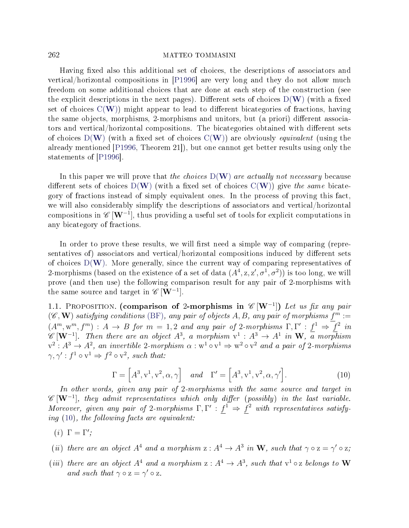Having fixed also this additional set of choices, the descriptions of associators and vertical/horizontal compositions in [\[P1996\]](#page-71-1) are very long and they do not allow much freedom on some additional choices that are done at each step of the construction (see the explicit descriptions in the next pages). Different sets of choices  $D(W)$  $D(W)$  $D(W)$  (with a fixed set of choices  $C(W)$  $C(W)$  $C(W)$  might appear to lead to different bicategories of fractions, having the same objects, morphisms, 2-morphisms and unitors, but (a priori) different associators and vertical/horizontal compositions. The bicategories obtained with different sets of choices  $D(W)$  $D(W)$  $D(W)$  (with a fixed set of choices  $C(W)$ ) are obviously *equivalent* (using the already mentioned [\[P1996,](#page-71-1) Theorem 21]), but one cannot get better results using only the statements of [\[P1996\]](#page-71-1).

In this paper we will prove that the choices  $D(\mathbf{W})$  $D(\mathbf{W})$  $D(\mathbf{W})$  are actually not necessary because different sets of choices  $D(W)$  $D(W)$  $D(W)$  (with a fixed set of choices  $C(W)$ ) give the same bicategory of fractions instead of simply equivalent ones. In the process of proving this fact, we will also considerably simplify the descriptions of associators and vertical/horizontal compositions in  $\mathscr{C}\left[\mathbf{W}^{-1}\right]$ , thus providing a useful set of tools for explicit computations in any bicategory of fractions.

In order to prove these results, we will first need a simple way of comparing (representatives of) associators and vertical/horizontal compositions induced by different sets of choices  $D(W)$  $D(W)$  $D(W)$ . More generally, since the current way of comparing representatives of 2-morphisms (based on the existence of a set of data  $(A^4, z, z', \sigma^1, \sigma^2)$ ) is too long, we will prove (and then use) the following comparison result for any pair of 2-morphisms with the same source and target in  $\mathscr{C}[\mathbf{W}^{-1}]$ .

<span id="page-5-1"></span>1.1. PROPOSITION. (comparison of 2-morphisms in  $\mathscr{C}[W^{-1}]$ ) Let us fix any pair  $(\mathscr{C}, \mathbf{W})$  satisfying conditions [\(BF\)](#page-0-0), any pair of objects A, B, any pair of morphisms  $f^m :=$  $(A^m, w^m, f^m) : A \to B$  for  $m = 1, 2$  and any pair of 2-morphisms  $\Gamma, \Gamma' : f^1 \Rightarrow f^2$  in  $\mathscr{C}\left[\mathbf{W}^{-1}\right]$ . Then there are an object  $A^{3}$ , a morphism  $v^{1}: A^{3} \rightarrow A^{1}$  in  $\mathbf{W}, \overline{a}$  morphism  $v^2: A^3 \to A^2$ , an invertible 2-morphism  $\alpha: w^1 \circ v^1 \Rightarrow w^2 \circ v^2$  and a pair of 2-morphisms  $\gamma, \gamma' : f^1 \circ v^1 \Rightarrow f^2 \circ v^2$ , such that:

$$
\Gamma = \left[ A^3, v^1, v^2, \alpha, \gamma \right] \quad and \quad \Gamma' = \left[ A^3, v^1, v^2, \alpha, \gamma' \right]. \tag{10}
$$

<span id="page-5-0"></span>In other words, given any pair of 2-morphisms with the same source and target in  $\mathscr{C}\left[\mathbf{W}^{-1}\right]$ , they admit representatives which only differ (possibly) in the last variable. Moreover, given any pair of 2-morphisms  $\Gamma, \Gamma' : f^1 \Rightarrow f^2$  with representatives satisfying [\(10\)](#page-5-0), the following facts are equivalent:

- (*i*)  $\Gamma = \Gamma'$ ;
- (ii) there are an object  $A^4$  and a morphism  $z: A^4 \to A^3$  in W, such that  $\gamma \circ z = \gamma' \circ z$ ;
- (iii) there are an object  $A^4$  and a morphism  $z: A^4 \to A^3$ , such that  $v^1 \circ z$  belongs to W and such that  $\gamma \circ z = \gamma' \circ z$ .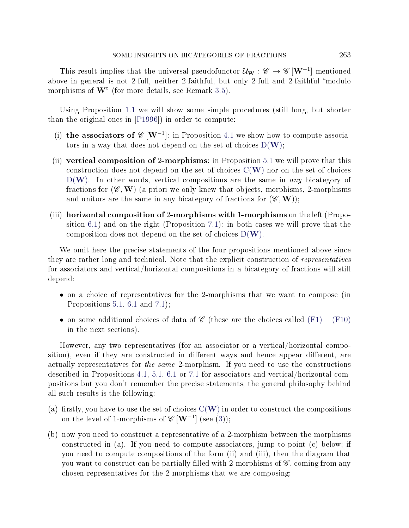This result implies that the universal pseudofunctor  $\mathcal{U}_{\mathbf{W}}: \mathscr{C} \to \mathscr{C}\left[\mathbf{W}^{-1}\right]$  mentioned above in general is not 2-full, neither 2-faithful, but only 2-full and 2-faithful "modulo morphisms of  $\mathbf{W}$ " (for more details, see Remark [3.5\)](#page-20-0).

Using Proposition [1.1](#page-5-1) we will show some simple procedures (still long, but shorter than the original ones in [\[P1996\]](#page-71-1)) in order to compute:

- (i) the associators of  $\mathscr{C}[W^{-1}]$ : in Proposition [4.1](#page-22-0) we show how to compute associators in a way that does not depend on the set of choices  $D(W)$  $D(W)$  $D(W)$ ;
- (ii) vertical composition of 2-morphisms: in Proposition [5.1](#page-32-0) we will prove that this construction does not depend on the set of choices  $C(W)$  $C(W)$  $C(W)$  nor on the set of choices  $D(W)$  $D(W)$  $D(W)$ . In other words, vertical compositions are the same in *any* bicategory of fractions for  $(\mathscr{C}, \mathbf{W})$  (a priori we only knew that objects, morphisms, 2-morphisms and unitors are the same in any bicategory of fractions for  $(\mathscr{C}, \mathbf{W})$ ;
- (iii) horizontal composition of 2-morphisms with 1-morphisms on the left (Proposition [6.1\)](#page-36-0) and on the right (Proposition [7.1\)](#page-47-0): in both cases we will prove that the composition does not depend on the set of choices  $D(\mathbf{W})$  $D(\mathbf{W})$  $D(\mathbf{W})$ .

We omit here the precise statements of the four propositions mentioned above since they are rather long and technical. Note that the explicit construction of representatives for associators and vertical/horizontal compositions in a bicategory of fractions will still depend:

- on a choice of representatives for the 2-morphisms that we want to compose (in Propositions [5.1,](#page-32-0) [6.1](#page-36-0) and [7.1\)](#page-47-0);
- on some additional choices of data of  $\mathscr C$  (these are the choices called [\(F1\)](#page-22-1) [\(F10\)](#page-47-1) in the next sections).

However, any two representatives (for an associator or a vertical/horizontal composition), even if they are constructed in different ways and hence appear different, are actually representatives for the same 2-morphism. If you need to use the constructions described in Propositions [4.1,](#page-22-0) [5.1,](#page-32-0) [6.1](#page-36-0) or [7.1](#page-47-0) for associators and vertical/horizontal compositions but you don't remember the precise statements, the general philosophy behind all such results is the following:

- (a) firstly, you have to use the set of choices  $C(W)$  $C(W)$  $C(W)$  in order to construct the compositions on the level of 1-morphisms of  $\mathscr{C}\left[\mathbf{W}^{-1}\right]$  (see [\(3\)](#page-2-2));
- (b) now you need to construct a representative of a 2-morphism between the morphisms constructed in (a). If you need to compute associators, jump to point (c) below; if you need to compute compositions of the form (ii) and (iii), then the diagram that you want to construct can be partially filled with 2-morphisms of  $\mathscr{C}$ , coming from any chosen representatives for the 2-morphisms that we are composing;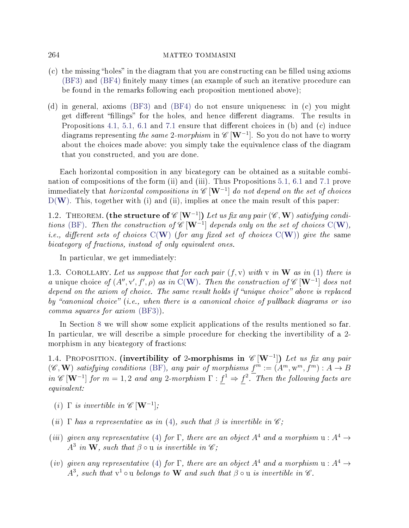- $(c)$  the missing "holes" in the diagram that you are constructing can be filled using axioms  $(BF3)$  and  $(BF4)$  finitely many times (an example of such an iterative procedure can be found in the remarks following each proposition mentioned above);
- (d) in general, axioms [\(BF3\)](#page-1-2) and [\(BF4\)](#page-1-4) do not ensure uniqueness: in (c) you might get different "fillings" for the holes, and hence different diagrams. The results in Propositions [4.1,](#page-22-0) [5.1,](#page-32-0) [6.1](#page-36-0) and [7.1](#page-47-0) ensure that different choices in  $(b)$  and  $(c)$  induce diagrams representing *the same* 2-*morphism* in  $\mathscr{C}\left[\mathbf{W}^{-1}\right]$ . So you do not have to worry about the choices made above: you simply take the equivalence class of the diagram that you constructed, and you are done.

Each horizontal composition in any bicategory can be obtained as a suitable combination of compositions of the form (ii) and (iii). Thus Propositions [5.1,](#page-32-0) [6.1](#page-36-0) and [7.1](#page-47-0) prove immediately that *horizontal compositions in "C*  $[\mathbf{W}^{-1}]$  *do not depend on the set of choices*  $D(W)$  $D(W)$  $D(W)$ . This, together with (i) and (ii), implies at once the main result of this paper:

<span id="page-7-0"></span>1.2. THEOREM. (the structure of  $\mathscr{C}\left[\mathbf{W}^{-1}\right]$ ) Let us fix any pair  $(\mathscr{C},\mathbf{W})$  satisfying condi-tions [\(BF\)](#page-0-0). Then the construction of  $\mathscr{C}[W^{-1}]$  $\mathscr{C}[W^{-1}]$  $\mathscr{C}[W^{-1}]$  depends only on the set of choices C(W), i.e., different sets of choices  $C(W)$  $C(W)$  $C(W)$  (for any fixed set of choices  $C(W)$ ) give the same bicategory of fractions, instead of only equivalent ones.

In particular, we get immediately:

1.3. COROLLARY. Let us suppose that for each pair  $(f, v)$  with v in W as in [\(1\)](#page-2-3) there is a unique choice of  $(A'', v', f', \rho)$  as in C([W](#page-2-0)). Then the construction of  $\mathscr{C}[\mathbf{W}^{-1}]$  does not depend on the axiom of choice. The same result holds if "unique choice" above is replaced by "canonical choice" (i.e., when there is a canonical choice of pullback diagrams or iso comma squares for axiom [\(BF3\)](#page-1-2)).

In Section [8](#page-55-0) we will show some explicit applications of the results mentioned so far. In particular, we will describe a simple procedure for checking the invertibility of a 2 morphism in any bicategory of fractions:

1.4. PROPOSITION. (invertibility of 2-morphisms in  $\mathscr{C}[W^{-1}]$ ) Let us fix any pair  $(\mathscr{C}, \mathbf{W})$  satisfying conditions [\(BF\)](#page-0-0), any pair of morphisms  $f^m := (A^m, w^m, f^m) : A \to B$ in  $\mathscr{C}[\mathbf{W}^{-1}]$  for  $m=1,2$  and any 2-morphism  $\Gamma: f^1 \Rightarrow f^2$ . Then the following facts are equivalent:

- (i)  $\Gamma$  is invertible in  $\mathscr{C}[\mathbf{W}^{-1}]$ ;
- (ii)  $\Gamma$  has a representative as in [\(4\)](#page-3-0), such that  $\beta$  is invertible in  $\mathscr{C}$ ;
- (iii) given any representative [\(4\)](#page-3-0) for  $\Gamma$ , there are an object  $A^4$  and a morphism  $u : A^4 \rightarrow$  $A^3$  in W, such that  $\beta \circ u$  is invertible in  $\mathscr{C};$
- (iv) given any representative [\(4\)](#page-3-0) for Γ, there are an object  $A^4$  and a morphism  $u : A^4 \rightarrow$  $A^3$ , such that  $v^1 \circ u$  belongs to **W** and such that  $\beta \circ u$  is invertible in  $\mathscr{C}$ .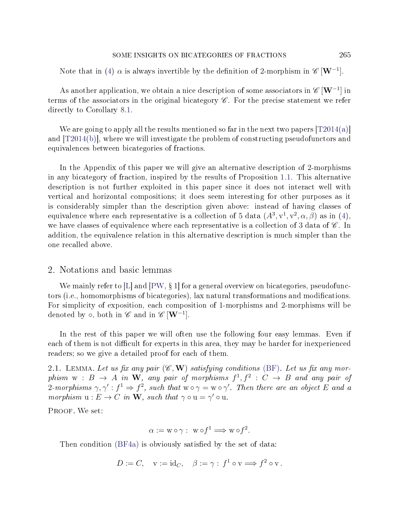Note that in [\(4\)](#page-3-0)  $\alpha$  is always invertible by the definition of 2-morphism in  $\mathscr{C}[\mathbf{W}^{-1}]$ .

As another application, we obtain a nice description of some associators in  $\mathscr{C}[\mathbf{W}^{-1}]$  in terms of the associators in the original bicategory  $\mathscr{C}$ . For the precise statement we refer directly to Corollary [8.1.](#page-57-0)

We are going to apply all the results mentioned so far in the next two papers  $[T2014(a)]$ and [\[T2014\(b\)\]](#page-72-1), where we will investigate the problem of constructing pseudofunctors and equivalences between bicategories of fractions.

In the Appendix of this paper we will give an alternative description of 2-morphisms in any bicategory of fraction, inspired by the results of Proposition [1.1.](#page-5-1) This alternative description is not further exploited in this paper since it does not interact well with vertical and horizontal compositions; it does seem interesting for other purposes as it is considerably simpler than the description given above: instead of having classes of equivalence where each representative is a collection of 5 data  $(A^3, v^1, v^2, \alpha, \beta)$  as in [\(4\)](#page-3-0), we have classes of equivalence where each representative is a collection of 3 data of  $\mathscr C$ . In addition, the equivalence relation in this alternative description is much simpler than the one recalled above.

### 2. Notations and basic lemmas

We mainly refer to [\[L\]](#page-71-3) and  $[PW, § 1]$  $[PW, § 1]$  for a general overview on bicategories, pseudofunctors (i.e., homomorphisms of bicategories), lax natural transformations and modications. For simplicity of exposition, each composition of 1-morphisms and 2-morphisms will be denoted by  $\circ$ , both in  $\mathscr{C}$  and in  $\mathscr{C}\left[\mathbf{W}^{-1}\right]$ .

In the rest of this paper we will often use the following four easy lemmas. Even if each of them is not difficult for experts in this area, they may be harder for inexperienced readers; so we give a detailed proof for each of them.

<span id="page-8-0"></span>2.1. LEMMA. Let us fix any pair  $(\mathscr{C}, \mathbf{W})$  satisfying conditions [\(BF\)](#page-0-0). Let us fix any morphism  $w : B \to A$  in W, any pair of morphisms  $f^1, f^2 : C \to B$  and any pair of 2-morphisms  $\gamma, \gamma' : f^1 \Rightarrow f^2$ , such that  $w \circ \gamma = w \circ \gamma'$ . Then there are an object E and a morphism  $u : E \to C$  in W, such that  $\gamma \circ u = \gamma' \circ u$ .

PROOF. We set:

$$
\alpha := w \circ \gamma : w \circ f^1 \Longrightarrow w \circ f^2.
$$

Then condition [\(BF4a\)](#page-1-0) is obviously satisfied by the set of data:

$$
D := C, \quad \mathbf{v} := \mathrm{id}_C, \quad \beta := \gamma : f^1 \circ \mathbf{v} \Longrightarrow f^2 \circ \mathbf{v} \, .
$$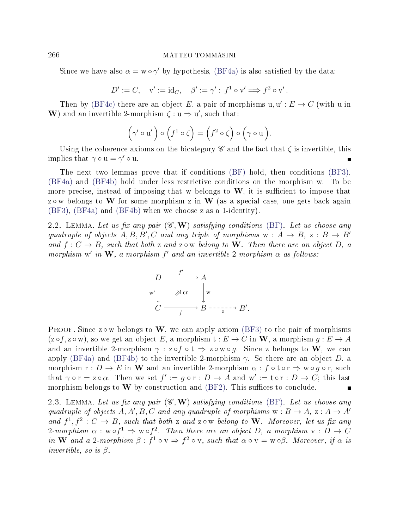Since we have also  $\alpha = w \circ \gamma'$  by hypothesis, [\(BF4a\)](#page-1-0) is also satisfied by the data:

$$
D' := C, \quad \mathbf{v}' := \mathrm{id}_C, \quad \beta' := \gamma' : f^1 \circ \mathbf{v}' \Longrightarrow f^2 \circ \mathbf{v}'.
$$

Then by [\(BF4c\)](#page-1-1) there are an object E, a pair of morphisms  $u, u': E \to C$  (with u in W) and an invertible 2-morphism  $\zeta : u \Rightarrow u'$ , such that:

$$
(\gamma' \circ u') \circ (f^1 \circ \zeta) = (f^2 \circ \zeta) \circ (\gamma \circ u).
$$

Using the coherence axioms on the bicategory  $\mathscr C$  and the fact that  $\zeta$  is invertible, this implies that  $\gamma \circ u = \gamma' \circ u$ .

The next two lemmas prove that if conditions [\(BF\)](#page-0-0) hold, then conditions [\(BF3\)](#page-1-2), [\(BF4a\)](#page-1-0) and [\(BF4b\)](#page-1-5) hold under less restrictive conditions on the morphism w. To be more precise, instead of imposing that w belongs to  $W$ , it is sufficient to impose that z  $\circ$  w belongs to W for some morphism z in W (as a special case, one gets back again [\(BF3\)](#page-1-2), [\(BF4a\)](#page-1-0) and [\(BF4b\)](#page-1-5) when we choose z as a 1-identity).

<span id="page-9-0"></span>2.2. LEMMA. Let us fix any pair  $(\mathscr{C}, \mathbf{W})$  satisfying conditions [\(BF\)](#page-0-0). Let us choose any quadruple of objects  $A, B, B', C$  and any triple of morphisms  $w : A \rightarrow B$ ,  $z : B \rightarrow B'$ and  $f: C \to B$ , such that both z and z  $\circ \mathbf{w}$  belong to **W**. Then there are an object D, a morphism w' in W, a morphism  $f'$  and an invertible 2-morphism  $\alpha$  as follows:

$$
D \xrightarrow{f'} A
$$
  
\n
$$
\begin{array}{c}\n \downarrow \nearrow \alpha \\
 C \xrightarrow{f} B \xrightarrow{f} B'.\n \end{array}
$$

PROOF. Since z  $\circ$  w belongs to W, we can apply axiom [\(BF3\)](#page-1-2) to the pair of morphisms  $(z \circ f, z \circ w)$ , so we get an object E, a morphism  $t : E \to C$  in W, a morphism  $q : E \to A$ and an invertible 2-morphism  $\gamma$ :  $z \circ f \circ t \Rightarrow z \circ w \circ q$ . Since z belongs to W, we can apply [\(BF4a\)](#page-1-0) and [\(BF4b\)](#page-1-5) to the invertible 2-morphism  $\gamma$ . So there are an object D, a morphism  $r: D \to E$  in W and an invertible 2-morphism  $\alpha: f \circ t \circ r \Rightarrow w \circ g \circ r$ , such that  $\gamma \circ r = z \circ \alpha$ . Then we set  $f' := g \circ r : D \to A$  and  $w' := t \circ r : D \to C$ ; this last morphism belongs to  $W$  by construction and  $(BF2)$ . This suffices to conclude.

<span id="page-9-1"></span>2.3. LEMMA. Let us fix any pair  $(\mathscr{C}, \mathbf{W})$  satisfying conditions [\(BF\)](#page-0-0). Let us choose any quadruple of objects A, A', B, C and any quadruple of morphisms  $w : B \to A$ ,  $z : A \to A'$ and  $f^1, f^2: C \to B$ , such that both z and z  $\circ \mathbf{w}$  belong to W. Moreover, let us fix any 2-morphism  $\alpha: w \circ f^1 \Rightarrow w \circ f^2$ . Then there are an object D, a morphism  $v: D \to C$ in W and a 2-morphism  $\beta: f^1 \circ v \Rightarrow f^2 \circ v$ , such that  $\alpha \circ v = w \circ \beta$ . Moreover, if  $\alpha$  is invertible, so is  $\beta$ .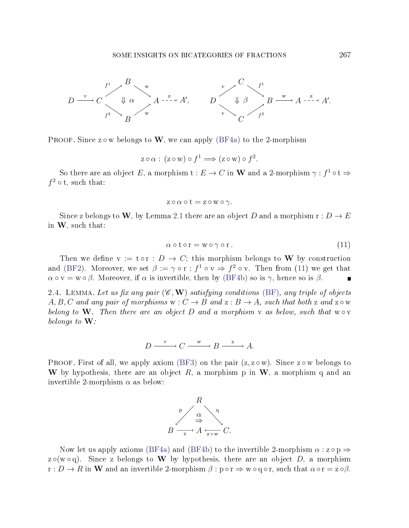

PROOF. Since  $z \circ w$  belongs to W, we can apply [\(BF4a\)](#page-1-0) to the 2-morphism

$$
z \circ \alpha : (z \circ w) \circ f^1 \Longrightarrow (z \circ w) \circ f^2.
$$

So there are an object E, a morphism  $t : E \to C$  in W and a 2-morphism  $\gamma : f^1 \circ t \Rightarrow$  $f^2 \circ t$ , such that:

$$
z \circ \alpha \circ t = z \circ w \circ \gamma.
$$

<span id="page-10-0"></span>Since z belongs to W, by Lemma [2.1](#page-8-0) there are an object D and a morphism  $r : D \to E$ in W, such that:

$$
\alpha \circ t \circ r = w \circ \gamma \circ r. \tag{11}
$$

Then we define  $v := t \circ r : D \to C$ ; this morphism belongs to W by construction and [\(BF2\)](#page-0-2). Moreover, we set  $\beta := \gamma \circ r : f^1 \circ v \Rightarrow f^2 \circ v$ . Then from [\(11\)](#page-10-0) we get that  $\alpha \circ v = w \circ \beta$ . Moreover, if  $\alpha$  is invertible, then by [\(BF4b\)](#page-1-5) so is  $\gamma$ , hence so is  $\beta$ .  $\blacksquare$ 

<span id="page-10-1"></span>2.4. LEMMA. Let us fix any pair  $(\mathscr{C}, \mathbf{W})$  satisfying conditions [\(BF\)](#page-0-0), any triple of objects A, B, C and any pair of morphisms  $w : C \to B$  and  $z : B \to A$ , such that both z and z  $\circ w$ belong to W. Then there are an object D and a morphism v as below, such that  $w \circ v$ belongs to  $W$ :

$$
D \xrightarrow{v} C \xrightarrow{w} B \xrightarrow{z} A.
$$

PROOF. First of all, we apply axiom [\(BF3\)](#page-1-2) on the pair  $(z, z \circ w)$ . Since  $z \circ w$  belongs to W by hypothesis, there are an object  $R$ , a morphism p in W, a morphism q and an invertible 2-morphism  $\alpha$  as below:



Now let us apply axioms [\(BF4a\)](#page-1-0) and [\(BF4b\)](#page-1-5) to the invertible 2-morphism  $\alpha$ :  $z \circ p \Rightarrow$ z $\circ$ (w $\circ$ q). Since z belongs to W by hypothesis, there are an object D, a morphism  $r: D \to R$  in W and an invertible 2-morphism  $\beta: p \circ r \Rightarrow w \circ q \circ r$ , such that  $\alpha \circ r = z \circ \beta$ .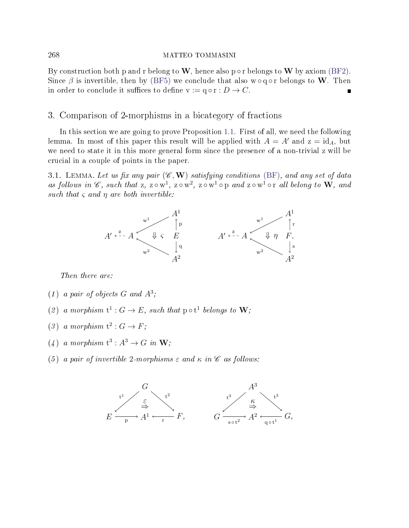By construction both p and r belong to W, hence also p  $\circ$  r belongs to W by axiom [\(BF2\)](#page-0-2). Since  $\beta$  is invertible, then by [\(BF5\)](#page-1-3) we conclude that also w  $\circ$  q  $\circ$  r belongs to W. Then in order to conclude it suffices to define  $v := q \circ r : D \to C$ .

## 3. Comparison of 2-morphisms in a bicategory of fractions

In this section we are going to prove Proposition [1.1.](#page-5-1) First of all, we need the following lemma. In most of this paper this result will be applied with  $A = A'$  and  $z = id<sub>A</sub>$ , but we need to state it in this more general form since the presence of a non-trivial z will be crucial in a couple of points in the paper.

<span id="page-11-0"></span>3.1. LEMMA. Let us fix any pair  $(\mathscr{C}, \mathbf{W})$  satisfying conditions [\(BF\)](#page-0-0), and any set of data as follows in  $\mathscr{C}$ , such that z, z  $\circ w^1$ , z  $\circ w^2$ , z  $\circ w^1$   $\circ p$  and z  $\circ w^1$   $\circ r$  all belong to  $W$ , and such that  $\varsigma$  and  $\eta$  are both invertible:



Then there are:

- (1) a pair of objects  $G$  and  $A^3$ ;
- (2) a morphism  $t^1: G \to E$ , such that  $p \circ t^1$  belongs to  $W$ ;
- (3) a morphism  $t^2: G \to F$ ;
- $(4)$  a morphism  $t^3: A^3 \to G$  in  $W$ ;
- (5) a pair of invertible 2-morphisms  $\varepsilon$  and  $\kappa$  in  $\mathscr C$  as follows:

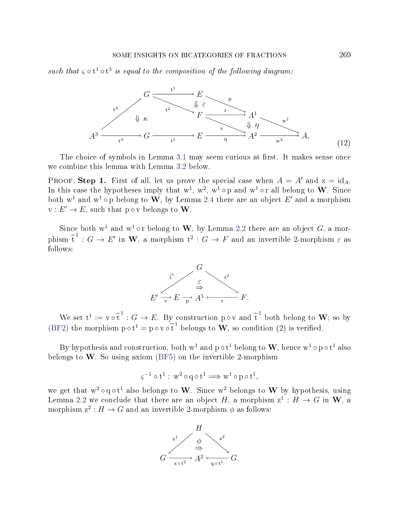<span id="page-12-0"></span>such that  $\varsigma \circ t^1 \circ t^3$  is equal to the composition of the following diagram:



The choice of symbols in Lemma [3.1](#page-11-0) may seem curious at first. It makes sense once we combine this lemma with Lemma [3.2](#page-15-0) below.

PROOF. Step 1. First of all, let us prove the special case when  $A = A'$  and  $z = id_A$ . In this case the hypotheses imply that  $w^1$ ,  $w^2$ ,  $w^1 \circ p$  and  $w^1 \circ r$  all belong to  $W$ . Since both  $w^1$  and  $w^1 \circ p$  belong to  $W$ , by Lemma [2.4](#page-10-1) there are an object  $E'$  and a morphism  $v: E' \to E$ , such that p  $\circ v$  belongs to **W**.

Since both  $w^1$  and  $w^1$  or belong to W, by Lemma [2.2](#page-9-0) there are an object G, a morphism  $\tilde{t}^1$ :  $G \to E'$  in W, a morphism  $t^2$ :  $G \to F$  and an invertible 2-morphism  $\varepsilon$  as follows:



We set  $t^1 := v \circ \tilde{t}^1 : G \to E$ . By construction p  $\circ v$  and  $\tilde{t}^1$  both belong to **W**; so by [\(BF2\)](#page-0-2) the morphism  $p \circ t^1 = p \circ v \circ \tilde{t}^1$  belongs to **W**, so condition (2) is verified.

By hypothesis and construction, both  $\mathrm{w}^1$  and  $\mathrm{p} \circ \mathrm{t}^1$  belong to  $\mathrm{\textbf{W}}$ , hence  $\mathrm{w}^1 \circ \mathrm{p} \circ \mathrm{t}^1$  also belongs to  $W$ . So using axiom [\(BF5\)](#page-1-3) on the invertible 2-morphism

$$
\varsigma^{-1}\circ t^1:\,w^2\circ q\circ t^1\Longrightarrow w^1\circ p\circ t^1,\quad
$$

we get that  $w^2 \circ q \circ t^1$  also belongs to W. Since  $w^2$  belongs to W by hypothesis, using Lemma [2.2](#page-9-0) we conclude that there are an object H, a morphism  $z^1 : H \to G$  in W, a morphism  $z^2: H \to G$  and an invertible 2-morphism  $\phi$  as follows:

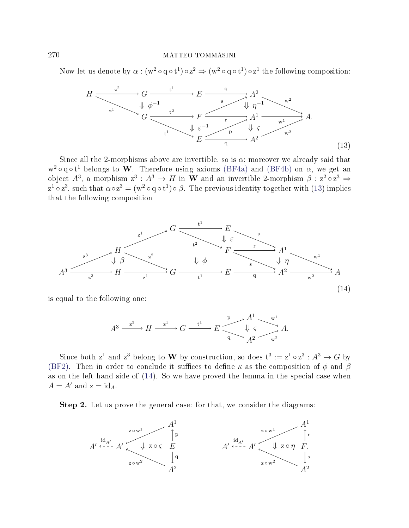<span id="page-13-0"></span>Now let us denote by  $\alpha : (w^2 \circ q \circ t^1) \circ z^2 \Rightarrow (w^2 \circ q \circ t^1) \circ z^1$  the following composition:

$$
H \xrightarrow{\varepsilon^2} G \xrightarrow{\varepsilon^1} E \xrightarrow{\varepsilon} A^2 \xrightarrow{\varepsilon^2} A^2
$$
  
\n
$$
G \xrightarrow{\varepsilon^2} F \xrightarrow{\varepsilon} A^1 \xrightarrow{\varepsilon^2} A
$$
  
\n
$$
L^1 \xrightarrow{\varepsilon^1} E \xrightarrow{\varepsilon^1} A^2 \xrightarrow{\varepsilon^1} A
$$
  
\n
$$
E \xrightarrow{\varepsilon^1} A^2 \xrightarrow{\varepsilon^2} A
$$
  
\n(13)

Since all the 2-morphisms above are invertible, so is  $\alpha$ ; moreover we already said that w<sup>2</sup> ∘q ∘ t<sup>1</sup> belongs to **W**. Therefore using axioms [\(BF4a\)](#page-1-0) and [\(BF4b\)](#page-1-5) on  $\alpha$ , we get an object  $A^3$ , a morphism  $z^3: A^3 \to H$  in W and an invertible 2-morphism  $\beta: z^2 \circ z^3 \Rightarrow$  $z^1 \circ z^3$ , such that  $\alpha \circ z^3 = (w^2 \circ q \circ t^1) \circ \beta$ . The previous identity together with [\(13\)](#page-13-0) implies that the following composition

<span id="page-13-1"></span>

is equal to the following one:

$$
A^3 \xrightarrow{z^3} H \xrightarrow{z^1} G \xrightarrow{t^1} E \xrightarrow{p} \begin{matrix} A^1 & w^1 \\ \downarrow \varsigma & \downarrow \\ A^2 & w^2 \end{matrix} A.
$$

Since both  $z^1$  and  $z^3$  belong to W by construction, so does  $t^3 := z^1 \circ z^3 : A^3 \to G$  by [\(BF2\)](#page-0-2). Then in order to conclude it suffices to define  $\kappa$  as the composition of  $\phi$  and  $\beta$ as on the left hand side of [\(14\)](#page-13-1). So we have proved the lemma in the special case when  $A = A'$  and  $z = id_A$ .

Step 2. Let us prove the general case: for that, we consider the diagrams:

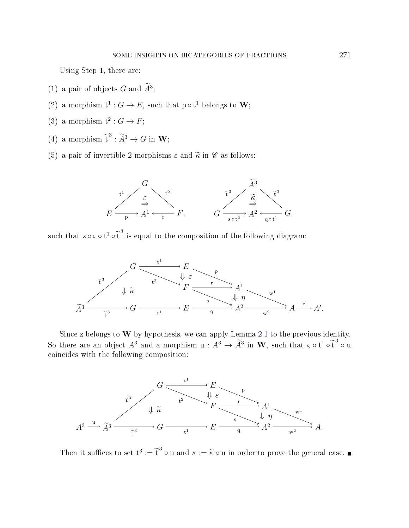Using Step 1, there are:

- (1) a pair of objects  $G$  and  $A^3$ ;
- (2) a morphism  $t^1$  :  $G \to E$ , such that  $p \circ t^1$  belongs to **W**;
- (3) a morphism  $t^2$ :  $G \rightarrow F$ ;
- (4) a morphism  $\tilde{t}^3 : \tilde{A}^3 \to G$  in **W**;
- (5) a pair of invertible 2-morphisms  $\varepsilon$  and  $\tilde{\kappa}$  in  $\mathscr{C}$  as follows:



such that  $z \circ \varsigma \circ t^1 \circ \tilde{t}^3$  is equal to the composition of the following diagram:



Since z belongs to  $W$  by hypothesis, we can apply Lemma [2.1](#page-8-0) to the previous identity. So there are an object  $A^3$  and a morphism  $u : A^3 \to \tilde{A}^3$  in W, such that  $\varsigma \circ t^1 \circ \tilde{t}^3 \circ u$ coincides with the following composition:



Then it suffices to set  $t^3 := \tilde{t}^3 \circ u$  and  $\kappa := \tilde{\kappa} \circ u$  in order to prove the general case.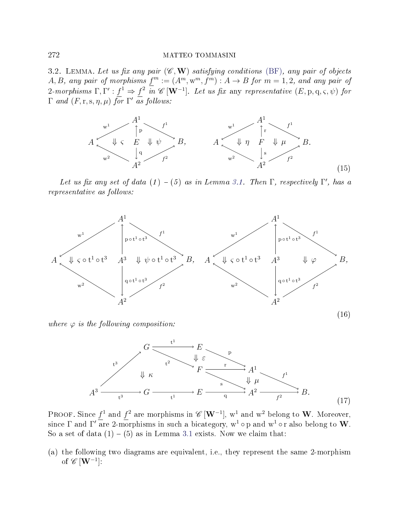<span id="page-15-0"></span>3.2. LEMMA. Let us fix any pair  $(\mathscr{C}, \mathbf{W})$  satisfying conditions [\(BF\)](#page-0-0), any pair of objects A, B, any pair of morphisms  $f^m := (A^m, w^m, f^m) : A \to B$  for  $m = 1, 2$ , and any pair of 2-morphisms  $\Gamma, \Gamma': f^1 \Rightarrow f^2$  in  $\mathscr{C}[\mathbf{W}^{-1}]$ . Let us fix any representative  $(E, \mathrm{p}, \mathrm{q}, \varsigma, \psi)$  for  $\Gamma$  and  $(F, r, s, \eta, \mu)$  for  $\Gamma'$  as follows:

<span id="page-15-2"></span>

Let us fix any set of data  $(1) - (5)$  as in Lemma [3.1.](#page-11-0) Then  $\Gamma$ , respectively  $\Gamma'$ , has a representative as follows:

<span id="page-15-3"></span>

<span id="page-15-1"></span>where  $\varphi$  is the following composition:



PROOF. Since  $f^1$  and  $f^2$  are morphisms in  $\mathscr{C}\left[{\bf W}^{-1}\right]$ ,  ${\bf w}^1$  and  ${\bf w}^2$  belong to  ${\bf W}$ . Moreover, since  $\Gamma$  and  $\Gamma'$  are 2-morphisms in such a bicategory,  $\mathrm{w}^1 \circ \mathrm{p}$  and  $\mathrm{w}^1 \circ \mathrm{r}$  also belong to  $\mathbf W$ . So a set of data  $(1) - (5)$  as in Lemma [3.1](#page-11-0) exists. Now we claim that:

(a) the following two diagrams are equivalent, i.e., they represent the same 2-morphism of  $\mathscr{C}\left[\mathbf{W}^{-1}\right]$ :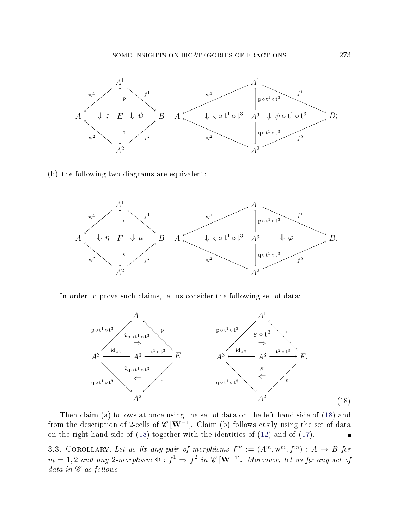

(b) the following two diagrams are equivalent:



<span id="page-16-0"></span>In order to prove such claims, let us consider the following set of data:



Then claim (a) follows at once using the set of data on the left hand side of [\(18\)](#page-16-0) and from the description of 2-cells of  $\mathscr{C}[W^{-1}]$ . Claim (b) follows easily using the set of data on the right hand side of [\(18\)](#page-16-0) together with the identities of [\(12\)](#page-12-0) and of [\(17\)](#page-15-1).  $\blacksquare$ 

<span id="page-16-1"></span>3.3. COROLLARY. Let us fix any pair of morphisms  $f^m := (A^m, w^m, f^m) : A \rightarrow B$  for  $m=1,2$  and any 2-morphism  $\Phi: f^1 \Rightarrow f^2$  in  $\mathscr{C}\left[ \mathbf{W}^{-1} \right]$ . Moreover, let us fix any set of data in  $\mathscr C$  as follows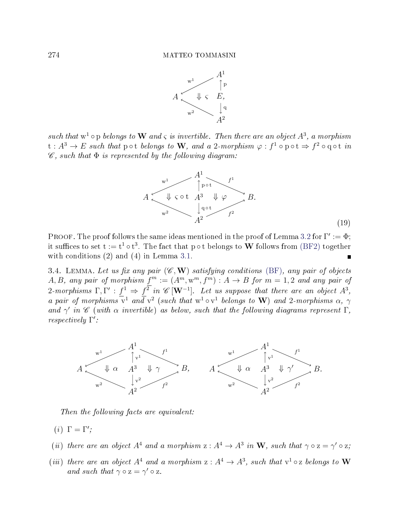

such that  $w^1$   $\circ$  p belongs to W and  $\varsigma$  is invertible. Then there are an object  $A^3$ , a morphism  $\mathrm{t}:A^{3}\rightarrow E$  such that  $\mathsf{pot}$  belongs to  $\mathbf{W},$  and a 2-morphism  $\varphi:f^{1}\circ\mathsf{pot}\Rightarrow f^{2}\circ\mathsf{q}\circ\mathsf{t}$  in  $\mathscr{C}$ , such that  $\Phi$  is represented by the following diagram:



PROOF. The proof follows the same ideas mentioned in the proof of Lemma [3.2](#page-15-0) for  $\Gamma' := \Phi$ ; it suffices to set  $\mathrm{t}:=\mathrm{t}^1\circ\mathrm{t}^3.$  The fact that p∘t belongs to  $\mathbf W$  follows from [\(BF2\)](#page-0-2) together with conditions (2) and (4) in Lemma [3.1.](#page-11-0)  $\blacksquare$ 

<span id="page-17-0"></span>3.4. LEMMA. Let us fix any pair  $(\mathscr{C}, \mathbf{W})$  satisfying conditions [\(BF\)](#page-0-0), any pair of objects A, B, any pair of morphism  $f^m := (A^m, w^m, f^m) : A \to B$  for  $m = 1, 2$  and any pair of 2-morphisms  $\Gamma, \Gamma' : f^1 \Rightarrow f^2$  in  $\mathscr{C}[\mathbf{W}^{-1}]$ . Let us suppose that there are an object  $A^3$ , a pair of morphisms  $\overline{v}^1$  and  $\overline{v}^2$  (such that  $w^1 \circ v^1$  belongs to W) and 2-morphisms  $\alpha$ ,  $\gamma$ and  $\gamma'$  in  $\mathscr C$  (with  $\alpha$  invertible) as below, such that the following diagrams represent  $\Gamma$ , respectively Γ':



Then the following facts are equivalent:

- (*i*)  $\Gamma = \Gamma'$ ;
- (ii) there are an object  $A^4$  and a morphism  $z: A^4 \to A^3$  in W, such that  $\gamma \circ z = \gamma' \circ z$ ;
- (iii) there are an object  $A^4$  and a morphism  $z: A^4 \to A^3$ , such that  $v^1 \circ z$  belongs to W and such that  $\gamma \circ z = \gamma' \circ z$ .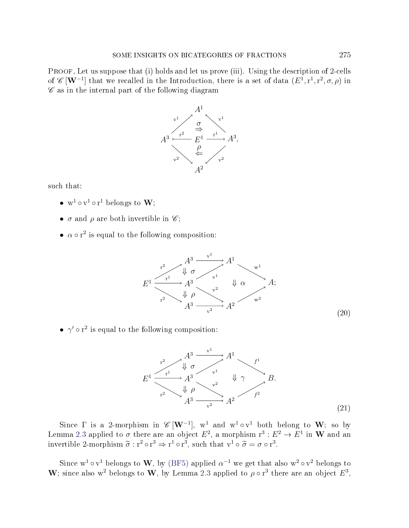PROOF. Let us suppose that (i) holds and let us prove (iii). Using the description of 2-cells of  $\mathscr{C}[\mathbf{W}^{-1}]$  that we recalled in the Introduction, there is a set of data  $(E^1, r^1, r^2, \sigma, \rho)$  in  $\mathscr C$  as in the internal part of the following diagram



such that:

- $w^1 \circ v^1 \circ r^1$  belongs to  $W$ ;
- $\sigma$  and  $\rho$  are both invertible in  $\mathscr{C}$ ;
- <span id="page-18-0"></span>•  $\alpha \circ r^2$  is equal to the following composition:



<span id="page-18-1"></span>•  $\gamma' \circ r^2$  is equal to the following composition:



Since  $\Gamma$  is a 2-morphism in  $\mathscr{C}[\mathbf{W}^{-1}]$ ,  $\mathbf{w}^1$  and  $\mathbf{w}^1 \circ \mathbf{v}^1$  both belong to  $\mathbf{W}$ ; so by Lemma [2.3](#page-9-1) applied to  $\sigma$  there are an object  $E^2$ , a morphism  $\mathrm{r}^3:E^2\to E^1$  in  $\mathbf W$  and an invertible 2-morphism  $\tilde{\sigma} : r^2 \circ r^3 \Rightarrow r^1 \circ r^3$ , such that  $v^1 \circ \tilde{\sigma} = \sigma \circ r^3$ .

Since  $w^1 \circ v^1$  belongs to W, by [\(BF5\)](#page-1-3) applied  $\alpha^{-1}$  we get that also  $w^2 \circ v^2$  belongs to W; since also w<sup>2</sup> belongs to W, by Lemma [2.3](#page-9-1) applied to  $\rho \circ r^3$  there are an object  $E^3$ ,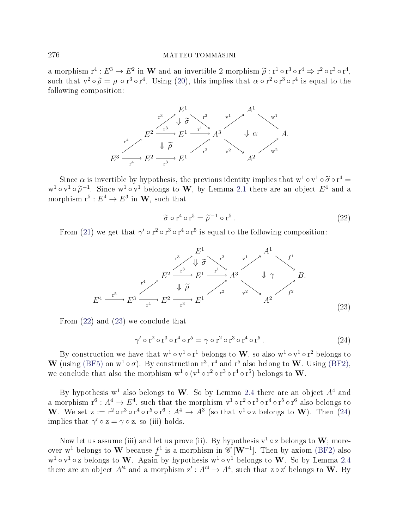a morphism  $r^4: E^3 \to E^2$  in W and an invertible 2-morphism  $\tilde{\rho}: r^1 \circ r^3 \circ r^4 \Rightarrow r^2 \circ r^3 \circ r^4$ ,<br>such that  $r^2 \circ \tilde{\rho} = \rho \circ r^3 \circ r^4$ . Using (20), this implies that  $\rho \circ r^2 \circ r^3 \circ r^4$  is equal to the such that  $v^2 \circ \tilde{\rho} = \rho \circ r^3 \circ r^4$ . Using [\(20\)](#page-18-0), this implies that  $\alpha \circ r^2 \circ r^3 \circ r^4$  is equal to the following composition: following composition:



<span id="page-19-0"></span>Since  $\alpha$  is invertible by hypothesis, the previous identity implies that  $w^1 \circ v^1 \circ \widetilde{\sigma} \circ r^4 =$ <br> $\alpha v^1 \circ \widetilde{\sigma}^{-1}$ . Since  $w^1 \circ v^1$  belongs to W by Lemma 2.1 there are an object  $F^4$  and a  $w^1 \circ v^1 \circ \widetilde{\rho}^{-1}$ . Since  $w^1 \circ v^1$  belongs to **W**, by Lemma [2.1](#page-8-0) there are an object  $E^4$  and a morphism  $r^5 \cdot F^4 \to F^3$  in **W** such that morphism  $\mathbf{r}^5: E^4 \to E^3$  in  $\mathbf{W}$ , such that

$$
\tilde{\sigma} \circ r^4 \circ r^5 = \tilde{\rho}^{-1} \circ r^5.
$$
\n(22)

<span id="page-19-1"></span>From [\(21\)](#page-18-1) we get that  $\gamma' \circ r^2 \circ r^3 \circ r^4 \circ r^5$  is equal to the following composition:

$$
E^{1} \xrightarrow{F^{3}} E^{2} \xrightarrow{r^{3}} E^{1} \xrightarrow{r^{2}} A^{3} \qquad \downarrow \gamma
$$
\n
$$
E^{4} \xrightarrow{r^{5}} E^{3} \xrightarrow{r^{4}} E^{2} \xrightarrow{r^{3}} E^{1} \xrightarrow{r^{2}} A^{3} \qquad \downarrow \gamma
$$
\n
$$
E^{4} \xrightarrow{r^{5}} E^{3} \xrightarrow{r^{4}} E^{2} \xrightarrow{r^{3}} E^{1} \qquad \downarrow \gamma
$$
\n
$$
A^{2} \qquad f^{2}
$$
\n(23)

<span id="page-19-2"></span>From [\(22\)](#page-19-0) and [\(23\)](#page-19-1) we conclude that

$$
\gamma' \circ r^2 \circ r^3 \circ r^4 \circ r^5 = \gamma \circ r^2 \circ r^3 \circ r^4 \circ r^5. \tag{24}
$$

By construction we have that  $w^1 \circ v^1 \circ r^1$  belongs to  $W$ , so also  $w^1 \circ v^1 \circ r^2$  belongs to W (using [\(BF5\)](#page-1-3) on  $w^1 \circ \sigma$ ). By construction  $r^3$ ,  $r^4$  and  $r^5$  also belong to W. Using [\(BF2\)](#page-0-2), we conclude that also the morphism  $w^1 \circ (v^1 \circ r^2 \circ r^3 \circ r^4 \circ r^5)$  belongs to  $\mathbf{W}$ .

By hypothesis  $w^1$  also belongs to  $W$ . So by Lemma [2.4](#page-10-1) there are an object  $A^4$  and a morphism  $\mathrm{r}^6: A^4 \to E^4$ , such that the morphism  $\mathrm{v}^1 \circ \mathrm{r}^2 \circ \mathrm{r}^3 \circ \mathrm{r}^4 \circ \mathrm{r}^5 \circ \mathrm{r}^6$  also belongs to W. We set  $z := r^2 \circ r^3 \circ r^4 \circ r^5 \circ r^6 : A^4 \to A^3$  (so that  $v^1 \circ z$  belongs to W). Then [\(24\)](#page-19-2) implies that  $\gamma' \circ z = \gamma \circ z$ , so (iii) holds.

Now let us assume (iii) and let us prove (ii). By hypothesis  $v^1 \circ z$  belongs to W; moreover w<sup>1</sup> belongs to  $\bf{W}$  because  $f^1$  is a morphism in  $\mathscr{C}\left[{\bf W}^{-1}\right]$ . Then by axiom [\(BF2\)](#page-0-2) also  $w^1 \circ v^1 \circ z$  belongs to W. Again by hypothesis  $w^1 \circ v^1$  belongs to W. So by Lemma [2.4](#page-10-1) there are an object  $A'^4$  and a morphism  $\mathrm{z}':A'^4\to A^4,$  such that  $\mathrm{z}\circ\mathrm{z}'$  belongs to  $\mathbf{W}.$  By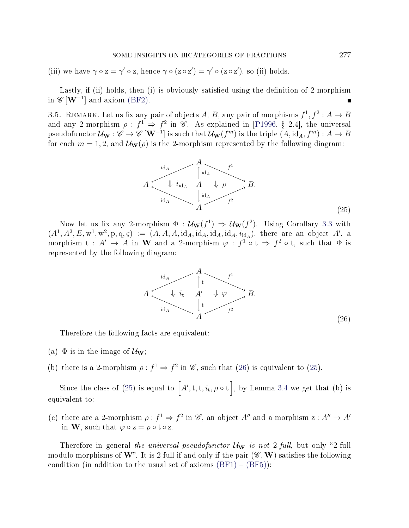(iii) we have  $\gamma \circ z = \gamma' \circ z$ , hence  $\gamma \circ (z \circ z') = \gamma' \circ (z \circ z')$ , so (ii) holds.

Lastly, if (ii) holds, then (i) is obviously satisfied using the definition of 2-morphism in  $\mathscr{C}[\mathbf{W}^{-1}]$  and axiom [\(BF2\)](#page-0-2).

<span id="page-20-2"></span><span id="page-20-0"></span>3.5. REMARK. Let us fix any pair of objects A, B, any pair of morphisms  $f^1, f^2: A \rightarrow B$ and any 2-morphism  $\rho: f^1 \Rightarrow f^2$  in  $\mathscr C$ . As explained in [\[P1996,](#page-71-1) § 2.4], the universal pseudofunctor  $\mathcal{U}_\mathbf{W}:\mathscr{C}\to\mathscr{C}\,[\mathbf{W}^{-1}]$  is such that  $\mathcal{U}_\mathbf{W}(f^m)$  is the triple  $(A,\mathrm{id}_A,f^m):A\to B$ for each  $m = 1, 2$ , and  $\mathcal{U}_{\mathbf{W}}(\rho)$  is the 2-morphism represented by the following diagram:



<span id="page-20-1"></span>Now let us fix any 2-morphism  $\Phi : \mathcal{U}_w(f^1) \Rightarrow \mathcal{U}_w(f^2)$ . Using Corollary [3.3](#page-16-1) with  $(A^1, A^2, E, \mathbf{w}^1, \mathbf{w}^2, \mathbf{p}, \mathbf{q}, \zeta) := (A, A, A, id_A, id_A, id_A, id_A, id_A)$ , there are an object A', a morphism  $t : A' \to A$  in W and a 2-morphism  $\varphi : f^1 \circ t \Rightarrow f^2 \circ t$ , such that  $\Phi$  is represented by the following diagram:



Therefore the following facts are equivalent:

- (a)  $\Phi$  is in the image of  $\mathcal{U}_{\mathbf{W}}$ ;
- (b) there is a 2-morphism  $\rho: f^1 \Rightarrow f^2$  in  $\mathscr{C}$ , such that [\(26\)](#page-20-1) is equivalent to [\(25\)](#page-20-2).

Since the class of [\(25\)](#page-20-2) is equal to  $\left[A',\mathrm{t},\mathrm{t},i_\mathrm{t},\rho \circ \mathrm{t}\right]$ , by Lemma [3.4](#page-17-0) we get that (b) is equivalent to:

(c) there are a 2-morphism  $\rho: f^1 \Rightarrow f^2$  in  $\mathscr{C}$ , an object A'' and a morphism  $z: A'' \rightarrow A'$ in **W**, such that  $\varphi \circ z = \rho \circ t \circ z$ .

Therefore in general the universal pseudofunctor  $\mathcal{U}_{\mathbf{W}}$  is not 2-full, but only "2-full modulo morphisms of W". It is 2-full if and only if the pair  $(\mathscr{C}, \mathbf{W})$  satisfies the following condition (in addition to the usual set of axioms  $(BF1) - (BF5)$  $(BF1) - (BF5)$  $(BF1) - (BF5)$ ):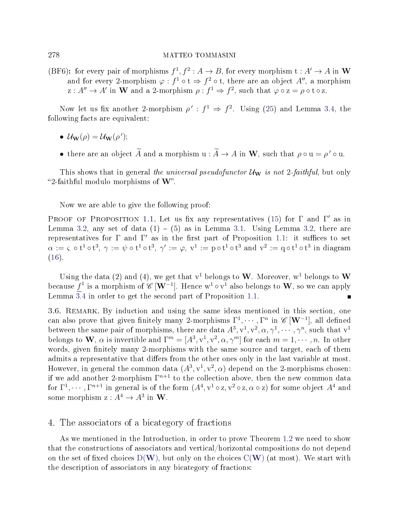(BF6): for every pair of morphisms  $f^1, f^2: A \to B$ , for every morphism  $t: A' \to A$  in W and for every 2-morphism  $\varphi : f^1 \circ t \Rightarrow f^2 \circ t$ , there are an object A'', a morphism  $z: A'' \to A'$  in W and a 2-morphism  $\rho: f^1 \Rightarrow f^2$ , such that  $\varphi \circ z = \rho \circ t \circ z$ .

Now let us fix another 2-morphism  $\rho' : f^1 \Rightarrow f^2$ . Using [\(25\)](#page-20-2) and Lemma [3.4,](#page-17-0) the following facts are equivalent:

- $\mathcal{U}_{\mathbf{W}}(\rho) = \mathcal{U}_{\mathbf{W}}(\rho');$
- there are an object  $\widetilde{A}$  and a morphism  $u : \widetilde{A} \to A$  in W, such that  $\rho \circ u = \rho' \circ u$ .

This shows that in general the universal pseudofunctor  $\mathcal{U}_{\mathbf{W}}$  is not 2-faithful, but only "2-faithful modulo morphisms of  $W$ ".

Now we are able to give the following proof:

PROOF OF PROPOSITION [1.1.](#page-5-1) Let us fix any representatives [\(15\)](#page-15-2) for  $\Gamma$  and  $\Gamma'$  as in Lemma [3.2,](#page-15-0) any set of data  $(1) - (5)$  as in Lemma [3.1.](#page-11-0) Using Lemma 3.2, there are representatives for  $\Gamma$  and  $\Gamma'$  as in the first part of Proposition [1.1:](#page-5-1) it suffices to set  $\alpha:=\varsigma \mathrel{\circ} \textnormal{t}^1\mathrel{\circ} \textnormal{t}^3, \, \gamma:=\psi\mathrel{\circ} \textnormal{t}^1\mathrel{\circ} \textnormal{t}^1, \, \gamma':=\varphi, \, \textnormal{v}^1:=\textnormal{p}\mathrel{\circ} \textnormal{t}^1\mathrel{\circ} \textnormal{t}^3 \textnormal{ and } \textnormal{v}^2:=\textnormal{q}\mathrel{\circ} \textnormal{t}^1\mathrel{\circ} \textnormal{t}^3 \textnormal{ in diagram}$ [\(16\)](#page-15-3).

Using the data (2) and (4), we get that  $v^1$  belongs to W. Moreover,  $w^1$  belongs to W because  $f^1$  is a morphism of  $\mathscr{C}\left[{\bf W}^{-1}\right]$ . Hence  ${\bf w}^1\circ {\bf v}^1$  also belongs to  ${\bf W},$  so we can apply Lemma  $\overline{3.4}$  $\overline{3.4}$  $\overline{3.4}$  in order to get the second part of Proposition [1.1.](#page-5-1)  $\blacksquare$ 

3.6. REMARK. By induction and using the same ideas mentioned in this section, one can also prove that given finitely many 2-morphisms  $\Gamma^1, \cdots, \Gamma^n$  in  $\mathscr{C}\left[{\mathbf{W}}^{-1}\right]$ , all defined between the same pair of morphisms, there are data  $A^3, v^1, v^2, \alpha, \gamma^1, \cdots, \gamma^n$ , such that  $v^1$ belongs to **W**,  $\alpha$  is invertible and  $\Gamma^m = [A^3, v^1, v^2, \alpha, \gamma^m]$  for each  $m = 1, \cdots, n$ . In other words, given finitely many 2-morphisms with the same source and target, each of them admits a representative that differs from the other ones only in the last variable at most. However, in general the common data  $(A^3, v^1, v^2, \alpha)$  depend on the 2-morphisms chosen: if we add another 2-morphism  $\Gamma^{n+1}$  to the collection above, then the new common data for  $\Gamma^1, \cdots, \Gamma^{n+1}$  in general is of the form  $(A^4, v^1 \circ z, v^2 \circ z, \alpha \circ z)$  for some object  $A^4$  and some morphism  $z: A^4 \to A^3$  in W.

### 4. The associators of a bicategory of fractions

As we mentioned in the Introduction, in order to prove Theorem [1.2](#page-7-0) we need to show that the constructions of associators and vertical/horizontal compositions do not depend on the set of fixed choices  $D(W)$  $D(W)$  $D(W)$ , but only on the choices  $C(W)$  (at most). We start with the description of associators in any bicategory of fractions: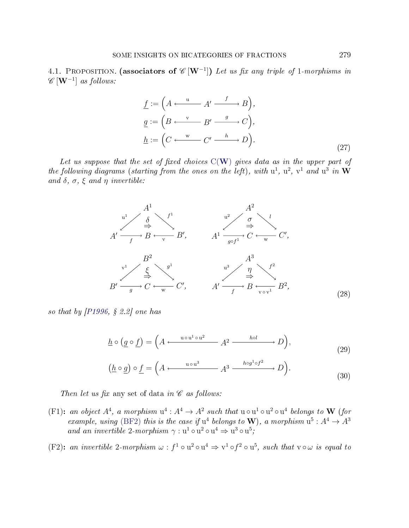<span id="page-22-6"></span><span id="page-22-0"></span>4.1. PROPOSITION. (associators of  $\mathscr{C}[\mathbf{W}^{-1}]$ ) Let us fix any triple of 1-morphisms in  $\mathscr{C}\left[\mathbf{W}^{-1}\right]$  as follows:

$$
\underline{f} := \left( A \xleftarrow{\mathbf{u}} A' \xrightarrow{f} B \right),
$$
\n
$$
\underline{g} := \left( B \xleftarrow{\mathbf{v}} B' \xrightarrow{g} C \right),
$$
\n
$$
\underline{h} := \left( C \xleftarrow{\mathbf{w}} C' \xrightarrow{h} D \right).
$$
\n
$$
(27)
$$

Let us suppose that the set of fixed choices  $C(W)$  $C(W)$  $C(W)$  gives data as in the upper part of the following diagrams (starting from the ones on the left), with  $u^1$ ,  $u^2$ ,  $v^1$  and  $u^3$  in  $W$ and  $\delta$ ,  $\sigma$ ,  $\xi$  and  $\eta$  invertible:



so that by  $[P1996, S 2.2]$  $[P1996, S 2.2]$  one has

<span id="page-22-4"></span>
$$
\underline{h} \circ (\underline{g} \circ \underline{f}) = \left( A \xleftarrow{\text{u} \circ \text{u}^1 \circ \text{u}^2} A^2 \xrightarrow{\text{hol}} D \right),
$$
\n(29)

<span id="page-22-3"></span><span id="page-22-2"></span>
$$
\left(\underline{h}\circ\underline{g}\right)\circ\underline{f} = \left(A \xleftarrow{\text{u}\circ\text{u}^3} A^3 \xrightarrow{\text{h}\circ g^1 \circ f^2} D\right). \tag{30}
$$

Then let us fix any set of data in  $\mathscr C$  as follows:

<span id="page-22-1"></span>(F1): an object  $A^4$ , a morphism  $u^4: A^4 \to A^2$  such that  $u \circ u^1 \circ u^2 \circ u^4$  belongs to W (for example, using [\(BF2\)](#page-0-2) this is the case if  $u^4$  belongs to W), a morphism  $u^5: A^4 \rightarrow A^3$ and an invertible 2-morphism  $\gamma : u^1 \circ u^2 \circ u^4 \Rightarrow u^3 \circ u^5$ ;

<span id="page-22-5"></span>(F2): an invertible 2-morphism  $\omega : f^1 \circ u^2 \circ u^4 \Rightarrow v^1 \circ f^2 \circ u^5$ , such that  $v \circ \omega$  is equal to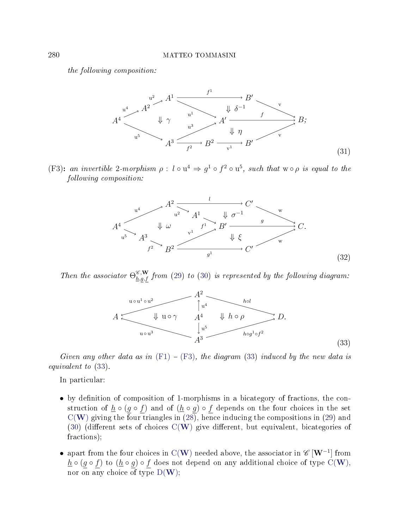<span id="page-23-2"></span>the following composition:



<span id="page-23-3"></span><span id="page-23-0"></span>(F3): an invertible 2-morphism  $\rho: l \circ u^4 \Rightarrow g^1 \circ f^2 \circ u^5$ , such that  $w \circ \rho$  is equal to the following composition:



<span id="page-23-1"></span>Then the associator  $\Theta_{h,g,f}^{\mathscr{E},\mathbf{W}}$  from [\(29\)](#page-22-2) to [\(30\)](#page-22-3) is represented by the following diagram:



Given any other data as in  $(F1) - (F3)$  $(F1) - (F3)$  $(F1) - (F3)$ , the diagram [\(33\)](#page-23-1) induced by the new data is equivalent to [\(33\)](#page-23-1).

In particular:

- by definition of composition of 1-morphisms in a bicategory of fractions, the construction of  $\underline{h} \circ (g \circ f)$  and of  $(\underline{h} \circ g) \circ f$  depends on the four choices in the set  $C(W)$  $C(W)$  $C(W)$  giving the four triangles in  $(28)$ , hence inducing the compositions in  $(29)$  and [\(30\)](#page-22-3) (different sets of choices  $C(W)$  $C(W)$  $C(W)$  give different, but equivalent, bicategories of fractions);
- apart from the four choices in C([W](#page-2-0)) needed above, the associator in  $\mathscr{C}[\mathbf{W}^{-1}]$  from  $h \circ (g \circ f)$  to  $(h \circ g) \circ f$  does not depend on any additional choice of type C([W](#page-2-0)), nor on any choice of type  $D(W)$  $D(W)$  $D(W)$ ;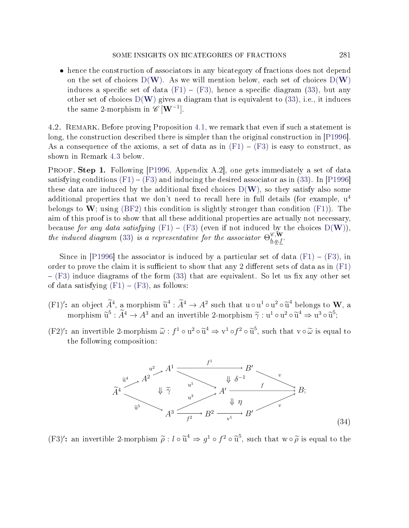• hence the construction of associators in any bicategory of fractions does not depend on the set of choices  $D(W)$  $D(W)$  $D(W)$ . As we will mention below, each set of choices  $D(W)$ induces a specific set of data  $(F1) - (F3)$  $(F1) - (F3)$  $(F1) - (F3)$ , hence a specific diagram [\(33\)](#page-23-1), but any other set of choices  $D(W)$  $D(W)$  $D(W)$  gives a diagram that is equivalent to [\(33\)](#page-23-1), i.e., it induces the same 2-morphism in  $\mathscr{C}[\mathbf{W}^{-1}]$ .

4.2. Remark. Before proving Proposition [4.1,](#page-22-0) we remark that even if such a statement is long, the construction described there is simpler than the original construction in [\[P1996\]](#page-71-1). As a consequence of the axioms, a set of data as in  $(F1) - (F3)$  $(F1) - (F3)$  $(F1) - (F3)$  is easy to construct, as shown in Remark [4.3](#page-28-0) below.

PROOF. Step 1. Following [\[P1996,](#page-71-1) Appendix A.2], one gets immediately a set of data satisfying conditions  $(F1) - (F3)$  $(F1) - (F3)$  $(F1) - (F3)$  and inducing the desired associator as in [\(33\)](#page-23-1). In [\[P1996\]](#page-71-1) these data are induced by the additional fixed choices  $D(\mathbf{W})$  $D(\mathbf{W})$  $D(\mathbf{W})$ , so they satisfy also some additional properties that we don't need to recall here in full details (for example,  $u^4$ belongs to W; using [\(BF2\)](#page-0-2) this condition is slightly stronger than condition  $(F1)$ ). The aim of this proof is to show that all these additional properties are actually not necessary, because for any data satisfying  $(F1) - (F3)$  $(F1) - (F3)$  $(F1) - (F3)$  (even if not induced by the choices  $D(W)$  $D(W)$  $D(W)$ ). the induced diagram [\(33\)](#page-23-1) is a representative for the associator  $\Theta_{h,g,f}^{\mathscr{C},\mathbf{W}}$ .

Since in [\[P1996\]](#page-71-1) the associator is induced by a particular set of data  $(F1) - (F3)$  $(F1) - (F3)$  $(F1) - (F3)$ , in order to prove the claim it is sufficient to show that any 2 different sets of data as in  $(F1)$  $-$  [\(F3\)](#page-23-0) induce diagrams of the form [\(33\)](#page-23-1) that are equivalent. So let us fix any other set of data satisfying  $(F1) - (F3)$  $(F1) - (F3)$  $(F1) - (F3)$ , as follows:

- (F1)': an object  $\widetilde{A}^4$ , a morphism  $\widetilde{u}^4 : \widetilde{A}^4 \to A^2$  such that  $u \circ u^1 \circ u^2 \circ \widetilde{u}^4$  belongs to W, a<br>morphism  $\widetilde{z}^5 : \widetilde{A}^4 \to A^3$  and an invertible 2 morphism  $\widetilde{z} : u^1 \circ u^2 \circ \widetilde{z}^4 \to u^3 \circ \wid$ morphism  $\widetilde{u}^5 : \widetilde{A}^4 \to A^3$  and an invertible 2-morphism  $\widetilde{\gamma} : u^1 \circ u^2 \circ \widetilde{u}^4 \Rightarrow u^3 \circ \widetilde{u}^5;$
- <span id="page-24-0"></span>(F2)': an invertible 2-morphism  $\tilde{\omega}$  :  $f^1 \circ u^2 \circ \tilde{u}^4 \Rightarrow v^1 \circ f^2 \circ \tilde{u}^5$ , such that  $v \circ \tilde{\omega}$  is equal to the following composition: the following composition:



(F3)': an invertible 2-morphism  $\tilde{\rho}: l \circ \tilde{u}^4 \Rightarrow g^1 \circ f^2 \circ \tilde{u}^5$ , such that  $w \circ \tilde{\rho}$  is equal to the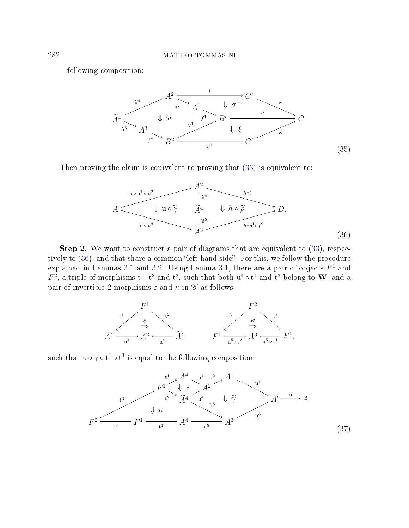<span id="page-25-2"></span>following composition:



<span id="page-25-0"></span>Then proving the claim is equivalent to proving that  $(33)$  is equivalent to:



Step 2. We want to construct a pair of diagrams that are equivalent to  $(33)$ , respec-tively to [\(36\)](#page-25-0), and that share a common "left hand side". For this, we follow the procedure explained in Lemmas [3.1](#page-11-0) and [3.2.](#page-15-0) Using Lemma [3.1,](#page-11-0) there are a pair of objects  $F<sup>1</sup>$  and  $F^2$ , a triple of morphisms  $t^1$ ,  $t^2$  and  $t^3$ , such that both  $u^4 \circ t^1$  and  $t^3$  belong to  $W$ , and a pair of invertible 2-morphisms  $\varepsilon$  and  $\kappa$  in  $\mathscr C$  as follows



<span id="page-25-1"></span>such that  $u \circ \gamma \circ t^1 \circ t^3$  is equal to the following composition:

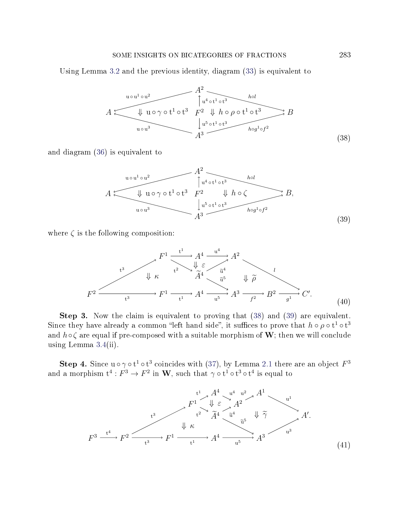## SOME INSIGHTS ON BICATEGORIES OF FRACTIONS 283

<span id="page-26-0"></span>Using Lemma [3.2](#page-15-0) and the previous identity, diagram [\(33\)](#page-23-1) is equivalent to

$$
A \xrightarrow{\text{u} \circ u^{1} \circ u^{2}} \qquad A^{2} \xrightarrow{\text{h} \circ t^{1} \circ t^{3}} \qquad \text{h} \circ \rho \circ t^{1} \circ t^{3} \qquad \text{h} \circ \rho \circ t^{1} \circ t^{3} \qquad \text{h} \circ \rho \circ t^{1} \circ t^{3} \qquad \text{h} \circ g^{1} \circ f^{2}
$$
\n
$$
A^{3} \xrightarrow{\text{h} \circ g^{1} \circ f^{2}} B
$$
\n(38)

<span id="page-26-1"></span>and diagram [\(36\)](#page-25-0) is equivalent to

$$
A \xrightarrow{\text{uou}^{1} \circ u^{2}} A^{2} \xrightarrow{\text{hol}} B,
$$
\n
$$
A \xrightarrow{\text{uou}^{3}} A^{3} \xrightarrow{\text{hol}} B,
$$
\n
$$
A^{3} \xrightarrow{\text{hod}^{3}} B,
$$
\n
$$
A^{3} \xrightarrow{\text{hog}^{1} \circ f^{2}}
$$
\n(39)

<span id="page-26-3"></span>where  $\zeta$  is the following composition:

$$
F^{1} \xrightarrow{\begin{array}{c}\nt^{3}\n\\
t^{3}\n\\
\downarrow \kappa\n\end{array}} F^{1} \xrightarrow{\begin{array}{c}\nt^{1}\n\\
t^{2}\n\\
\downarrow \varepsilon\n\end{array}} A^{4} \xrightarrow{\begin{array}{c}\nu^{4}\n\\
\widetilde{u}^{4}\n\\
\widetilde{u}^{5}\n\end{array}} A^{2} \xrightarrow{\begin{array}{c}\nt^{3}\n\\
\widetilde{\mu}^{6}\n\end{array}} B^{2} \xrightarrow{\begin{array}{c}\nt^{3}\n\\
\widetilde{u}^{7}\n\end{array}} F^{1} \xrightarrow{\begin{array}{c}\nt^{4}\n\\
\widetilde{u}^{6}\n\end{array}} A^{3} \xrightarrow{\begin{array}{c}\nt^{2}\n\\
\widetilde{f}^{2}\n\end{array}} B^{2} \xrightarrow{\begin{array}{c}\nt^{3}\n\\
\widetilde{g}^{1}\n\end{array}} C'.
$$
\n(40)

Step 3. Now the claim is equivalent to proving that  $(38)$  and  $(39)$  are equivalent. Since they have already a common "left hand side", it suffices to prove that  $h \circ \rho \circ t^1 \circ t^3$ and  $h \circ \zeta$  are equal if pre-composed with a suitable morphism of W; then we will conclude using Lemma [3.4\(](#page-17-0)ii).

<span id="page-26-2"></span>Step 4. Since  $u \circ \gamma \circ t^1 \circ t^3$  coincides with [\(37\)](#page-25-1), by Lemma [2.1](#page-8-0) there are an object  $F^3$ and a morphism  $\mathrm{t}^4:F^3\to F^2$  in  $\mathbf{W},$  such that  $\gamma\circ\mathrm{t}^1\circ\mathrm{t}^3\circ\mathrm{t}^4$  is equal to

$$
F^{1} \downarrow A^{4} \downarrow u^{2} A^{1} \downarrow u^{1}
$$
\n
$$
F^{1} \downarrow E \downarrow A^{2} A^{2} \downarrow u^{1}
$$
\n
$$
F^{3} \downarrow G \downarrow K
$$
\n
$$
F^{2} \downarrow K
$$
\n
$$
\downarrow K
$$
\n
$$
F^{4} \downarrow G \downarrow \tilde{\gamma}
$$
\n
$$
\downarrow K
$$
\n
$$
A^{4} \downarrow \tilde{\tau}
$$
\n
$$
A^{3} \downarrow \tilde{\gamma}
$$
\n
$$
A'
$$
\n
$$
u^{3}
$$
\n
$$
(41)
$$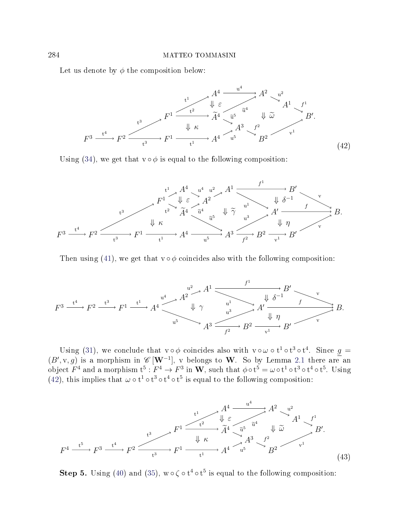<span id="page-27-0"></span>Let us denote by  $\phi$  the composition below:



Using [\(34\)](#page-24-0), we get that  $v \circ \phi$  is equal to the following composition:



Then using [\(41\)](#page-26-2), we get that  $v \circ \phi$  coincides also with the following composition:

$$
F^3 \xrightarrow{t^4} F^2 \xrightarrow{t^3} F^1 \xrightarrow{t^1} A^4 \xrightarrow{u^4} A^2 \xrightarrow{d^2} A^1 \xrightarrow{f^1} B' \xrightarrow{v} B
$$
\n
$$
\downarrow \gamma \qquad \downarrow \delta^{-1} \qquad f \qquad \downarrow \delta
$$
\n
$$
A^3 \xrightarrow{u^3} A' \xrightarrow{f} B' \xrightarrow{v} B
$$

Using [\(31\)](#page-23-2), we conclude that  $v \circ \phi$  coincides also with  $v \circ \omega \circ t^1 \circ t^3 \circ t^4$ . Since  $g =$  $(B', v, g)$  is a morphism in  $\mathscr{C}[\mathbf{W}^{-1}]$ , v belongs to W. So by Lemma [2.1](#page-8-0) there are an object  $F^4$  and a morphism  $\mathbf{t}^5:F^4\to F^3$  in  $\mathbf{W},$  such that  $\phi\circ\mathbf{t}^5=\omega\circ\mathbf{t}^1\circ\mathbf{t}^3\circ\mathbf{t}^4\circ\mathbf{t}^5.$  Using [\(42\)](#page-27-0), this implies that  $\omega \circ t^1 \circ t^3 \circ t^4 \circ t^5$  is equal to the following composition:

<span id="page-27-1"></span>

**Step 5.** Using [\(40\)](#page-26-3) and [\(35\)](#page-25-2),  $w \circ \zeta \circ t^4 \circ t^5$  is equal to the following composition: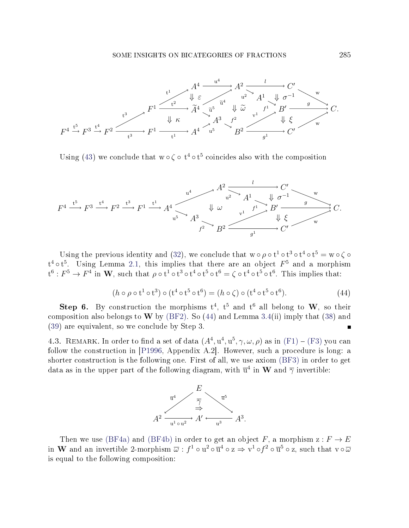

Using [\(43\)](#page-27-1) we conclude that  $w \circ \zeta \circ t^4 \circ t^5$  coincides also with the composition



Using the previous identity and [\(32\)](#page-23-3), we conclude that  $w \circ \rho \circ t^1 \circ t^3 \circ t^4 \circ t^5 = w \circ \zeta \circ t^4$  $t^4 \circ t^5$ . Using Lemma [2.1,](#page-8-0) this implies that there are an object  $F^5$  and a morphism  $\mathrm{t}^6:F^5\to F^4$  in  $\mathbf{W},$  such that  $\rho\circ\mathrm{t}^1\circ\mathrm{t}^3\circ\mathrm{t}^4\circ\mathrm{t}^5\circ\mathrm{t}^6=\zeta\circ\mathrm{t}^4\circ\mathrm{t}^5\circ\mathrm{t}^6.$  This implies that:

$$
(h \circ \rho \circ \mathbf{t}^1 \circ \mathbf{t}^3) \circ (\mathbf{t}^4 \circ \mathbf{t}^5 \circ \mathbf{t}^6) = (h \circ \zeta) \circ (\mathbf{t}^4 \circ \mathbf{t}^5 \circ \mathbf{t}^6). \tag{44}
$$

<span id="page-28-1"></span>Step 6. By construction the morphisms  $t^4$ ,  $t^5$  and  $t^6$  all belong to W, so their composition also belongs to W by [\(BF2\)](#page-0-2). So [\(44\)](#page-28-1) and Lemma [3.4\(](#page-17-0)ii) imply that [\(38\)](#page-26-0) and [\(39\)](#page-26-1) are equivalent, so we conclude by Step 3.  $\blacksquare$ 

<span id="page-28-0"></span>4.3. REMARK. In order to find a set of data  $(A^4, u^4, u^5, \gamma, \omega, \rho)$  as in  $(F1) - (F3)$  $(F1) - (F3)$  $(F1) - (F3)$  you can follow the construction in [\[P1996,](#page-71-1) Appendix A.2]. However, such a procedure is long: a shorter construction is the following one. First of all, we use axiom [\(BF3\)](#page-1-2) in order to get data as in the upper part of the following diagram, with  $\overline{u}^4$  in  $\bf{W}$  and  $\overline{\gamma}$  invertible:



Then we use [\(BF4a\)](#page-1-0) and [\(BF4b\)](#page-1-5) in order to get an object F, a morphism  $z : F \to E$ in  $\bf{W}$  and an invertible 2-morphism  $\overline{\omega}$  :  $f^1\circ u^2\circ\overline{u}^4\circ {\rm z} \Rightarrow {\rm v}^1\circ f^2\circ\overline{u}^5\circ {\rm z},$  such that  ${\rm v}\circ\overline{\omega}$ is equal to the following composition: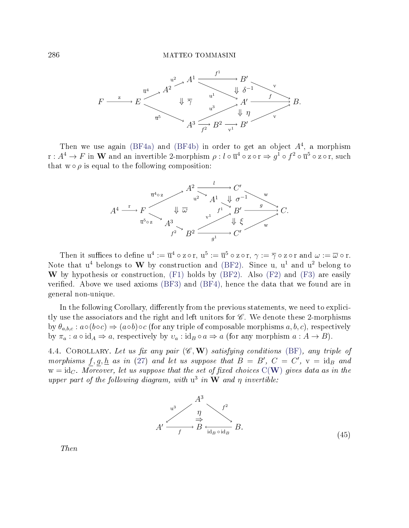

Then we use again [\(BF4a\)](#page-1-0) and [\(BF4b\)](#page-1-5) in order to get an object  $A<sup>4</sup>$ , a morphism  $\mathrm{r}:A^4\to F$  in  $\mathbf W$  and an invertible 2-morphism  $\rho: l\circ \overline{\mathrm{u}}^4\circ \mathrm{z}\circ \mathrm{r}\Rightarrow g^1\circ f^2\circ \overline{\mathrm{u}}^5\circ \mathrm{z}\circ \mathrm{r},$  such that  $w \circ \rho$  is equal to the following composition:



Then it suffices to define  $u^4 := \overline{u}^4 \circ z \circ r$ ,  $u^5 := \overline{u}^5 \circ z \circ r$ ,  $\gamma := \overline{\gamma} \circ z \circ r$  and  $\omega := \overline{\omega} \circ r$ . Note that  $u^4$  belongs to W by construction and [\(BF2\)](#page-0-2). Since u,  $u^1$  and  $u^2$  belong to W by hypothesis or construction,  $(F1)$  holds by  $(BF2)$ . Also  $(F2)$  and  $(F3)$  are easily verified. Above we used axioms  $(BF3)$  and  $(BF4)$ , hence the data that we found are in general non-unique.

In the following Corollary, differently from the previous statements, we need to explicitly use the associators and the right and left unitors for  $\mathscr C$ . We denote these 2-morphisms by  $\theta_{a,b,c} : a \circ (b \circ c) \Rightarrow (a \circ b) \circ c$  (for any triple of composable morphisms  $a, b, c$ ), respectively by  $\pi_a : a \circ id_A \Rightarrow a$ , respectively by  $v_a : id_B \circ a \Rightarrow a$  (for any morphism  $a : A \rightarrow B$ ).

<span id="page-29-1"></span><span id="page-29-0"></span>4.4. COROLLARY. Let us fix any pair  $(\mathscr{C}, \mathbf{W})$  satisfying conditions [\(BF\)](#page-0-0), any triple of morphisms  $f, g, \underline{h}$  as in [\(27\)](#page-22-6) and let us suppose that  $B = B'$ ,  $C = C'$ ,  $v = id_B$  and  $w = id_C$ . Moreover, let us suppose that the set of fixed choices  $C(W)$  $C(W)$  $C(W)$  gives data as in the upper part of the following diagram, with  $u^3$  in W and  $\eta$  invertible:



Then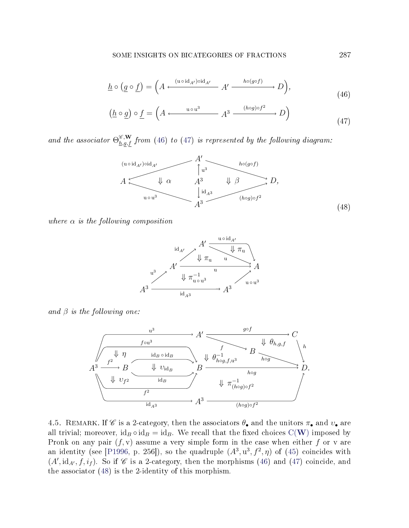$$
\underline{h} \circ (\underline{g} \circ \underline{f}) = \left( A \xleftarrow{\text{(u \circ id_{A'}) \circ id_{A'}}} A' \xrightarrow{h \circ (g \circ f)} D \right),
$$
\n(46)

<span id="page-30-0"></span>
$$
\underbrace{(h \circ g)} \circ \underline{f} = \left( A \xleftarrow{\text{u} \circ \text{u}^3} A^3 \xrightarrow{(h \circ g) \circ f^2} D \right) \tag{47}
$$

<span id="page-30-2"></span>and the associator  $\Theta_{h,g,f}^{\mathscr{C},\mathbf{W}}$  from [\(46\)](#page-30-0) to [\(47\)](#page-30-1) is represented by the following diagram:

<span id="page-30-1"></span>

where  $\alpha$  is the following composition



and  $\beta$  is the following one:



4.5. REMARK. If  $\mathscr C$  is a 2-category, then the associators  $\theta_{\bullet}$  and the unitors  $\pi_{\bullet}$  and  $v_{\bullet}$  are all trivial; moreover,  $id_B \circ id_B = id_B$ . [W](#page-2-0)e recall that the fixed choices  $C(W)$  imposed by Pronk on any pair  $(f, v)$  assume a very simple form in the case when either f or v are an identity (see [\[P1996,](#page-71-1) p. 256]), so the quadruple  $(A^3, u^3, f^2, \eta)$  of [\(45\)](#page-29-1) coincides with  $(A', id_{A'}, f, i_f)$ . So if  $\mathscr C$  is a 2-category, then the morphisms [\(46\)](#page-30-0) and [\(47\)](#page-30-1) coincide, and the associator [\(48\)](#page-30-2) is the 2-identity of this morphism.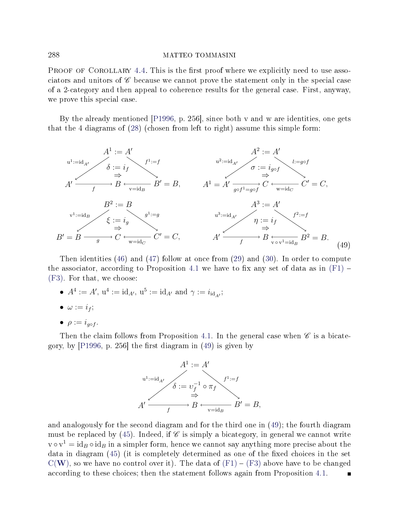PROOF OF COROLLARY [4.4.](#page-29-0) This is the first proof where we explicitly need to use associators and unitors of  $\mathscr C$  because we cannot prove the statement only in the special case of a 2-category and then appeal to coherence results for the general case. First, anyway, we prove this special case.

By the already mentioned [\[P1996,](#page-71-1) p. 256], since both v and w are identities, one gets that the 4 diagrams of [\(28\)](#page-22-4) (chosen from left to right) assume this simple form:



Then identities [\(46\)](#page-30-0) and [\(47\)](#page-30-1) follow at once from [\(29\)](#page-22-2) and [\(30\)](#page-22-3). In order to compute the associator, according to Proposition [4.1](#page-22-0) we have to fix any set of data as in  $(F1)$  – [\(F3\)](#page-23-0). For that, we choose:

•  $A^4 := A'$ ,  $u^4 := id_{A'}$ ,  $u^5 := id_{A'}$  and  $\gamma := i_{id_{A'}}$ ;

$$
\bullet \ \omega := i_f;
$$

$$
\bullet \ \rho := i_{g \circ f}.
$$

Then the claim follows from Proposition [4.1.](#page-22-0) In the general case when  $\mathscr{C}$  is a bicategory, by  $[P1996, p. 256]$  $[P1996, p. 256]$  the first diagram in  $(49)$  is given by

<span id="page-31-0"></span>

and analogously for the second diagram and for the third one in [\(49\)](#page-31-0); the fourth diagram must be replaced by [\(45\)](#page-29-1). Indeed, if  $\mathscr C$  is simply a bicategory, in general we cannot write  $\text{v} \circ \text{v}^1 = \text{id}_B \circ \text{id}_B$  in a simpler form, hence we cannot say anything more precise about the data in diagram  $(45)$  (it is completely determined as one of the fixed choices in the set  $C(W)$  $C(W)$  $C(W)$ , so we have no control over it). The data of  $(F1) - (F3)$  $(F1) - (F3)$  $(F1) - (F3)$  above have to be changed according to these choices; then the statement follows again from Proposition [4.1.](#page-22-0)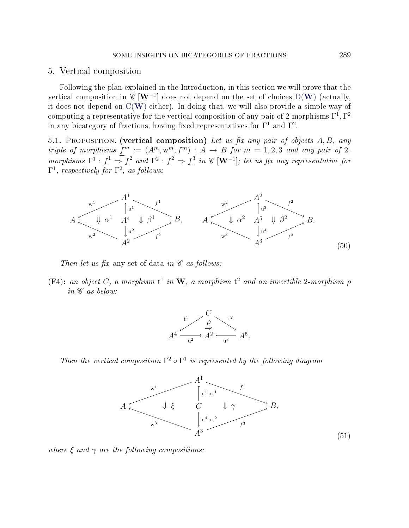## 5. Vertical composition

Following the plan explained in the Introduction, in this section we will prove that the vertical composition in  $\mathscr{C}\left[\mathbf{W}^{-1}\right]$  $\mathscr{C}\left[\mathbf{W}^{-1}\right]$  $\mathscr{C}\left[\mathbf{W}^{-1}\right]$  does not depend on the set of choices  $\mathrm{D}(\mathbf{W})$  (actually, it does not depend on  $C(W)$  $C(W)$  $C(W)$  either). In doing that, we will also provide a simple way of computing a representative for the vertical composition of any pair of 2-morphisms  $\Gamma^1, \Gamma^2$ in any bicategory of fractions, having fixed representatives for  $\Gamma^1$  and  $\Gamma^2$ .

<span id="page-32-0"></span>5.1. PROPOSITION. (vertical composition) Let us fix any pair of objects  $A, B, any$ triple of morphisms  $f^m := (A^m, w^m, f^m) : A \to B$  for  $m = 1, 2, 3$  and any pair of 2morphisms  $\Gamma^1 : f^1 \Rightarrow f^2$  and  $\Gamma^2 : f^2 \Rightarrow f^3$  in  $\mathscr{C}[\mathbf{W}^{-1}]$ ; let us fix any representative for  $\Gamma^1$ , respectively for  $\Gamma^2$ , as follows:

<span id="page-32-1"></span>

Then let us fix any set of data in  $\mathscr C$  as follows:

<span id="page-32-2"></span>(F4): an object C, a morphism  $t^1$  in W, a morphism  $t^2$  and an invertible 2-morphism  $\rho$ in  $\mathscr C$  as below:



<span id="page-32-3"></span>Then the vertical composition  $\Gamma^2 \circ \Gamma^1$  is represented by the following diagram



where  $\xi$  and  $\gamma$  are the following compositions: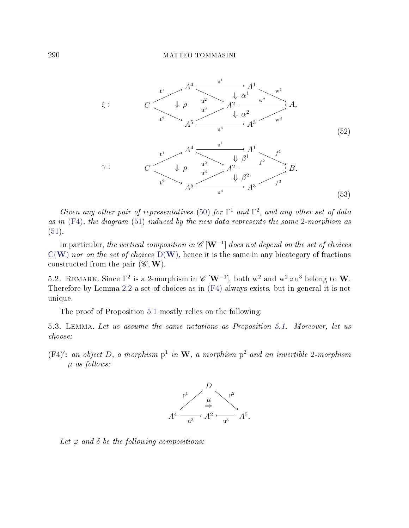<span id="page-33-0"></span>

Given any other pair of representatives [\(50\)](#page-32-1) for  $\Gamma^1$  and  $\Gamma^2$ , and any other set of data as in  $(F4)$ , the diagram  $(51)$  induced by the new data represents the same 2-morphism as  $(51).$  $(51).$ 

In particular, *the vertical composition in*  $\mathscr{C}\left[\mathbf{W}^{-1}\right]$  does not depend on the set of choices  $C(W)$  $C(W)$  $C(W)$  nor on the set of choices  $D(W)$ , hence it is the same in any bicategory of fractions constructed from the pair  $(\mathscr{C}, \mathbf{W})$ .

5.2. REMARK. Since  $\Gamma^2$  is a 2-morphism in  $\mathscr{C}[W^{-1}]$ , both  $w^2$  and  $w^2 \circ u^3$  belong to  $W$ . Therefore by Lemma [2.2](#page-9-0) a set of choices as in [\(F4\)](#page-32-2) always exists, but in general it is not unique.

The proof of Proposition [5.1](#page-32-0) mostly relies on the following:

5.3. Lemma. Let us assume the same notations as Proposition [5.1.](#page-32-0) Moreover, let us choose:

(F4)': an object D, a morphism  $p^1$  in W, a morphism  $p^2$  and an invertible 2-morphism  $\mu$  as follows:

<span id="page-33-1"></span>

Let  $\varphi$  and  $\delta$  be the following compositions: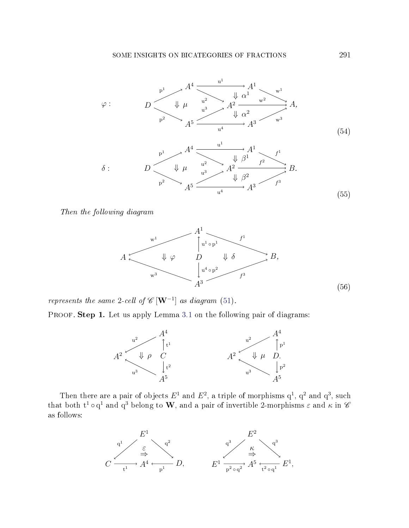

Then the following diagram

<span id="page-34-1"></span><span id="page-34-0"></span>

represents the same 2-cell of  $\mathscr{C}[\mathbf{W}^{-1}]$  as diagram [\(51\)](#page-32-3).

PROOF. **Step 1.** Let us apply Lemma [3.1](#page-11-0) on the following pair of diagrams:



Then there are a pair of objects  $E^1$  and  $E^2$ , a triple of morphisms  $q^1$ ,  $q^2$  and  $q^3$ , such that both  $\mathrm{t}^1\circ \mathrm{q}^1$  and  $\mathrm{q}^3$  belong to  $\mathbf W,$  and a pair of invertible 2-morphisms  $\varepsilon$  and  $\kappa$  in  $\operatorname{\mathscr{C}}$ as follows:

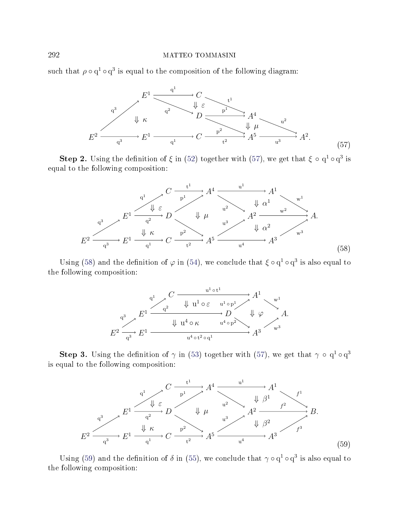<span id="page-35-0"></span>such that  $\rho \circ q^1 \circ q^3$  is equal to the composition of the following diagram:



<span id="page-35-1"></span>**Step 2.** Using the definition of  $\xi$  in [\(52\)](#page-33-0) together with [\(57\)](#page-35-0), we get that  $\xi \circ q^1 \circ q^3$  is equal to the following composition:



Using [\(58\)](#page-35-1) and the definition of  $\varphi$  in [\(54\)](#page-34-0), we conclude that  $\xi \circ q^1 \circ q^3$  is also equal to the following composition:



<span id="page-35-2"></span>**Step 3.** Using the definition of  $\gamma$  in [\(53\)](#page-33-1) together with [\(57\)](#page-35-0), we get that  $\gamma \circ q^1 \circ q^3$ is equal to the following composition:



Using [\(59\)](#page-35-2) and the definition of  $\delta$  in [\(55\)](#page-34-1), we conclude that  $\gamma \circ q^1 \circ q^3$  is also equal to the following composition: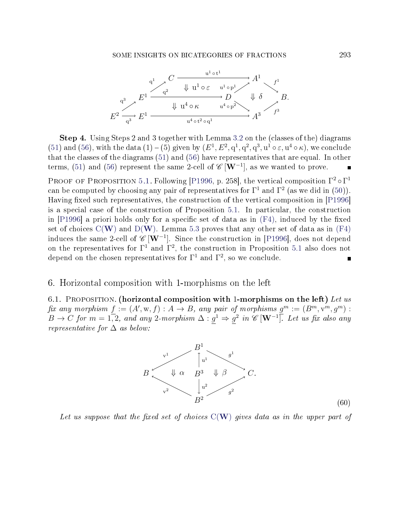

Step 4. Using Steps 2 and 3 together with Lemma [3.2](#page-15-0) on the (classes of the) diagrams [\(51\)](#page-32-0) and [\(56\)](#page-34-0), with the data (1) – (5) given by  $(E^1, E^2, q^1, q^2, q^3, u^1 \circ \varepsilon, u^4 \circ \kappa)$ , we conclude that the classes of the diagrams [\(51\)](#page-32-0) and [\(56\)](#page-34-0) have representatives that are equal. In other terms, [\(51\)](#page-32-0) and [\(56\)](#page-34-0) represent the same 2-cell of  $\mathscr{C}[\mathbf{W}^{-1}]$ , as we wanted to prove.  $\blacksquare$ 

PROOF OF PROPOSITION [5.1.](#page-32-1) Following [\[P1996,](#page-71-0) p. 258], the vertical composition  $\Gamma^2 \circ \Gamma^1$ can be computed by choosing any pair of representatives for  $\Gamma^1$  and  $\Gamma^2$  (as we did in [\(50\)](#page-32-2)). Having fixed such representatives, the construction of the vertical composition in  $[P1996]$ is a special case of the construction of Proposition [5.1.](#page-32-1) In particular, the construction in  $[P1996]$  a priori holds only for a specific set of data as in  $(F4)$ , induced by the fixed set of choices  $C(W)$  $C(W)$  $C(W)$  and  $D(W)$ . Lemma [5.3](#page-33-0) proves that any other set of data as in [\(F4\)](#page-32-3) induces the same 2-cell of  $\mathscr{C}\left[\mathbf{W}^{-1}\right]$ . Since the construction in [\[P1996\]](#page-71-0), does not depend on the representatives for  $\Gamma^1$  and  $\Gamma^2$ , the construction in Proposition [5.1](#page-32-1) also does not depend on the chosen representatives for  $\Gamma^1$  and  $\Gamma^2$ , so we conclude.

#### 6. Horizontal composition with 1-morphisms on the left

<span id="page-36-1"></span><span id="page-36-0"></span>6.1. PROPOSITION. (horizontal composition with 1-morphisms on the left) Let us fix any morphism  $f := (A', w, f) : A \to B$ , any pair of morphisms  $g^m := (B^m, v^m, g^m)$ :  $B \to C$  for  $m = 1, 2$ , and any 2-morphism  $\Delta : g^1 \Rightarrow g^2$  in  $\mathscr{C}[\mathbf{W}^{-1}]$ . Let us fix also any representative for  $\Delta$  as below:



Let us suppose that the fixed set of choices  $C(W)$  $C(W)$  $C(W)$  gives data as in the upper part of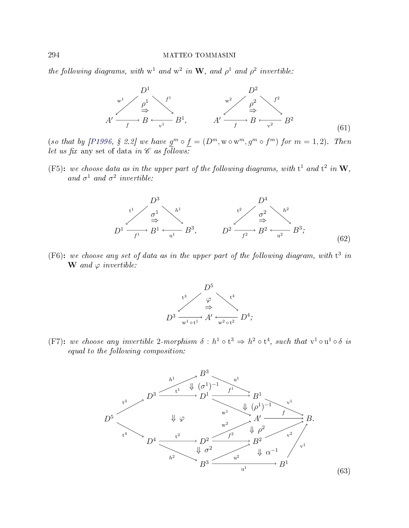the following diagrams, with  $w^1$  and  $w^2$  in W, and  $\rho^1$  and  $\rho^2$  invertible:



(so that by [\[P1996,](#page-71-0) § 2.2] we have  $g^m \circ f = (D^m, w \circ w^m, g^m \circ f^m)$  for  $m = 1, 2$ ). Then let us fix any set of data in  $\mathscr C$  as follows:

<span id="page-37-2"></span><span id="page-37-0"></span>(F5): we choose data as in the upper part of the following diagrams, with  $t^1$  and  $t^2$  in  $W$ , and  $\sigma^1$  and  $\sigma^2$  invertible:



<span id="page-37-3"></span>(F6): we choose any set of data as in the upper part of the following diagram, with  $t^3$  in  **and**  $\varphi$  **invertible:** 



<span id="page-37-4"></span><span id="page-37-1"></span>(F7): we choose any invertible 2-morphism  $\delta : h^1 \circ t^3 \Rightarrow h^2 \circ t^4$ , such that  $v^1 \circ u^1 \circ \delta$  is equal to the following composition:

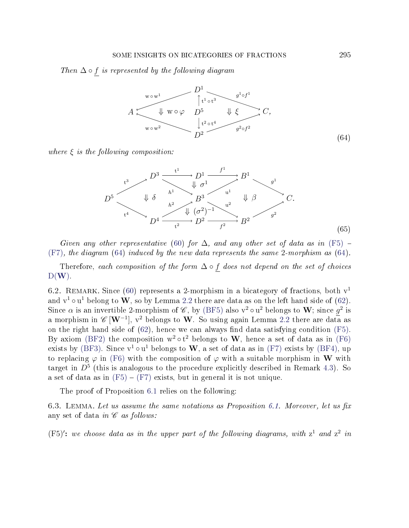<span id="page-38-0"></span>Then  $\Delta \circ f$  is represented by the following diagram



<span id="page-38-1"></span>where  $\xi$  is the following composition:



Given any other representative [\(60\)](#page-36-0) for  $\Delta$ , and any other set of data as in [\(F5\)](#page-37-0) – [\(F7\)](#page-37-1), the diagram [\(64\)](#page-38-0) induced by the new data represents the same 2-morphism as [\(64\)](#page-38-0).

Therefore, each composition of the form  $\Delta \circ f$  does not depend on the set of choices  $D(W)$  $D(W)$  $D(W)$ .

6.2. REMARK. Since [\(60\)](#page-36-0) represents a 2-morphism in a bicategory of fractions, both  $v<sup>1</sup>$ and  $v^1 \circ u^1$  belong to  $\bf{W}$ , so by Lemma [2.2](#page-9-0) there are data as on the left hand side of [\(62\)](#page-37-2). Since  $\alpha$  is an invertible 2-morphism of  $\mathscr{C}$ , by [\(BF5\)](#page-1-0) also  $v^2 \circ u^2$  belongs to W; since  $g^2$  is a morphism in  $\mathscr{C}\left[\mathbf{W}^{-1}\right],$   $\mathrm{v}^2$  belongs to  $\mathbf{W}.$  So using again Lemma [2.2](#page-9-0) there are data as on the right hand side of  $(62)$ , hence we can always find data satisfying condition  $(F5)$ . By axiom [\(BF2\)](#page-0-0) the composition  $w^2 \circ t^2$  belongs to W, hence a set of data as in [\(F6\)](#page-37-3) exists by [\(BF3\)](#page-1-1). Since  $v^1 \circ u^1$  belongs to  $W$ , a set of data as in [\(F7\)](#page-37-1) exists by [\(BF4\)](#page-1-2), up to replacing  $\varphi$  in [\(F6\)](#page-37-3) with the composition of  $\varphi$  with a suitable morphism in W with target in  $D^5$  (this is analogous to the procedure explicitly described in Remark [4.3\)](#page-28-0). So a set of data as in  $(F5) - (F7)$  $(F5) - (F7)$  $(F5) - (F7)$  exists, but in general it is not unique.

The proof of Proposition [6.1](#page-36-1) relies on the following:

<span id="page-38-2"></span>6.3. LEMMA. Let us assume the same notations as Proposition [6.1.](#page-36-1) Moreover, let us fix any set of data in  $\mathscr C$  as follows:

(F5)': we choose data as in the upper part of the following diagrams, with  $z^1$  and  $z^2$  in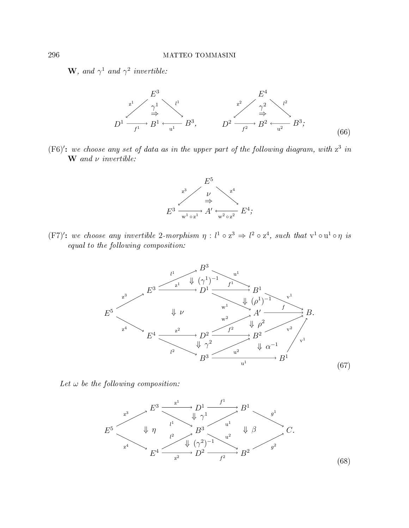**W**, and  $\gamma^1$  and  $\gamma^2$  invertible:



(F6)': we choose any set of data as in the upper part of the following diagram, with  $z^3$  in  **and**  $\nu$  **invertible:** 



<span id="page-39-1"></span>(F7)': we choose any invertible 2-morphism  $\eta: l^1 \circ z^3 \Rightarrow l^2 \circ z^4$ , such that  $v^1 \circ u^1 \circ \eta$  is equal to the following composition:



<span id="page-39-0"></span>Let  $\omega$  be the following composition:

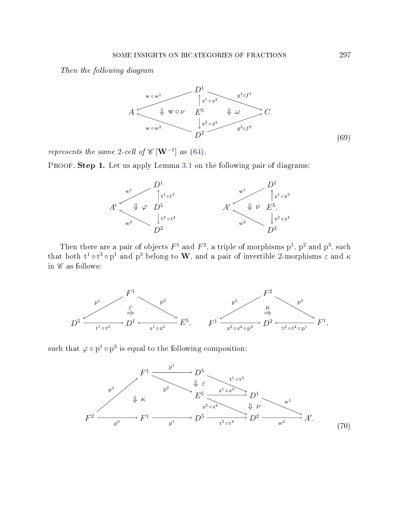<span id="page-40-1"></span>Then the following diagram



represents the same 2-cell of  $\mathscr{C}[\mathbf{W}^{-1}]$  as [\(64\)](#page-38-0).

PROOF. Step 1. Let us apply Lemma [3.1](#page-11-0) on the following pair of diagrams:



Then there are a pair of objects  $F^1$  and  $F^2$ , a triple of morphisms  $p^1$ ,  $p^2$  and  $p^3$ , such that both  $t^1 \circ t^3 \circ p^1$  and  $p^3$  belong to W, and a pair of invertible 2-morphisms  $\varepsilon$  and  $\kappa$ in  $\mathscr C$  as follows:



<span id="page-40-0"></span>such that  $\varphi \circ p^1 \circ p^3$  is equal to the following composition:

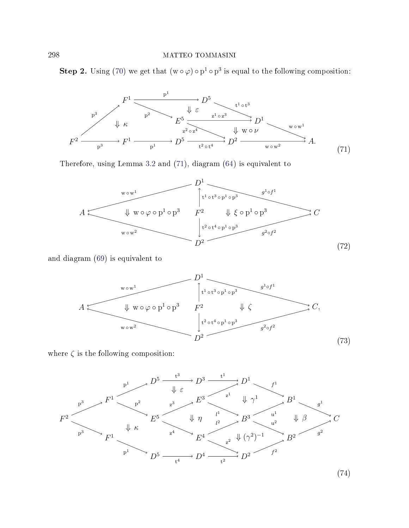<span id="page-41-0"></span>**Step 2.** Using [\(70\)](#page-40-0) we get that  $(w \circ \varphi) \circ p^1 \circ p^3$  is equal to the following composition:



<span id="page-41-1"></span>Therefore, using Lemma [3.2](#page-15-0) and [\(71\)](#page-41-0), diagram [\(64\)](#page-38-0) is equivalent to



<span id="page-41-2"></span>and diagram [\(69\)](#page-40-1) is equivalent to



<span id="page-41-3"></span>where  $\zeta$  is the following composition:

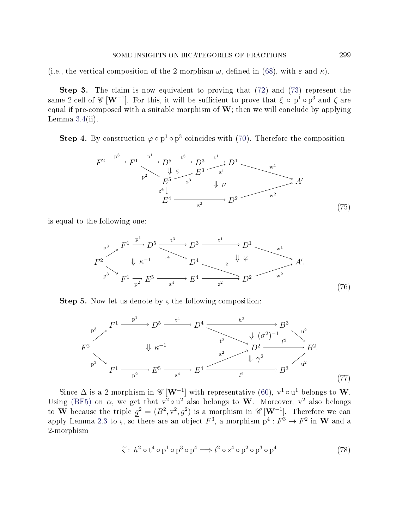(i.e., the vertical composition of the 2-morphism  $\omega$ , defined in [\(68\)](#page-39-0), with  $\varepsilon$  and  $\kappa$ ).

Step 3. The claim is now equivalent to proving that [\(72\)](#page-41-1) and [\(73\)](#page-41-2) represent the same 2-cell of  $\mathscr{C}\,[\mathbf{W}^{-1}]$ . For this, it will be sufficient to prove that  $\xi\, \circ\, {\rm p}^1\, \circ\, {\rm p}^3$  and  $\zeta$  are equal if pre-composed with a suitable morphism of  $W$ ; then we will conclude by applying Lemma  $3.4$ (ii).

<span id="page-42-1"></span>**Step 4.** By construction  $\varphi \circ p^1 \circ p^3$  coincides with [\(70\)](#page-40-0). Therefore the composition

$$
F^{2} \xrightarrow{p^{3}} F^{1} \xrightarrow{p^{1}} D^{5} \xrightarrow{t^{3}} D^{3} \xrightarrow{t^{1}} D^{1} \xrightarrow{w^{1}}
$$
\n
$$
E^{5} \xrightarrow{z^{3}} E^{3} \xrightarrow{t^{1}} \psi
$$
\n
$$
E^{4} \xrightarrow{L^{4} \downarrow} D^{2} \xrightarrow{w^{2}} D^{3}
$$
\n
$$
F^{4} \xrightarrow{z^{2}} D^{2} \xrightarrow{w^{2}}
$$
\n(75)

<span id="page-42-2"></span>is equal to the following one:

$$
F^2
$$
\n
$$
F^1 \xrightarrow{\mathbf{p}^1} D^5 \xrightarrow{\mathbf{t}^3} D^3 \xrightarrow{\mathbf{t}^1} D^1 \xrightarrow{\mathbf{w}^1} \mathbf{w}^1
$$
\n
$$
F^2
$$
\n
$$
\downarrow \kappa^{-1} \qquad \qquad \downarrow^4 \qquad \qquad D^4 \qquad \qquad \downarrow \varphi \qquad \qquad \downarrow \varphi
$$
\n
$$
\downarrow^2 \qquad \qquad \downarrow \varphi \qquad \qquad \downarrow \varphi
$$
\n
$$
F^1 \xrightarrow{\mathbf{p}^2} E^5 \xrightarrow{\mathbf{z}^4} E^4 \xrightarrow{\mathbf{z}^2} D^2 \qquad \qquad \mathbf{w}^2
$$
\n
$$
(76)
$$

<span id="page-42-0"></span>**Step 5.** Now let us denote by  $\varsigma$  the following composition:



<span id="page-42-3"></span>Since  $\Delta$  is a 2-morphism in  $\mathscr{C}[\mathbf{W}^{-1}]$  with representative [\(60\)](#page-36-0),  $v^1 \circ u^1$  belongs to W. Using [\(BF5\)](#page-1-0) on  $\alpha$ , we get that  $v^2 \circ u^2$  also belongs to W. Moreover,  $v^2$  also belongs to W because the triple  $g^2 = (B^2, v^2, g^2)$  is a morphism in  $\mathscr{C}[\mathbf{W}^{-1}]$ . Therefore we can apply Lemma [2.3](#page-9-1) to  $\varsigma$ , so there are an object  $F^3$ , a morphism  $\mathrm{p}^4 : F^3 \to F^2$  in  $\mathbf W$  and a 2-morphism

$$
\tilde{\varsigma}: h^2 \circ t^4 \circ p^1 \circ p^3 \circ p^4 \Longrightarrow l^2 \circ z^4 \circ p^2 \circ p^3 \circ p^4 \tag{78}
$$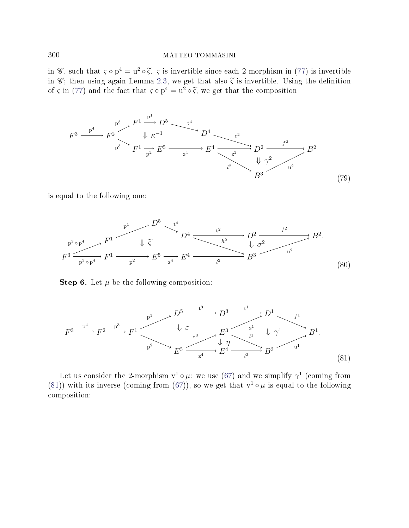in  $\mathscr{C}$ , such that  $\varsigma \circ p^4 = u^2 \circ \widetilde{\varsigma}$ .  $\varsigma$  is invertible since each 2-morphism in [\(77\)](#page-42-0) is invertible<br>in  $\mathscr{C}$ : then using again I emma 2.3, we get that also  $\widetilde{\varsigma}$  is invertible. Using the definition in  $\mathscr{C}$ ; then using again Lemma [2.3,](#page-9-1) we get that also  $\tilde{\zeta}$  is invertible. Using the definition of  $\varsigma$  in [\(77\)](#page-42-0) and the fact that  $\varsigma \circ p^4 = u^2 \circ \widetilde{\varsigma}$ , we get that the composition

<span id="page-43-1"></span>

<span id="page-43-2"></span>is equal to the following one:



<span id="page-43-0"></span>**Step 6.** Let  $\mu$  be the following composition:

$$
F^3 \xrightarrow{p^4} F^2 \xrightarrow{p^3} F^1 \xrightarrow{\downarrow} E^5 \xrightarrow{z^3} E^3 \xrightarrow{l^1} L^1 \xrightarrow{l^1} B^1.
$$
\n
$$
E^5 \xrightarrow{z^3} E^4 \xrightarrow{l^1} E^4 \xrightarrow{l^2} B^3 \xrightarrow{u^1} E^1.
$$
\n(81)

Let us consider the 2-morphism  $v^1 \circ \mu$ : we use [\(67\)](#page-39-1) and we simplify  $\gamma^1$  (coming from [\(81\)](#page-43-0)) with its inverse (coming from [\(67\)](#page-39-1)), so we get that  $v^1 \circ \mu$  is equal to the following composition: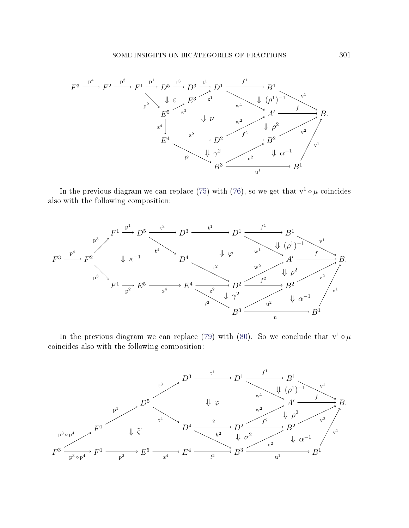

In the previous diagram we can replace [\(75\)](#page-42-1) with [\(76\)](#page-42-2), so we get that  $v^1 \circ \mu$  coincides also with the following composition:



In the previous diagram we can replace [\(79\)](#page-43-1) with [\(80\)](#page-43-2). So we conclude that  $v^1 \circ \mu$ coincides also with the following composition:

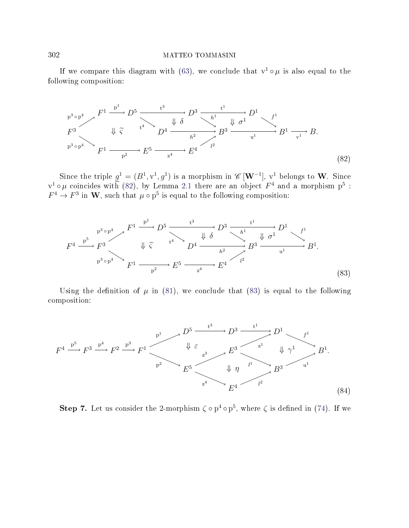<span id="page-45-0"></span>If we compare this diagram with [\(63\)](#page-37-4), we conclude that  $v^1 \circ \mu$  is also equal to the following composition:

$$
F^3 \longrightarrow F^1 \longrightarrow D^5 \longrightarrow t^3
$$
\n
$$
F^3 \longrightarrow \bigoplus_{p^3 \circ p^4} \bigoplus_{\mathcal{F}^1} \bigoplus_{p^2} \bigoplus_{\mathcal{F}^5} t^4 \longrightarrow D^4 \longrightarrow t^3
$$
\n
$$
D^4 \longrightarrow t^1 \longrightarrow t^1
$$
\n
$$
B^3 \longrightarrow t^1
$$
\n
$$
B^3 \longrightarrow t^1
$$
\n
$$
B^1 \longrightarrow t^1
$$
\n
$$
B^1 \longrightarrow t^1
$$
\n
$$
B^1 \longrightarrow t^1
$$
\n
$$
B^1 \longrightarrow t^1
$$
\n
$$
B^1 \longrightarrow t^1
$$
\n
$$
(82)
$$

Since the triple  $g^1 = (B^1, v^1, g^1)$  is a morphism in  $\mathscr{C}[\mathbf{W}^{-1}]$ ,  $v^1$  belongs to W. Since  $v^1 \circ \mu$  coincides with [\(82\)](#page-45-0), by Lemma [2.1](#page-8-0) there are an object  $F^4$  and a morphism  $p^5$  :  $F^4 \to F^3$  in W, such that  $\mu \circ p^5$  is equal to the following composition:

<span id="page-45-1"></span>
$$
F^{4} \xrightarrow{p^{5} \circ p^{4}} F^{3} \qquad \downarrow \widetilde{\zeta} \qquad \downarrow \widetilde{\delta} \qquad \downarrow \widetilde{\delta} \qquad \downarrow \widetilde{\delta} \qquad \downarrow \widetilde{\delta}^{1} \qquad \downarrow \widetilde{\delta}^{1} \qquad \downarrow \widetilde{\delta}^{1} \qquad \downarrow \widetilde{\delta}^{1} \qquad \downarrow \widetilde{\delta}^{1} \qquad \downarrow \widetilde{\delta}^{1} \qquad \downarrow \widetilde{\delta}^{1} \qquad \downarrow \widetilde{\delta}^{1} \qquad \downarrow \widetilde{\delta}^{1} \qquad \downarrow \widetilde{\delta}^{1} \qquad \downarrow \widetilde{\delta}^{1} \qquad \downarrow \widetilde{\delta}^{1} \qquad \downarrow \widetilde{\delta}^{1} \qquad \downarrow \widetilde{\delta}^{1} \qquad \downarrow \widetilde{\delta}^{1} \qquad \downarrow \widetilde{\delta}^{1} \qquad \downarrow \widetilde{\delta}^{1} \qquad \downarrow \widetilde{\delta}^{1} \qquad \downarrow \widetilde{\delta}^{1} \qquad \downarrow \widetilde{\delta}^{1} \qquad \downarrow \widetilde{\delta}^{1} \qquad \downarrow \widetilde{\delta}^{1} \qquad \downarrow \widetilde{\delta}^{1} \qquad \downarrow \widetilde{\delta}^{1} \qquad \downarrow \widetilde{\delta}^{1} \qquad \downarrow \widetilde{\delta}^{1} \qquad \downarrow \widetilde{\delta}^{1} \qquad \downarrow \widetilde{\delta}^{1} \qquad \downarrow \widetilde{\delta}^{1} \qquad \downarrow \widetilde{\delta}^{1} \qquad \downarrow \widetilde{\delta}^{1} \qquad \downarrow \widetilde{\delta}^{1} \qquad \downarrow \widetilde{\delta}^{1} \qquad \downarrow \widetilde{\delta}^{1} \qquad \downarrow \widetilde{\delta}^{1} \qquad \downarrow \widetilde{\delta}^{1} \qquad \downarrow \widetilde{\delta}^{1} \qquad \downarrow \widetilde{\delta}^{1} \qquad \downarrow \widetilde{\delta}^{1} \qquad \downarrow \widetilde{\delta}^{1} \qquad \downarrow \widetilde{\delta}^{1} \qquad \downarrow \widetilde{\delta}^{1} \qquad \downarrow \widetilde{\delta
$$

Using the definition of  $\mu$  in [\(81\)](#page-43-0), we conclude that [\(83\)](#page-45-1) is equal to the following composition:

<span id="page-45-2"></span>

Step 7. Let us consider the 2-morphism  $\zeta \circ p^4 \circ p^5$ , where  $\zeta$  is defined in [\(74\)](#page-41-3). If we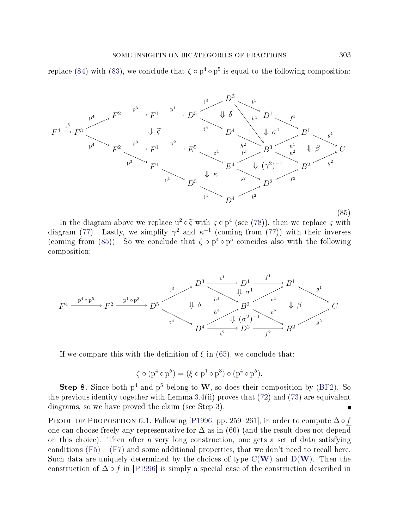<span id="page-46-0"></span>replace [\(84\)](#page-45-2) with [\(83\)](#page-45-1), we conclude that  $\zeta \circ p^4 \circ p^5$  is equal to the following composition:



In the diagram above we replace  $u^2 \circ \tilde{\zeta}$  with  $\zeta \circ p^4$  (see [\(78\)](#page-42-3)), then we replace  $\zeta$  with replace  $\zeta$  with replace  $\zeta$  with replace  $\zeta$  with replace  $\zeta$ diagram [\(77\)](#page-42-0). Lastly, we simplify  $\gamma^2$  and  $\kappa^{-1}$  (coming from (77)) with their inverses (coming from [\(85\)](#page-46-0)). So we conclude that  $\zeta \circ p^4 \circ p^5$  coincides also with the following composition:



If we compare this with the definition of  $\xi$  in [\(65\)](#page-38-1), we conclude that:

$$
\zeta \circ (p^4 \circ p^5) = (\xi \circ p^1 \circ p^3) \circ (p^4 \circ p^5).
$$

**Step 8.** Since both  $p^4$  and  $p^5$  belong to W, so does their composition by [\(BF2\)](#page-0-0). So the previous identity together with Lemma [3.4\(](#page-17-0)ii) proves that  $(72)$  and  $(73)$  are equivalent diagrams, so we have proved the claim (see Step 3).  $\blacksquare$ 

PROOF OF PROPOSITION [6.1.](#page-36-1) Following [\[P1996,](#page-71-0) pp. 259–261], in order to compute  $\Delta \circ f$ one can choose freely any representative for  $\Delta$  as in [\(60\)](#page-36-0) (and the result does not depend on this choice). Then after a very long construction, one gets a set of data satisfying conditions  $(F5) - (F7)$  $(F5) - (F7)$  $(F5) - (F7)$  and some additional properties, that we don't need to recall here. Such data are uniquely determined by the choices of type  $C(W)$  $C(W)$  $C(W)$  and  $D(W)$ . Then the construction of  $\Delta \circ f$  in [\[P1996\]](#page-71-0) is simply a special case of the construction described in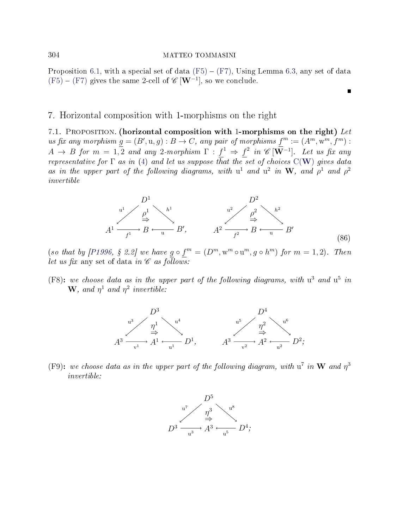Proposition [6.1,](#page-36-1) with a special set of data  $(F5) - (F7)$  $(F5) - (F7)$  $(F5) - (F7)$ , Using Lemma [6.3,](#page-38-2) any set of data  $(F5) - (F7)$  $(F5) - (F7)$  $(F5) - (F7)$  gives the same 2-cell of  $\mathscr{C}[\mathbf{W}^{-1}]$ , so we conclude.

### 7. Horizontal composition with 1-morphisms on the right

<span id="page-47-3"></span>7.1. PROPOSITION. (horizontal composition with 1-morphisms on the right) Let us fix any morphism  $g = (B', u, g) : B \to C$ , any pair of morphisms  $f^m := (A^m, w^m, f^m)$ :  $A \rightarrow B$  for  $m = 1,2$  and any 2-morphism  $\Gamma : f^1 \Rightarrow f^2$  in  $\mathscr{C}[\mathbf{W}^{-1}]$ . Let us fix any representative for  $\Gamma$  as in [\(4\)](#page-3-0) and let us suppose that the set of choices  $C(W)$  $C(W)$  $C(W)$  gives data as in the upper part of the following diagrams, with  $u^1$  and  $u^2$  in W, and  $\rho^1$  and  $\rho^2$ invertible

$$
A^{1} \xrightarrow{\mu^{1}} B \xrightarrow{\mu^{1}} B'
$$
\n
$$
A^{2} \xrightarrow{p^{2}} B \xrightarrow{\mu^{2}} B'
$$
\n
$$
B'
$$
\n
$$
A^{2} \xrightarrow{f^{2}} B \xrightarrow{\mu^{2}} B'
$$
\n
$$
(86)
$$

п

(so that by [\[P1996,](#page-71-0) § 2.2] we have  $g \circ f^{m} = (D^{m}, w^{m} \circ u^{m}, g \circ h^{m})$  for  $m = 1, 2$ ). Then let us fix any set of data in  $\mathscr C$  as follows:

<span id="page-47-0"></span>(F8): we choose data as in the upper part of the following diagrams, with  $u^3$  and  $u^5$  in **W**, and  $\eta^1$  and  $\eta^2$  invertible:



<span id="page-47-2"></span><span id="page-47-1"></span>(F9): we choose data as in the upper part of the following diagram, with  $u^7$  in W and  $\eta^3$ invertible:

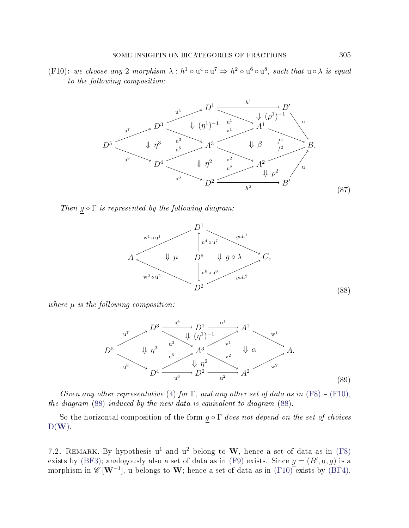<span id="page-48-1"></span>(F10): we choose any 2-morphism  $\lambda : h^1 \circ u^4 \circ u^7 \Rightarrow h^2 \circ u^6 \circ u^8$ , such that  $u \circ \lambda$  is equal to the following composition:



<span id="page-48-0"></span>Then  $g \circ \Gamma$  is represented by the following diagram:



<span id="page-48-2"></span>where  $\mu$  is the following composition:



Given any other representative [\(4\)](#page-3-0) for  $\Gamma$ , and any other set of data as in [\(F8\)](#page-47-0) – [\(F10\)](#page-47-1), the diagram [\(88\)](#page-48-0) induced by the new data is equivalent to diagram [\(88\)](#page-48-0).

So the horizontal composition of the form  $g \circ \Gamma$  does not depend on the set of choices  $D(W)$  $D(W)$  $D(W)$ .

7.2. REMARK. By hypothesis  $u^1$  and  $u^2$  belong to W, hence a set of data as in [\(F8\)](#page-47-0) exists by [\(BF3\)](#page-1-1); analogously also a set of data as in [\(F9\)](#page-47-2) exists. Since  $g = (B', u, g)$  is a morphism in  $\mathscr{C}[W^{-1}]$ , u belongs to W; hence a set of data as in  $(F10)$  exists by [\(BF4\)](#page-1-2),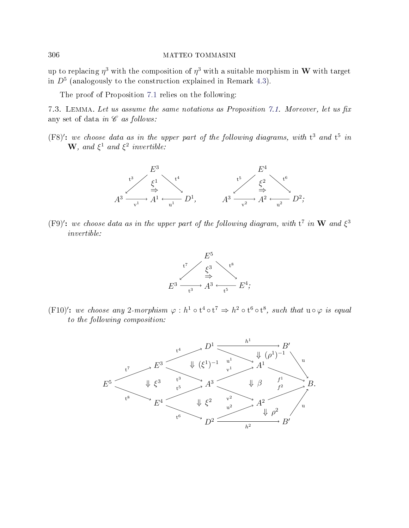up to replacing  $\eta^3$  with the composition of  $\eta^3$  with a suitable morphism in  ${\bf W}$  with target in  $D<sup>5</sup>$  (analogously to the construction explained in Remark [4.3\)](#page-28-0).

The proof of Proposition [7.1](#page-47-3) relies on the following:

<span id="page-49-1"></span>7.3. LEMMA. Let us assume the same notations as Proposition [7.1.](#page-47-3) Moreover, let us fix any set of data in  $\mathscr C$  as follows:

(F8)': we choose data as in the upper part of the following diagrams, with  $t^3$  and  $t^5$  in **W**, and  $\xi^1$  and  $\xi^2$  invertible:



(F9)': we choose data as in the upper part of the following diagram, with  $t^7$  in W and  $\xi^3$ invertible:



<span id="page-49-0"></span>(F10)': we choose any 2-morphism  $\varphi : h^1 \circ t^4 \circ t^7 \Rightarrow h^2 \circ t^6 \circ t^8$ , such that  $u \circ \varphi$  is equal to the following composition:

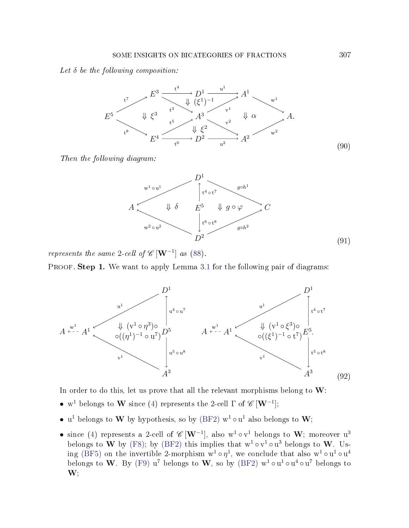### <span id="page-50-1"></span>Let  $\delta$  be the following composition:



<span id="page-50-2"></span>Then the following diagram:



represents the same 2-cell of  $\mathscr{C}[\mathbf{W}^{-1}]$  as [\(88\)](#page-48-0).

<span id="page-50-0"></span>PROOF. Step 1. We want to apply Lemma [3.1](#page-11-0) for the following pair of diagrams:



In order to do this, let us prove that all the relevant morphisms belong to  $W$ :

- w<sup>1</sup> belongs to **W** since [\(4\)](#page-3-0) represents the 2-cell  $\Gamma$  of  $\mathscr{C}$  [**W**<sup>-1</sup>];
- u<sup>1</sup> belongs to W by hypothesis, so by [\(BF2\)](#page-0-0)  $w^1 \circ u^1$  also belongs to W;
- since [\(4\)](#page-3-0) represents a 2-cell of  $\mathscr{C}[W^{-1}]$ , also  $w^1 \circ v^1$  belongs to  $W$ ; moreover  $u^3$ belongs to W by [\(F8\)](#page-47-0); by [\(BF2\)](#page-0-0) this implies that  $w^1 \circ v^1 \circ u^3$  belongs to W. Us-ing [\(BF5\)](#page-1-0) on the invertible 2-morphism  $w^1 \circ \eta^1$ , we conclude that also  $w^1 \circ u^1 \circ u^4$ belongs to  $\bf{W}$ . By [\(F9\)](#page-47-2)  $\bf{u}^7$  belongs to  $\bf{W}$ , so by [\(BF2\)](#page-0-0)  $\bf{w}^1 \circ \bf{u}^1 \circ \bf{u}^4 \circ \bf{u}^7$  belongs to  $\mathbf{W}$ ;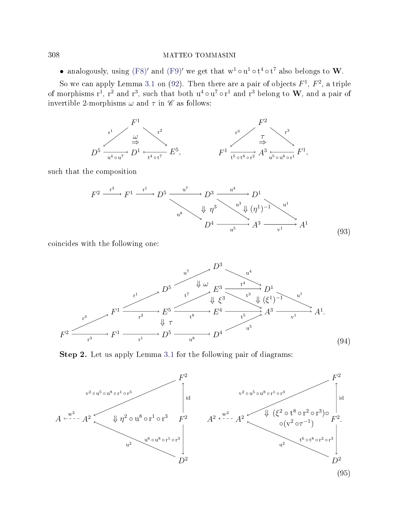• analogously, using [\(F8\)](#page-47-0)' and [\(F9\)](#page-47-2)' we get that  $w^1 \circ u^1 \circ t^4 \circ t^7$  also belongs to W.

So we can apply Lemma [3.1](#page-11-0) on [\(92\)](#page-50-0). Then there are a pair of objects  $F^1$ ,  $F^2$ , a triple of morphisms  $r^1$ ,  $r^2$  and  $r^3$ , such that both  $u^4 \circ u^7 \circ r^1$  and  $r^3$  belong to  $\bf W$ , and a pair of invertible 2-morphisms  $\omega$  and  $\tau$  in  $\mathscr C$  as follows:



<span id="page-51-1"></span>such that the composition

$$
F^{2} \xrightarrow{\mathrm{r}^{3}} F^{1} \xrightarrow{\mathrm{r}^{1}} D^{5} \xrightarrow{\mathrm{u}^{7}} D^{3} \xrightarrow{\mathrm{u}^{4}} D^{1}
$$
\n
$$
\downarrow \eta^{3} \searrow^{\mathrm{u}^{3}} \downarrow (\eta^{1})^{-1} \searrow^{\mathrm{u}^{1}}
$$
\n
$$
D^{4} \xrightarrow{\mathrm{u}^{5}} A^{3} \xrightarrow{\mathrm{v}^{1}} A^{1}
$$
\n(93)

<span id="page-51-2"></span>coincides with the following one:



Step 2. Let us apply Lemma [3.1](#page-11-0) for the following pair of diagrams:

<span id="page-51-0"></span>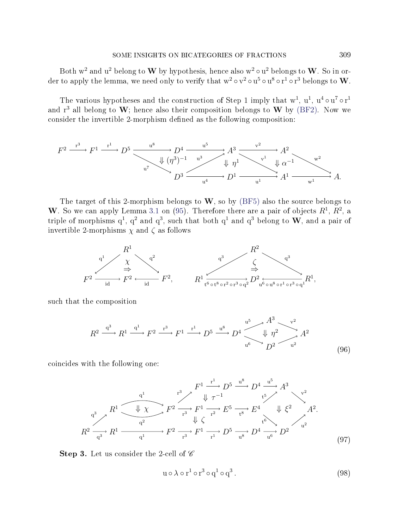Both  $w^2$  and  $u^2$  belong to  $\bf{W}$  by hypothesis, hence also  $w^2 \circ u^2$  belongs to  $\bf{W}$ . So in order to apply the lemma, we need only to verify that  $\rm w^2 \circ v^2 \circ u^5 \circ u^8 \circ r^1 \circ r^3$  belongs to  $\rm \bf W$ .

The various hypotheses and the construction of Step 1 imply that  $w^1$ ,  $u^1$ ,  $u^4 \circ u^7 \circ r^1$ and  $r^3$  all belong to  $W$ ; hence also their composition belongs to  $W$  by [\(BF2\)](#page-0-0). Now we consider the invertible 2-morphism defined as the following composition:

$$
F^2 \xrightarrow{\mathbf{r}^3} F^1 \xrightarrow{\mathbf{r}^1} D^5 \xrightarrow{\mathbf{u}^8} D^4 \xrightarrow{\mathbf{u}^5} A^3 \xrightarrow{\mathbf{v}^2} A^2
$$
  
\n
$$
\downarrow (\eta^3)^{-1} \xrightarrow{\mathbf{u}^3} A^3 \xrightarrow{\mathbf{v}^2} A^2
$$
  
\n
$$
\downarrow \eta^1 \searrow^{\mathbf{v}^1} \downarrow \alpha^{-1} \searrow^{\mathbf{w}^2}
$$
  
\n
$$
D^3 \xrightarrow{\mathbf{u}^4} D^1 \xrightarrow{\mathbf{u}^1} A^1 \xrightarrow{\mathbf{w}^1} A.
$$

The target of this 2-morphism belongs to  $W$ , so by [\(BF5\)](#page-1-0) also the source belongs to W. So we can apply Lemma [3.1](#page-11-0) on [\(95\)](#page-51-0). Therefore there are a pair of objects  $R^1$ ,  $R^2$ , a triple of morphisms  $q^1$ ,  $q^2$  and  $q^3$ , such that both  $q^1$  and  $q^3$  belong to  $W$ , and a pair of invertible 2-morphisms  $\chi$  and  $\zeta$  as follows



<span id="page-52-0"></span>such that the composition

$$
R^2 \xrightarrow{q^3} R^1 \xrightarrow{q^1} F^2 \xrightarrow{r^3} F^1 \xrightarrow{r^1} D^5 \xrightarrow{u^8} D^4 \xrightarrow{u^5} A^3 \xrightarrow{v^2} A^2
$$
  

$$
\downarrow \eta^2 \xrightarrow{u^2} A^2
$$
  
(96)

<span id="page-52-1"></span>coincides with the following one:

$$
R^{1} \xrightarrow{\text{q}^{1}} R^{1} \xrightarrow{\text{r}^{3}} F^{2} \xrightarrow{\text{r}^{3}} F^{1} \xrightarrow{\text{r}^{2}} E^{5} \xrightarrow{\text{t}^{8}} D^{4} \xrightarrow{\text{t}^{5}} A^{3}
$$
\n
$$
R^{2} \xrightarrow{\text{q}^{3}} R^{1} \xrightarrow{\text{q}^{2}} F^{2} \xrightarrow{\text{r}^{3}} F^{1} \xrightarrow{\text{r}^{2}} E^{5} \xrightarrow{\text{t}^{8}} E^{4} \qquad \text{t}^{6} \xrightarrow{\text{t}^{6}} A^{2}.
$$
\n
$$
R^{2} \xrightarrow{\text{q}^{3}} R^{1} \xrightarrow{\text{q}^{1}} F^{2} \xrightarrow{\text{r}^{3}} F^{1} \xrightarrow{\text{r}^{1}} D^{5} \xrightarrow{\text{u}^{8}} D^{4} \xrightarrow{\text{u}^{6}} D^{2}
$$
\n
$$
(97)
$$

<span id="page-52-2"></span>**Step 3.** Let us consider the 2-cell of  $\mathscr C$ 

$$
u \circ \lambda \circ r^1 \circ r^3 \circ q^1 \circ q^3. \tag{98}
$$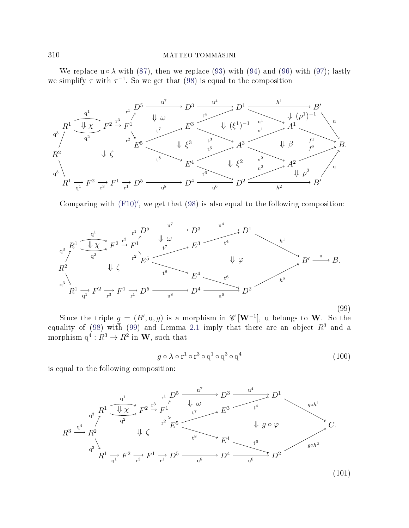We replace  $u \circ \lambda$  with [\(87\)](#page-48-1), then we replace [\(93\)](#page-51-1) with [\(94\)](#page-51-2) and [\(96\)](#page-52-0) with [\(97\)](#page-52-1); lastly we simplify  $\tau$  with  $\tau^{-1}$ . So we get that [\(98\)](#page-52-2) is equal to the composition



<span id="page-53-0"></span>Comparing with  $(F10)'$  $(F10)'$ , we get that  $(98)$  is also equal to the following composition:



(99)

Since the triple  $g = (B', u, g)$  is a morphism in  $\mathscr{C}[\mathbf{W}^{-1}]$ , u belongs to W. So the equality of [\(98\)](#page-52-2) with [\(99\)](#page-53-0) and Lemma [2.1](#page-8-0) imply that there are an object  $R^3$  and a morphism  $q^4: R^3 \to R^2$  in **W**, such that

$$
g \circ \lambda \circ r^1 \circ r^3 \circ q^1 \circ q^3 \circ q^4 \tag{100}
$$

<span id="page-53-2"></span><span id="page-53-1"></span>is equal to the following composition:

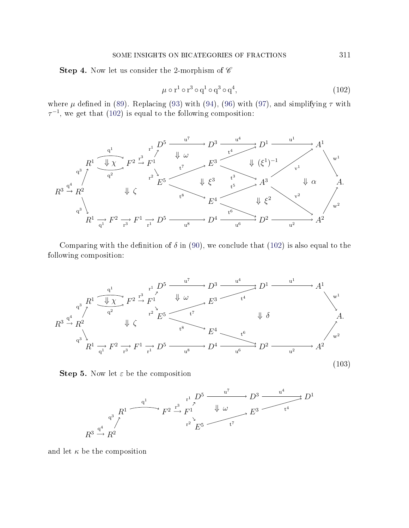<span id="page-54-0"></span>**Step 4.** Now let us consider the 2-morphism of  $\mathscr C$ 

$$
\mu \circ r^1 \circ r^3 \circ q^1 \circ q^3 \circ q^4,\tag{102}
$$

where  $\mu$  defined in [\(89\)](#page-48-2). Replacing [\(93\)](#page-51-1) with [\(94\)](#page-51-2), [\(96\)](#page-52-0) with [\(97\)](#page-52-1), and simplifying  $\tau$  with  $\tau^{-1}$ , we get that [\(102\)](#page-54-0) is equal to the following composition:



Comparing with the definition of  $\delta$  in [\(90\)](#page-50-1), we conclude that [\(102\)](#page-54-0) is also equal to the following composition:

<span id="page-54-1"></span>

**Step 5.** Now let  $\varepsilon$  be the composition



and let  $\kappa$  be the composition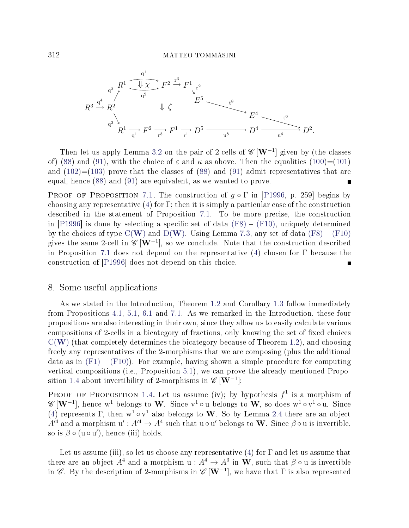

Then let us apply Lemma [3.2](#page-15-0) on the pair of 2-cells of  $\mathscr{C}[\mathbf{W}^{-1}]$  given by (the classes of) [\(88\)](#page-48-0) and [\(91\)](#page-50-2), with the choice of  $\varepsilon$  and  $\kappa$  as above. Then the equalities [\(100\)](#page-53-1)=[\(101\)](#page-53-2) and  $(102)=(103)$  $(102)=(103)$  $(102)=(103)$  prove that the classes of  $(88)$  and  $(91)$  admit representatives that are equal, hence [\(88\)](#page-48-0) and [\(91\)](#page-50-2) are equivalent, as we wanted to prove.  $\blacksquare$ 

PROOF OF PROPOSITION [7.1.](#page-47-3) The construction of  $g \circ \Gamma$  in [\[P1996,](#page-71-0) p. 259] begins by choosing any representative [\(4\)](#page-3-0) for  $\Gamma$ ; then it is simply a particular case of the construction described in the statement of Proposition [7.1.](#page-47-3) To be more precise, the construction in [\[P1996\]](#page-71-0) is done by selecting a specific set of data  $(F8) - (F10)$  $(F8) - (F10)$  $(F8) - (F10)$ , uniquely determined by the choices of type  $C(W)$  $C(W)$  $C(W)$  and  $D(W)$ . Using Lemma [7.3,](#page-49-1) any set of data [\(F8\)](#page-47-0) – [\(F10\)](#page-47-1) gives the same 2-cell in  $\mathscr{C}\left[\mathbf{W}^{-1}\right]$ , so we conclude. Note that the construction described in Proposition [7.1](#page-47-3) does not depend on the representative [\(4\)](#page-3-0) chosen for  $\Gamma$  because the construction of [\[P1996\]](#page-71-0) does not depend on this choice.  $\blacksquare$ 

# 8. Some useful applications

As we stated in the Introduction, Theorem [1.2](#page-7-0) and Corollary [1.3](#page-7-1) follow immediately from Propositions [4.1,](#page-22-0) [5.1,](#page-32-1) [6.1](#page-36-1) and [7.1.](#page-47-3) As we remarked in the Introduction, these four propositions are also interesting in their own, since they allow us to easily calculate various compositions of 2-cells in a bicategory of fractions, only knowing the set of fixed choices  $C(W)$  $C(W)$  $C(W)$  (that completely determines the bicategory because of Theorem [1.2\)](#page-7-0), and choosing freely any representatives of the 2-morphisms that we are composing (plus the additional data as in  $(F1) - (F10)$  $(F1) - (F10)$  $(F1) - (F10)$ . For example, having shown a simple procedure for computing vertical compositions (i.e., Proposition [5.1\)](#page-32-1), we can prove the already mentioned Propo-sition [1.4](#page-7-2) about invertibility of 2-morphisms in  $\mathscr{C}[\mathbf{W}^{-1}]$ :

PROOF OF PROPOSITION [1.4.](#page-7-2) Let us assume (iv); by hypothesis  $f^1$  is a morphism of  $\mathscr{C}\left[\mathbf{W}^{-1}\right]$ , hence w<sup>1</sup> belongs to **W**. Since v<sup>1</sup> ∘u belongs to **W**, so does w<sup>1</sup> ∘v<sup>1</sup> ∘u. Since [\(4\)](#page-3-0) represents  $\Gamma$ , then  $w^1 \circ v^1$  also belongs to W. So by Lemma [2.4](#page-10-0) there are an object  $A'^4$  and a morphism  $\mathbf{u}': A'^4 \to A^4$  such that  $\mathbf{u} \circ \mathbf{u}'$  belongs to  $\mathbf{W}$ . Since  $\beta \circ \mathbf{u}$  is invertible, so is  $\beta \circ (u \circ u')$ , hence (iii) holds.

Let us assume (iii), so let us choose any representative  $(4)$  for  $\Gamma$  and let us assume that there are an object  $A^4$  and a morphism  $\mathrm{u} : A^4 \to A^3$  in  $\mathbf{W},$  such that  $\beta \circ \mathrm{u}$  is invertible in  $\mathscr{C}$ . By the description of 2-morphisms in  $\mathscr{C}[W^{-1}]$ , we have that  $\Gamma$  is also represented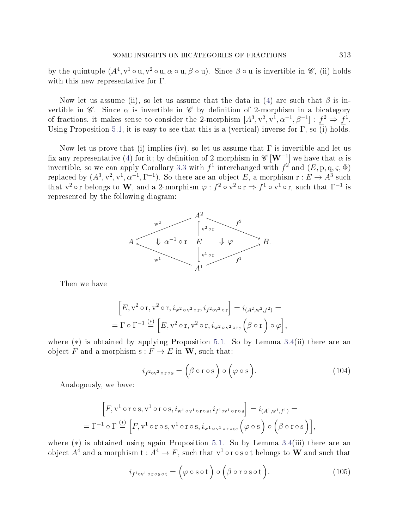by the quintuple  $(A^4, v^1 \circ u, v^2 \circ u, \alpha \circ u, \beta \circ u)$ . Since  $\beta \circ u$  is invertible in  $\mathscr{C}$ , (ii) holds with this new representative for  $\Gamma$ .

Now let us assume (ii), so let us assume that the data in [\(4\)](#page-3-0) are such that  $\beta$  is invertible in  $\mathscr C$ . Since  $\alpha$  is invertible in  $\mathscr C$  by definition of 2-morphism in a bicategory of fractions, it makes sense to consider the 2-morphism  $[A^3, v^2, v^1, \alpha^{-1}, \beta^{-1}] : f^2 \Rightarrow f^1$ . Using Proposition [5.1,](#page-32-1) it is easy to see that this is a (vertical) inverse for  $\Gamma$ , so (i) holds.

Now let us prove that (i) implies (iv), so let us assume that  $\Gamma$  is invertible and let us fix any representative [\(4\)](#page-3-0) for it; by definition of 2-morphism in  $\mathscr{C}\left[\mathbf{W}^{-1}\right]$  we have that  $\alpha$  is invertible, so we can apply Corollary [3.3](#page-16-0) with  $f^1$  interchanged with  $f^2$  and  $(E, \mathrm{p}, \mathrm{q}, \varsigma, \Phi)$ replaced by  $(A^3, v^2, v^1, \alpha^{-1}, \Gamma^{-1})$ . So there are an object E, a morphism  $r : E \to A^3$  such that v<sup>2</sup> ∘ r belongs to W, and a 2-morphism  $\varphi : f^2 \circ v^2 \circ r \Rightarrow f^1 \circ v^1 \circ r$ , such that  $\Gamma^{-1}$  is represented by the following diagram:



Then we have

$$
\[E, v^2 \circ r, v^2 \circ r, i_{w^2 \circ v^2 \circ r}, i_{f^2 \circ v^2 \circ r}\] = i_{(A^2, w^2, f^2)} =
$$
  
=  $\Gamma \circ \Gamma^{-1} \stackrel{(*)}{=} \Big[ E, v^2 \circ r, v^2 \circ r, i_{w^2 \circ v^2 \circ r}, (\beta \circ r) \circ \varphi \Big],$ 

<span id="page-56-0"></span>where (∗) is obtained by applying Proposition [5.1.](#page-32-1) So by Lemma [3.4\(](#page-17-0)ii) there are an object F and a morphism  $s : F \to E$  in W, such that:

$$
i_{f^{2} \text{ov}^{2} \text{or } \text{os}} = (\beta \text{or } \text{os}) \text{ o } (\varphi \text{os}). \tag{104}
$$

Analogously, we have:

$$
\[F, v^1 \circ r \circ s, v^1 \circ r \circ s, i_{w^1 \circ v^1 \circ r \circ s}, i_{f^1 \circ v^1 \circ r \circ s}\] = i_{(A^1, w^1, f^1)} =
$$
\n
$$
= \Gamma^{-1} \circ \Gamma \stackrel{(*)}{=} \Big[ F, v^1 \circ r \circ s, v^1 \circ r \circ s, i_{w^1 \circ v^1 \circ r \circ s}, \Big( \varphi \circ s \Big) \circ \Big( \beta \circ r \circ s \Big) \],
$$

<span id="page-56-1"></span>where (∗) is obtained using again Proposition [5.1.](#page-32-1) So by Lemma [3.4\(](#page-17-0)iii) there are an object  $A^4$  and a morphism  $\text{t} : A^4 \to F,$  such that  $\text{v}^1 \circ \text{r} \circ \text{s} \circ \text{t}$  belongs to  $\textbf{W}$  and such that

$$
i_{f^{1}\text{ov}^{1}\text{orosot}} = (\varphi \circ \text{sot}) \circ (\beta \circ \text{rosot}). \tag{105}
$$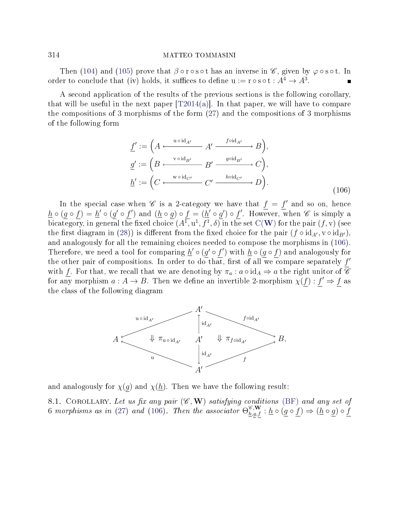Then [\(104\)](#page-56-0) and [\(105\)](#page-56-1) prove that  $\beta \circ r \circ s \circ t$  has an inverse in  $\mathscr{C}$ , given by  $\varphi \circ s \circ t$ . In order to conclude that (iv) holds, it suffices to define  $u := r \circ s \circ t : A^4 \to A^3$ .

<span id="page-57-0"></span>A second application of the results of the previous sections is the following corollary, that will be useful in the next paper  $[T2014(a)]$ . In that paper, we will have to compare the compositions of 3 morphisms of the form [\(27\)](#page-22-2) and the compositions of 3 morphisms of the following form

$$
\underline{f}' := \left( A \xrightarrow{\text{uoid}_{A'}} A' \xrightarrow{f \text{oid}_{A'}} B \right),
$$
\n
$$
\underline{g}' := \left( B \xrightarrow{\text{void}_{B'}} B' \xrightarrow{g \text{oid}_{B'}} C \right),
$$
\n
$$
\underline{h}' := \left( C \xleftarrow{\text{woid}_{C'}} C' \xrightarrow{h \text{oid}_{C'}} D \right).
$$
\n(106)

In the special case when  $\mathscr C$  is a 2-category we have that  $f = f'$  and so on, hence  $\underline{h} \circ (g \circ f) = \underline{h}' \circ (g' \circ f')$  and  $(\underline{h} \circ g) \circ f = (\underline{h}' \circ g') \circ f'$ . However, when  $\mathscr{C}$  is simply a bicategory, in general the fixed choice  $(A^{\overline{1}},u^1,f^1,\delta)$  in the set  $\mathrm{C}(\mathbf{W})$  $\mathrm{C}(\mathbf{W})$  $\mathrm{C}(\mathbf{W})$  for the pair  $(f,\mathrm{v})$  (see the first diagram in [\(28\)](#page-22-3)) is different from the fixed choice for the pair  $(f \circ id_{A'}, v \circ id_{B'})$ . and analogously for all the remaining choices needed to compose the morphisms in [\(106\)](#page-57-0). Therefore, we need a tool for comparing  $\underline{h}' \circ (g' \circ f')$  with  $\underline{h} \circ (g \circ f)$  and analogously for the other pair of compositions. In order to do that, first of all we compare separately  $f'$ with f. For that, we recall that we are denoting by  $\pi_a : a \circ id_A \Rightarrow a$  the right unitor of  $\overline{\mathscr{C}}$ for any morphism  $a: A \to B$ . Then we define an invertible 2-morphism  $\chi(f): f' \Rightarrow f$  as the class of the following diagram



and analogously for  $\chi(g)$  and  $\chi(h)$ . Then we have the following result:

<span id="page-57-1"></span>8.1. COROLLARY. Let us fix any pair  $(\mathscr{C}, \mathbf{W})$  satisfying conditions [\(BF\)](#page-0-1) and any set of 6 morphisms as in [\(27\)](#page-22-2) and [\(106\)](#page-57-0). Then the associator  $\Theta_{h,g,f}^{\mathscr{C},\mathbf{W}} : \underline{h} \circ (\underline{g} \circ \underline{f}) \Rightarrow (\underline{h} \circ \underline{g}) \circ \underline{f}$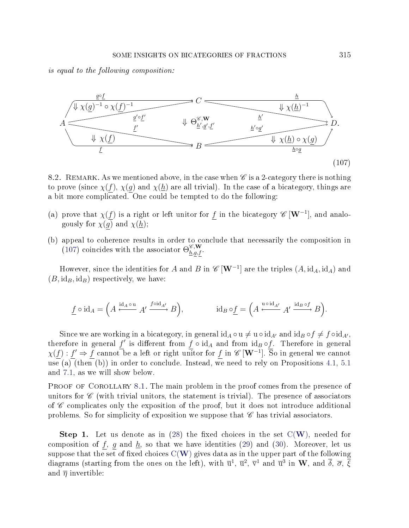<span id="page-58-0"></span>is equal to the following composition:



8.2. REMARK. As we mentioned above, in the case when  $\mathscr C$  is a 2-category there is nothing to prove (since  $\chi(f)$ ,  $\chi(g)$  and  $\chi(h)$  are all trivial). In the case of a bicategory, things are a bit more complicated. One could be tempted to do the following:

- (a) prove that  $\chi(f)$  is a right or left unitor for f in the bicategory  $\mathscr{C}[\mathbf{W}^{-1}]$ , and analogously for  $\chi(g)$  and  $\chi(\underline{h})$ ;
- (b) appeal to coherence results in order to conclude that necessarily the composition in [\(107\)](#page-58-0) coincides with the associator  $\Theta_{h,g,f}^{\mathscr{C},\mathbf{W}}$ .

However, since the identities for  $A$  and  $B$  in  $\mathscr{C}\left[ \mathbf{W}^{-1} \right]$  are the triples  $(A, \text{id}_A, \text{id}_A)$  and  $(B, id_B, id_B)$  respectively, we have:

$$
\underline{f} \circ \mathrm{id}_A = \left( A \xleftarrow{\mathrm{id}_A \circ u} A' \xrightarrow{f \circ \mathrm{id}_{A'}} B \right), \qquad \qquad \mathrm{id}_B \circ \underline{f} = \left( A \xleftarrow{u \circ \mathrm{id}_{A'}} A' \xrightarrow{\mathrm{id}_B \circ f} B \right).
$$

Since we are working in a bicategory, in general  $\mathrm{id}_A \circ u \neq u \circ \mathrm{id}_{A'}$  and  $\mathrm{id}_B \circ f \neq f \circ \mathrm{id}_{A'}$ , therefore in general  $f'$  is different from  $f \circ id_A$  and from  $id_B \circ f$ . Therefore in general  $\chi(f): f' \Rightarrow f$  cannot be a left or right unitor for f in  $\mathscr{C}[\mathbf{W}^{-1}]$ . So in general we cannot use (a) (then (b)) in order to conclude. Instead, we need to rely on Propositions [4.1,](#page-22-0) [5.1](#page-32-1) and [7.1,](#page-47-3) as we will show below.

PROOF OF COROLLARY [8.1.](#page-57-1) The main problem in the proof comes from the presence of unitors for  $\mathscr C$  (with trivial unitors, the statement is trivial). The presence of associators of  $\mathscr C$  complicates only the exposition of the proof, but it does not introduce additional problems. So for simplicity of exposition we suppose that  $\mathscr C$  has trivial associators.

**Step 1.** Let us denote as in  $(28)$  the fixed choices in the set  $C(W)$  $C(W)$  $C(W)$ , needed for composition of f, g and  $\underline{h}$ , so that we have identities [\(29\)](#page-22-4) and [\(30\)](#page-22-5). Moreover, let us suppose that the set of fixed choices  $C(W)$  $C(W)$  $C(W)$  gives data as in the upper part of the following diagrams (starting from the ones on the left), with  $\overline{u}^1$ ,  $\overline{u}^2$ ,  $\overline{v}^1$  and  $\overline{u}^3$  in  $\bf W$ , and  $\overline{\delta}$ ,  $\overline{\sigma}$ ,  $\overline{\xi}$ and  $\overline{\eta}$  invertible: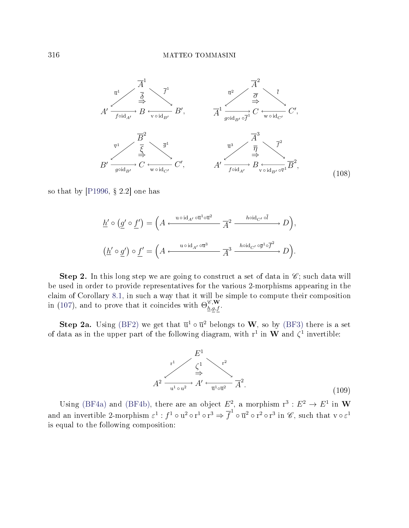

so that by  $[P1996, § 2.2]$  $[P1996, § 2.2]$  one has

<span id="page-59-0"></span>
$$
\underline{h}' \circ (\underline{g}' \circ \underline{f}') = \left( A \xleftarrow{\text{u} \circ \text{id}_{A'} \circ \overline{\text{u}}^1 \circ \overline{\text{u}}^2} \overline{A}^2 \xrightarrow{\text{h} \circ \text{id}_{C'} \circ \overline{l}} D \right),
$$
  

$$
(\underline{h}' \circ \underline{g}') \circ \underline{f}' = \left( A \xleftarrow{\text{u} \circ \text{id}_{A'} \circ \overline{\text{u}}^3} \overline{A}^3 \xrightarrow{\text{h} \circ \text{id}_{C'} \circ \overline{g}^1 \circ \overline{f}^2} D \right).
$$

Step 2. In this long step we are going to construct a set of data in  $\mathscr{C}$ ; such data will be used in order to provide representatives for the various 2-morphisms appearing in the claim of Corollary [8.1,](#page-57-1) in such a way that it will be simple to compute their composition in [\(107\)](#page-58-0), and to prove that it coincides with  $\Theta_{h,g,f}^{\mathscr{C},\mathbf{W}}$ .

<span id="page-59-1"></span>**Step 2a.** Using [\(BF2\)](#page-0-0) we get that  $\overline{u}^1 \circ \overline{u}^2$  belongs to W, so by [\(BF3\)](#page-1-1) there is a set of data as in the upper part of the following diagram, with  $r^1$  in W and  $\zeta^1$  invertible:



Using [\(BF4a\)](#page-1-3) and [\(BF4b\)](#page-1-4), there are an object  $E^2$ , a morphism  $r^3 : E^2 \to E^1$  in W and an invertible 2-morphism  $\varepsilon^1$  :  $f^1\circ {\bf u}^2\circ {\bf r}^1\circ {\bf r}^3\Rightarrow \overline{f}^1\circ \overline{{\bf u}}^2\circ {\bf r}^2\circ {\bf r}^3$  in  $\mathscr{C},$  such that  ${\bf v}\circ \varepsilon^1$ is equal to the following composition: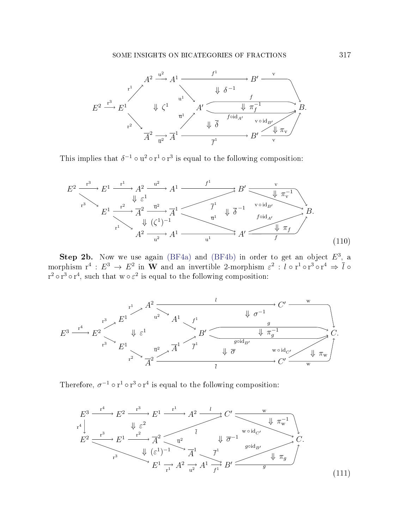

<span id="page-60-0"></span>This implies that  $\delta^{-1} \circ u^2 \circ r^1 \circ r^3$  is equal to the following composition:

$$
E^{2} \xrightarrow{r^{3}} E^{1} \xrightarrow{r^{1}} A^{2} \xrightarrow{u^{2}} A^{1} \xrightarrow{f^{1}} B' \xrightarrow{\psi} \pi_{v}^{-1}
$$
\n
$$
E^{1} \xrightarrow{r^{2}} \pi^{2} \xrightarrow{\overrightarrow{u^{2}}} \pi^{1} \xrightarrow{\overrightarrow{f^{1}}} \psi \overrightarrow{\delta}^{-1} \xrightarrow{v \circ id_{B'}} B.
$$
\n
$$
E^{1} \xrightarrow{r^{2}} \pi^{2} \xrightarrow{u^{2}} \pi^{1} \xrightarrow{u^{1}} \psi \overrightarrow{\delta}^{-1} \xrightarrow{v \circ id_{A'}} B.
$$
\n
$$
A^{2} \xrightarrow{u^{2}} A^{1} \xrightarrow{u^{1}} A' \xrightarrow{f} (110)
$$

Step 2b. Now we use again [\(BF4a\)](#page-1-3) and [\(BF4b\)](#page-1-4) in order to get an object  $E^3$ , a morphism  $\mathrm{r}^4\,:\,E^3\,\to\, E^2$  in  $\mathbf W$  and an invertible 2-morphism  $\varepsilon^2\,:\,l$   $\circ$  r $^1$   $\circ$  r $^3$   $\circ$  r $^4\,\Rightarrow\,\overline{l}$   $\circ$  $r^2 \circ r^3 \circ r^4$ , such that  $w \circ \varepsilon^2$  is equal to the following composition:



<span id="page-60-1"></span>Therefore,  $\sigma^{-1} \circ r^1 \circ r^3 \circ r^4$  is equal to the following composition:

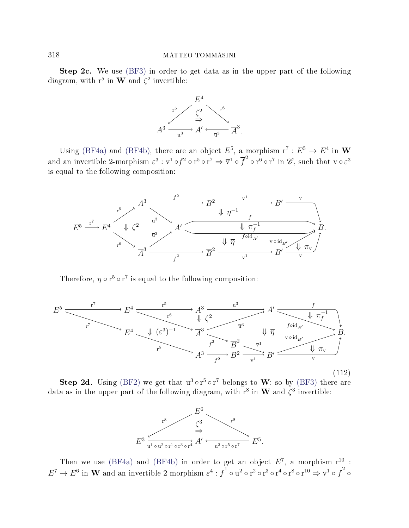Step 2c. We use [\(BF3\)](#page-1-1) in order to get data as in the upper part of the following diagram, with  $r^5$  in W and  $\zeta^2$  invertible:



Using [\(BF4a\)](#page-1-3) and [\(BF4b\)](#page-1-4), there are an object  $E^5$ , a morphism  $r^7 : E^5 \to E^4$  in W and an invertible 2-morphism  $\varepsilon^3$  :  $v^1\circ f^2\circ r^5\circ r^7\Rightarrow\overline{v}^1\circ\overline{f}^2\circ r^6\circ r^7$  in  $\mathscr{C},$  such that  $v\circ\varepsilon^3$ is equal to the following composition:



<span id="page-61-0"></span>Therefore,  $\eta \circ r^5 \circ r^7$  is equal to the following composition:



(112)

**Step 2d.** Using [\(BF2\)](#page-0-0) we get that  $u^3 \circ r^5 \circ r^7$  belongs to **W**; so by [\(BF3\)](#page-1-1) there are data as in the upper part of the following diagram, with  $r^8$  in  $W$  and  $\zeta^3$  invertible:



Then we use [\(BF4a\)](#page-1-3) and [\(BF4b\)](#page-1-4) in order to get an object  $E^7$ , a morphism  $r^{10}$ :  $E^7\to E^6$  in  ${\bf W}$  and an invertible 2-morphism  $\varepsilon^4$  :  $\overline{f}^1\circ \overline{{\bf u}}^2\circ {\bf r}^2\circ {\bf r}^3\circ {\bf r}^4\circ {\bf r}^8\circ {\bf r}^{10} \Rightarrow \overline{{\bf v}}^1\circ \overline{f}^2\circ$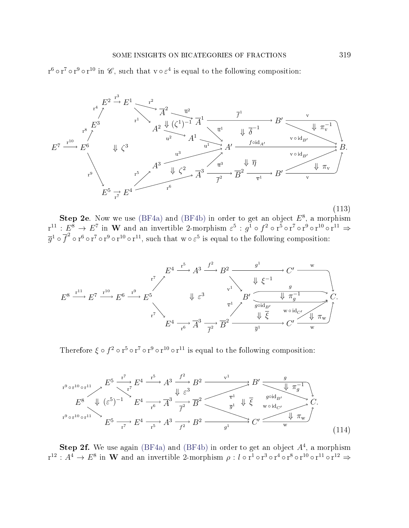<span id="page-62-0"></span> $r^6 \circ r^7 \circ r^9 \circ r^{10}$  in  $\mathscr{C}$ , such that  $v \circ \varepsilon^4$  is equal to the following composition:



Step 2e. Now we use [\(BF4a\)](#page-1-3) and [\(BF4b\)](#page-1-4) in order to get an object  $E^8$ , a morphism  ${\rm r}^{11}:E^8\to E^7$  in  $\bf W$  and an invertible 2-morphism  $\varepsilon^5:g^1\circ f^2\circ {\rm r}^5\circ {\rm r}^7\circ {\rm r}^9\circ {\rm r}^{10}\circ {\rm r}^{11}\Rightarrow$  $\overline{g}^1\circ \overline{f}^2 \circ \overline{r}^6 \circ \overline{r}^7 \circ \overline{r}^9 \circ \overline{r}^{10} \circ \overline{r}^{11},$  such that  $w \circ \varepsilon^5$  is equal to the following composition:



<span id="page-62-1"></span>Therefore  $\xi \circ f^2 \circ r^5 \circ r^7 \circ r^9 \circ r^{10} \circ r^{11}$  is equal to the following composition:

$$
E^{9 \text{ of } 10 \text{ of } 11} \longrightarrow E^{5} \xrightarrow{r^{7}} E^{4} \xrightarrow{r^{5}} A^{3} \xrightarrow{f^{2}} B^{2} \xrightarrow{v^{1}} B' \xrightarrow{\psi} E^{4} \xrightarrow{g \text{ of } 10 \text{ of } 11} E^{5} \xrightarrow{r^{7}} E^{4} \xrightarrow{r^{6}} A^{3} \xrightarrow{f^{2}} \overline{B}^{2} \xrightarrow{\overline{g}^{1}} \psi \overline{\xi} \xrightarrow{g \text{ of } 10 \text{ of } 11} C' \xrightarrow{\psi \text{ of } 10 \text{ of } 11} C'
$$
\n
$$
E^{5} \xrightarrow{r^{7}} E^{4} \xrightarrow{r^{5}} A^{3} \xrightarrow{f^{2}} B^{2} \xrightarrow{g^{1}} C' \xrightarrow{\psi \text{ of } 114} C'
$$
\n(114)

Step 2f. We use again [\(BF4a\)](#page-1-3) and [\(BF4b\)](#page-1-4) in order to get an object  $A<sup>4</sup>$ , a morphism  ${\rm r}^{12}: A^4\to E^8$  in  ${\rm\bf W}$  and an invertible 2-morphism  $\rho: l\circ {\rm r}^1\circ {\rm r}^3\circ {\rm r}^4\circ {\rm r}^8\circ {\rm r}^{10}\circ {\rm r}^{11}\circ {\rm r}^{12}\Rightarrow$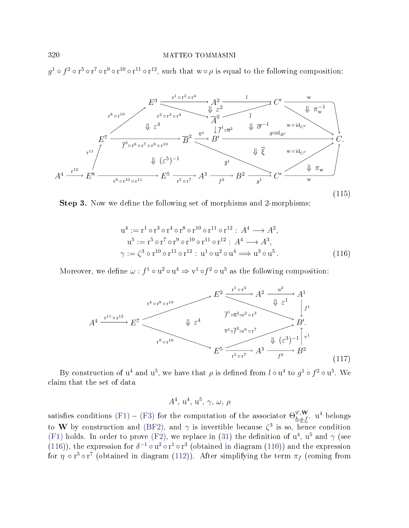<span id="page-63-2"></span> $g^1 \circ f^2 \circ r^5 \circ r^7 \circ r^9 \circ r^{10} \circ r^{11} \circ r^{12}$ , such that  $w \circ \rho$  is equal to the following composition:



Step 3. Now we define the following set of morphisms and 2-morphisms:

<span id="page-63-0"></span>
$$
u^{4} := r^{1} \circ r^{3} \circ r^{4} \circ r^{8} \circ r^{10} \circ r^{11} \circ r^{12} : A^{4} \longrightarrow A^{2},
$$
  
\n
$$
u^{5} := r^{5} \circ r^{7} \circ r^{9} \circ r^{10} \circ r^{11} \circ r^{12} : A^{4} \longrightarrow A^{3},
$$
  
\n
$$
\gamma := \zeta^{3} \circ r^{10} \circ r^{11} \circ r^{12} : u^{1} \circ u^{2} \circ u^{4} \Longrightarrow u^{3} \circ u^{5}.
$$
\n(116)

<span id="page-63-1"></span>Moreover, we define  $\omega : f^1 \circ u^2 \circ u^4 \Rightarrow v^1 \circ f^2 \circ u^5$  as the following composition:

$$
A^{4} \xrightarrow{r^{1} \circ r^{8} \circ r^{10}} E^{7} \longrightarrow E^{7} \longrightarrow \mathbb{Z} \longrightarrow \mathbb{Z} \longrightarrow \mathbb{Z} \longrightarrow \mathbb{Z} \longrightarrow \mathbb{Z} \longrightarrow \mathbb{Z} \longrightarrow \mathbb{Z} \longrightarrow \mathbb{Z} \longrightarrow \mathbb{Z} \longrightarrow \mathbb{Z} \longrightarrow \mathbb{Z} \longrightarrow \mathbb{Z} \longrightarrow \mathbb{Z} \longrightarrow \mathbb{Z} \longrightarrow \mathbb{Z} \longrightarrow \mathbb{Z} \longrightarrow \mathbb{Z} \longrightarrow \mathbb{Z} \longrightarrow \mathbb{Z} \longrightarrow \mathbb{Z} \longrightarrow \mathbb{Z} \longrightarrow \mathbb{Z} \longrightarrow \mathbb{Z} \longrightarrow \mathbb{Z} \longrightarrow \mathbb{Z} \longrightarrow \mathbb{Z} \longrightarrow \mathbb{Z} \longrightarrow \mathbb{Z} \longrightarrow \mathbb{Z} \longrightarrow \mathbb{Z} \longrightarrow \mathbb{Z} \longrightarrow \mathbb{Z} \longrightarrow \mathbb{Z} \longrightarrow \mathbb{Z} \longrightarrow \mathbb{Z} \longrightarrow \mathbb{Z} \longrightarrow \mathbb{Z} \longrightarrow \mathbb{Z} \longrightarrow \mathbb{Z} \longrightarrow \mathbb{Z} \longrightarrow \mathbb{Z} \longrightarrow \mathbb{Z} \longrightarrow \mathbb{Z} \longrightarrow \mathbb{Z} \longrightarrow \mathbb{Z} \longrightarrow \mathbb{Z} \longrightarrow \mathbb{Z} \longrightarrow \mathbb{Z} \longrightarrow \mathbb{Z} \longrightarrow \mathbb{Z} \longrightarrow \mathbb{Z} \longrightarrow \mathbb{Z} \longrightarrow \mathbb{Z} \longrightarrow \mathbb{Z} \longrightarrow \mathbb{Z} \longrightarrow \mathbb{Z} \longrightarrow \mathbb{Z} \longrightarrow \mathbb{Z} \longrightarrow \mathbb{Z} \longrightarrow \mathbb{Z} \longrightarrow \mathbb{Z} \longrightarrow \mathbb{Z} \longrightarrow \mathbb{Z} \longrightarrow \mathbb{Z} \longrightarrow \mathbb{Z} \longrightarrow \mathbb{Z} \longrightarrow \mathbb{Z} \longrightarrow \mathbb{Z} \longrightarrow \mathbb{Z} \longrightarrow \mathbb{Z} \longrightarrow \mathbb{Z} \longrightarrow \mathbb{Z} \longrightarrow \mathbb{Z} \longrightarrow \mathbb{Z} \longrightarrow \mathbb{Z} \longrightarrow \mathbb{Z} \longrightarrow \mathbb{Z} \longrightarrow \mathbb{Z} \longrightarrow \mathbb{Z} \longrightarrow \mathbb{Z} \longrightarrow \mathbb{Z} \longrightarrow \mathbb{Z} \longrightarrow \mathbb{Z} \longrightarrow \mathbb{Z} \longrightarrow \mathbb{Z} \longrightarrow \mathbb{Z} \longrightarrow \mathbb{Z} \longrightarrow \mathbb{Z} \longrightarrow \mathbb{Z} \longrightarrow \mathbb{Z} \longrightarrow \math
$$

By construction of  $u^4$  and  $u^5$ , we have that  $\rho$  is defined from  $l \circ u^4$  to  $g^1 \circ f^2 \circ u^5$ . We claim that the set of data

 $A^4$ ,  $u^4$ ,  $u^5$ ,  $\gamma$ ,  $\omega$ ,  $\rho$ 

satisfies conditions [\(F1\)](#page-22-1) – [\(F3\)](#page-23-0) for the computation of the associator  $\Theta_{h,g,f}^{\mathscr{C},\mathbf{W}}$ . u<sup>4</sup> belongs to W by construction and [\(BF2\)](#page-0-0), and  $\gamma$  is invertible because  $\zeta^3$  is so, hence condition [\(F1\)](#page-22-1) holds. In order to prove [\(F2\)](#page-22-6), we replace in [\(31\)](#page-23-1) the definition of  $u^4$ ,  $u^5$  and  $\gamma$  (see [\(116\)](#page-63-0)), the expression for  $\delta^{-1} \circ u^2 \circ r^1 \circ r^3$  (obtained in diagram [\(110\)](#page-60-0)) and the expression for  $\eta \circ r^5 \circ r^7$  (obtained in diagram [\(112\)](#page-61-0)). After simplifying the term  $\pi_f$  (coming from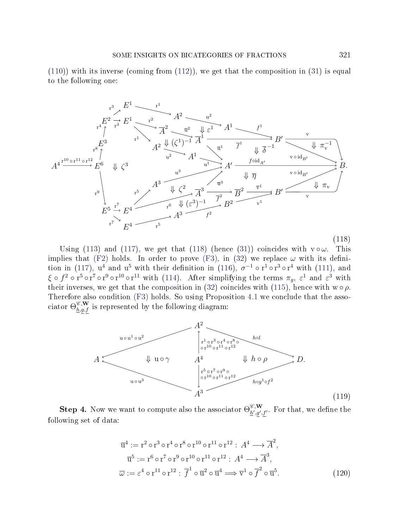$(110)$ ) with its inverse (coming from  $(112)$ ), we get that the composition in  $(31)$  is equal to the following one:

<span id="page-64-0"></span>

Using [\(113\)](#page-62-0) and [\(117\)](#page-63-1), we get that [\(118\)](#page-64-0) (hence [\(31\)](#page-23-1)) coincides with  $v \circ \omega$ . This implies that [\(F2\)](#page-22-6) holds. In order to prove [\(F3\)](#page-23-0), in [\(32\)](#page-23-2) we replace  $\omega$  with its defini-tion in [\(117\)](#page-63-1),  $u^4$  and  $u^5$  with their definition in [\(116\)](#page-63-0),  $\sigma^{-1} \circ r^1 \circ r^3 \circ r^4$  with [\(111\)](#page-60-1), and  $\xi \circ f^2 \circ r^5 \circ r^7 \circ r^9 \circ r^{10} \circ r^{11}$  with [\(114\)](#page-62-1). After simplifying the terms  $\pi_g$ ,  $\varepsilon^1$  and  $\varepsilon^3$  with their inverses, we get that the composition in [\(32\)](#page-23-2) coincides with [\(115\)](#page-63-2), hence with  $w \circ \rho$ . Therefore also condition [\(F3\)](#page-23-0) holds. So using Proposition [4.1](#page-22-0) we conclude that the associator  $\Theta_{h,g,f}^{\mathscr{C},\mathbf{W}}$  is represented by the following diagram:

<span id="page-64-2"></span>

**Step 4.** Now we want to compute also the associator  $\Theta_{h',h'}^{\mathscr{C},\mathbf{W}}$  $_{h',g',f'}^{\epsilon,w}$ . For that, we define the following set of data:

<span id="page-64-1"></span>
$$
\overline{u}^4 := r^2 \circ r^3 \circ r^4 \circ r^8 \circ r^{10} \circ r^{11} \circ r^{12} : A^4 \longrightarrow \overline{A}^2,
$$
  
\n
$$
\overline{u}^5 := r^6 \circ r^7 \circ r^9 \circ r^{10} \circ r^{11} \circ r^{12} : A^4 \longrightarrow \overline{A}^3,
$$
  
\n
$$
\overline{\omega} := \varepsilon^4 \circ r^{11} \circ r^{12} : \overline{f}^1 \circ \overline{u}^2 \circ \overline{u}^4 \Longrightarrow \overline{v}^1 \circ \overline{f}^2 \circ \overline{u}^5.
$$
\n(120)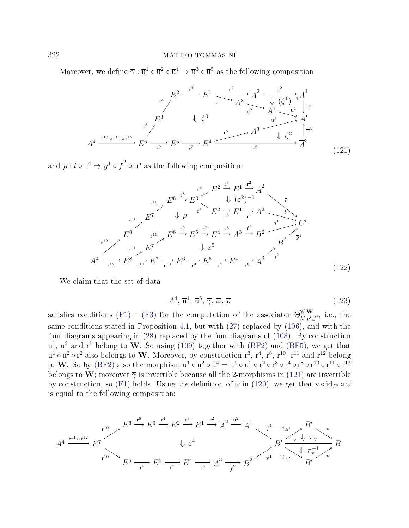<span id="page-65-0"></span>Moreover, we define  $\overline{\gamma} : \overline{u}^1 \circ \overline{u}^2 \circ \overline{u}^4 \Rightarrow \overline{u}^3 \circ \overline{u}^5$  as the following composition

$$
A^{4} \xrightarrow{r^{10} \circ r^{11} \circ r^{12}} E^{6} \xrightarrow{r^{9}} E^{5} \xrightarrow{r^{7}} E^{4} \xrightarrow{r^{5}} A^{3} \xrightarrow{d^{3}} A^{3} \xrightarrow{d^{2}} A^{1} \xrightarrow{u^{1}} \downarrow \overline{u^{1}}
$$
\n
$$
A^{4} \xrightarrow{r^{10} \circ r^{11} \circ r^{12}} E^{6} \xrightarrow{r^{9}} E^{5} \xrightarrow{r^{7}} E^{4} \xrightarrow{r^{5}} A^{3} \xrightarrow{d^{3}} \downarrow \zeta^{2} \uparrow \overline{u^{3}}
$$
\n
$$
A^{3} \xrightarrow{u^{3}} \zeta^{2} \uparrow \overline{u^{3}}
$$
\n
$$
A^{4} \xrightarrow{r^{10} \circ r^{11} \circ r^{12}} E^{6} \xrightarrow{r^{9}} E^{5} \xrightarrow{r^{7}} E^{4} \xrightarrow{r^{6}} A^{3} \qquad (121)
$$

<span id="page-65-2"></span>and  $\overline{\rho}$  :  $\overline{l} \circ \overline{u}^4 \Rightarrow \overline{g}^1 \circ \overline{f}^2 \circ \overline{u}^5$  as the following composition:

$$
E^{6} \xrightarrow{r^{4}} E^{2} \xrightarrow{F^{3}} E^{1} \xrightarrow{F^{2}} \overline{A}^{2}
$$
\n
$$
E^{7} \qquad \psi \qquad \rho \qquad r^{4} \qquad E^{2} \xrightarrow{r^{3}} E^{1} \xrightarrow{r^{2}} A^{2} \qquad \overline{\psi}
$$
\n
$$
E^{7} \qquad \psi \qquad \rho \qquad r^{4} \qquad E^{2} \xrightarrow{r^{3}} E^{1} \xrightarrow{r^{2}} A^{2} \qquad \overline{\psi}
$$
\n
$$
E^{8} \qquad r^{10} \qquad E^{6} \xrightarrow{r^{9}} E^{5} \xrightarrow{r^{7}} E^{4} \xrightarrow{r^{5}} A^{3} \xrightarrow{f^{2}} B^{2} \qquad \overline{B}^{2} \qquad \overline{g}^{1}
$$
\n
$$
A^{4} \xrightarrow{r^{12}} E^{8} \xrightarrow{r^{11}} E^{7} \qquad \overline{\psi}^{6} \xrightarrow{r^{9}} E^{5} \xrightarrow{r^{7}} E^{4} \xrightarrow{r^{6}} \overline{A}^{3} \qquad \overline{f}^{2}
$$
\n
$$
A^{4} \xrightarrow{r^{12}} E^{8} \xrightarrow{r^{11}} E^{7} \xrightarrow{r^{10}} E^{6} \xrightarrow{r^{9}} E^{5} \xrightarrow{r^{7}} E^{4} \xrightarrow{r^{6}} \overline{A}^{3} \qquad \overline{f}^{2}
$$
\n
$$
(122)
$$

<span id="page-65-1"></span>We claim that the set of data

$$
A^4, \overline{\mathbf{u}}^4, \overline{\mathbf{u}}^5, \overline{\gamma}, \overline{\omega}, \overline{\rho} \tag{123}
$$

satisfies conditions [\(F1\)](#page-22-1) – [\(F3\)](#page-23-0) for the computation of the associator  $\Theta_{h',\sigma'}^{\mathscr{E},\mathbf{W}}$  $_{\underline{h}',g',f'}^{\scriptscriptstyle\mathscr{C}},{\rm \,\, i.e.,\,\, the}$ same conditions stated in Proposition [4.1,](#page-22-0) but with [\(27\)](#page-22-2) replaced by [\(106\)](#page-57-0), and with the four diagrams appearing in [\(28\)](#page-22-3) replaced by the four diagrams of [\(108\)](#page-59-0). By construction  $u^1$ ,  $u^2$  and  $r^1$  belong to W. So using [\(109\)](#page-59-1) together with [\(BF2\)](#page-0-0) and [\(BF5\)](#page-1-0), we get that  $\overline{u}^1 \circ \overline{u}^2 \circ r^2$  also belongs to W. Moreover, by construction  $r^3$ ,  $r^4$ ,  $r^8$ ,  $r^{10}$ ,  $r^{11}$  and  $r^{12}$  belong to  ${\bf W}$ . So by [\(BF2\)](#page-0-0) also the morphism  $\overline{u}^1\circ\overline{u}^2\circ\overline{u}^4=\overline{u}^1\circ\overline{u}^2\circ r^2\circ r^3\circ r^4\circ r^8\circ r^{10}\circ r^{11}\circ r^{12}$ belongs to W; moreover  $\overline{\gamma}$  is invertible because all the 2-morphisms in [\(121\)](#page-65-0) are invertible by construction, so [\(F1\)](#page-22-1) holds. Using the definition of  $\overline{\omega}$  in [\(120\)](#page-64-1), we get that  $v \circ id_{B'} \circ \overline{\omega}$ is equal to the following composition:

$$
A^4 \xrightarrow{\mathbf{r}^{10} \circ \mathbf{r}^{12}} E^7
$$
\n
$$
B^6 \xrightarrow{\mathbf{r}^8} E^3 \xrightarrow{\mathbf{r}^4} E^2 \xrightarrow{\mathbf{r}^3} E^1 \xrightarrow{\mathbf{r}^2} \overrightarrow{A}^2 \xrightarrow{\overrightarrow{\mathbf{u}}^2} \overrightarrow{A}^1
$$
\n
$$
\downarrow \varepsilon^4
$$
\n
$$
B' \xrightarrow{\mathbf{v}^1} \overrightarrow{\mathbf{w}} \xrightarrow{\mathbf{r}^1} B
$$
\n
$$
B' \xrightarrow{\mathbf{v}^1} \overrightarrow{\mathbf{w}} \xrightarrow{\mathbf{r}^2} B
$$
\n
$$
B' \xrightarrow{\mathbf{v}^1} \overrightarrow{\mathbf{w}} \xrightarrow{\mathbf{r}^1} B
$$
\n
$$
B' \xrightarrow{\mathbf{v}^1} \overrightarrow{\mathbf{w}} \xrightarrow{\mathbf{r}^1} B
$$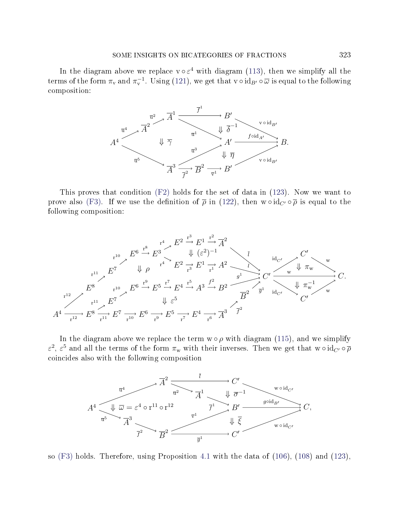### SOME INSIGHTS ON BICATEGORIES OF FRACTIONS 323

In the diagram above we replace  $v \circ \varepsilon^4$  with diagram [\(113\)](#page-62-0), then we simplify all the terms of the form  $\pi_v$  and  $\pi_v^{-1}$ . Using [\(121\)](#page-65-0), we get that  $v \circ id_{B'} \circ \overline{\omega}$  is equal to the following composition:



This proves that condition [\(F2\)](#page-22-6) holds for the set of data in [\(123\)](#page-65-1). Now we want to prove also [\(F3\)](#page-23-0). If we use the definition of  $\bar{\rho}$  in [\(122\)](#page-65-2), then w  $\circ$  id<sub>C'</sub>  $\circ$   $\bar{\rho}$  is equal to the following composition:

$$
E^{6} \xrightarrow{r^{4}} E^{2} \xrightarrow{F^{3}} E^{1} \xrightarrow{F^{2}} \overline{A}^{2}
$$
\n
$$
E^{7} \xrightarrow{F^{0}} \overline{B}^{4} \xrightarrow{F^{2}} E^{2} \xrightarrow{r^{3}} E^{1} \xrightarrow{r^{2}} A^{2} \xrightarrow{I} \overline{C'}
$$
\n
$$
E^{8} \xrightarrow{r^{10}} E^{6} \xrightarrow{r^{9}} E^{5} \xrightarrow{r^{7}} E^{4} \xrightarrow{r^{5}} A^{3} \xrightarrow{f^{2}} B^{2} \xrightarrow{g^{1}} C' \xrightarrow{w} \overline{W} \overline{W}^{1}
$$
\n
$$
A^{4} \xrightarrow{r^{12}} E^{8} \xrightarrow{r^{11}} E^{7} \xrightarrow{V} E^{6} \xrightarrow{r^{9}} E^{5} \xrightarrow{r^{7}} E^{4} \xrightarrow{r^{5}} A^{3} \xrightarrow{f^{2}} \overline{B}^{2} \xrightarrow{g^{1}} \overline{M}_{C'}^{1} \xrightarrow{W} \overline{W}^{1} \xrightarrow{W} C'
$$
\n
$$
A^{4} \xrightarrow{r^{12}} E^{8} \xrightarrow{r^{11}} E^{7} \xrightarrow{r^{10}} E^{6} \xrightarrow{r^{9}} E^{5} \xrightarrow{r^{7}} E^{4} \xrightarrow{r^{6}} \overline{A}^{3} \xrightarrow{f^{2}}
$$

In the diagram above we replace the term  $w \circ \rho$  with diagram [\(115\)](#page-63-2), and we simplify  $\varepsilon^2$ ,  $\varepsilon^5$  and all the terms of the form  $\pi_w$  with their inverses. Then we get that  $w \circ id_{C'} \circ \overline{\rho}$ coincides also with the following composition



so [\(F3\)](#page-23-0) holds. Therefore, using Proposition [4.1](#page-22-0) with the data of [\(106\)](#page-57-0), [\(108\)](#page-59-0) and [\(123\)](#page-65-1),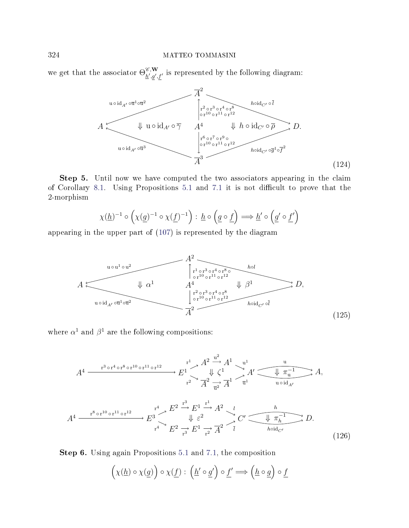<span id="page-67-1"></span>we get that the associator  $\Theta_{h',h'}^{\mathscr{C},\mathbf{W}}$  $\sum_{h',g',f'}^{\epsilon,\mathbf{w}}$  is represented by the following diagram:



Step 5. Until now we have computed the two associators appearing in the claim of Corollary [8.1.](#page-57-1) Using Propositions [5.1](#page-32-1) and [7.1](#page-47-3) it is not difficult to prove that the 2-morphism

$$
\chi(\underline{h})^{-1} \circ \left(\chi(\underline{g})^{-1} \circ \chi(\underline{f})^{-1}\right) : \underline{h} \circ \left(\underline{g} \circ \underline{f}\right) \Longrightarrow \underline{h}' \circ \left(\underline{g}' \circ \underline{f}'\right)
$$

<span id="page-67-0"></span>appearing in the upper part of [\(107\)](#page-58-0) is represented by the diagram



where  $\alpha^1$  and  $\beta^1$  are the following compositions:

$$
A^{4} \xrightarrow{\mathrm{r}^{3} \circ \mathrm{r}^{4} \circ \mathrm{r}^{8} \circ \mathrm{r}^{10} \circ \mathrm{r}^{11} \circ \mathrm{r}^{12}} E^{1} \xrightarrow{\mathrm{r}^{1}} A^{2} \xrightarrow{\mathrm{u}^{2}} A^{1} \xrightarrow{\mathrm{u}^{1}} A' \xrightarrow{\mathrm{u}^{1}} A,
$$
\n
$$
\mathrm{r}^{2} \xrightarrow{\mathrm{r}^{2}} A^{2} \xrightarrow{\mathrm{r}^{2}} A^{1} \xrightarrow{\mathrm{u}^{1}} \mathrm{u}^{1} \xrightarrow{\mathrm{u}^{1} \circ \mathrm{u}^{1} \circ \mathrm{u}^{1}} A,
$$
\n
$$
A^{4} \xrightarrow{\mathrm{r}^{8} \circ \mathrm{r}^{10} \circ \mathrm{r}^{11} \circ \mathrm{r}^{12}} E^{3} \xrightarrow{\mathrm{r}^{4}} E^{2} \xrightarrow{\mathrm{u}^{3}} E^{1} \xrightarrow{\mathrm{r}^{2}} A^{2} \xrightarrow{\mathrm{u}^{2}} C' \xrightarrow{\mathrm{u}^{2}} \frac{h}{\pi_{h}^{-1}} D.
$$
\n
$$
\mathrm{r}^{4} \xrightarrow{\mathrm{r}^{2}} E^{2} \xrightarrow{\mathrm{r}^{3}} E^{1} \xrightarrow{\mathrm{r}^{2}} \overline{A}^{2} \xrightarrow{\mathrm{r}^{1}} \mathrm{h}^{\mathrm{oid}} C'.
$$
\n
$$
(126)
$$

Step 6. Using again Propositions [5.1](#page-32-1) and [7.1,](#page-47-3) the composition

<span id="page-67-2"></span> $\left(\chi(h) \circ \chi(g)\right) \circ \chi(f) : \left(h' \circ g'\right) \circ f' \Longrightarrow \left(h \circ g\right) \circ f$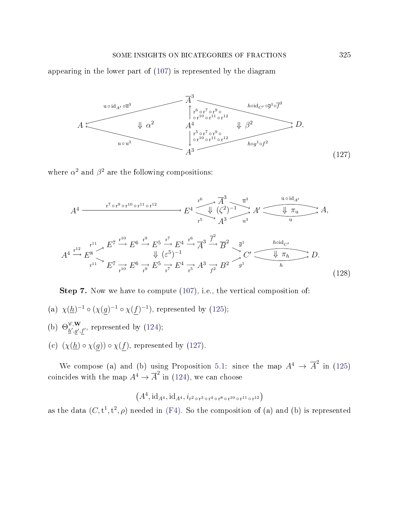### SOME INSIGHTS ON BICATEGORIES OF FRACTIONS 325

<span id="page-68-0"></span>appearing in the lower part of [\(107\)](#page-58-0) is represented by the diagram



where  $\alpha^2$  and  $\beta^2$  are the following compositions:

$$
A^{4} \xrightarrow{\mathrm{r}^{7} \circ \mathrm{r}^{9} \circ \mathrm{r}^{10} \circ \mathrm{r}^{11} \circ \mathrm{r}^{12}} E^{4} \xrightarrow{\sqrt{\frac{R^{3}}{4^{3}}} \times \frac{\overline{u}^{3}}{4^{3}}} A^{7} \xrightarrow{\sqrt{\frac{10}{4}} \pi_{\mathrm{u}}} A,
$$
  
\n
$$
A^{4} \xrightarrow{\mathrm{r}^{12}} E^{7} \xrightarrow{\mathrm{r}^{10}} E^{6} \xrightarrow{\mathrm{r}^{9}} E^{5} \xrightarrow{\mathrm{r}^{7}} E^{4} \xrightarrow{\mathrm{r}^{6}} \overline{A}^{3} \xrightarrow{\overline{f}^{2}} \overline{B}^{2} \xrightarrow{\overline{g}^{1}} \overline{B}^{1} \xrightarrow{\hbar \text{oid}_{C'}} A,
$$
  
\n
$$
A^{4} \xrightarrow{\mathrm{r}^{12}} E^{8} \xrightarrow{\mathrm{r}^{10}} E^{6} \xrightarrow{\mathrm{r}^{9}} E^{5} \xrightarrow{\mathrm{r}^{7}} E^{4} \xrightarrow{\mathrm{r}^{5}} A^{3} \xrightarrow{\overline{f}^{2}} \overline{B}^{2} \xrightarrow{\overline{g}^{1}} C' \xrightarrow{\hbar \text{biid}_{C'}} A.
$$
  
\n
$$
A^{4} \xrightarrow{\mathrm{r}^{12}} E^{8} \xrightarrow{\mathrm{r}^{10}} E^{6} \xrightarrow{\mathrm{r}^{9}} E^{5} \xrightarrow{\mathrm{r}^{7}} E^{4} \xrightarrow{\mathrm{r}^{5}} A^{3} \xrightarrow{\mathrm{r}^{2}} B^{2} \xrightarrow{\overline{g}^{1}} A^{1} \xrightarrow{\hbar} A.
$$
  
\n(128)

Step 7. Now we have to compute [\(107\)](#page-58-0), i.e., the vertical composition of:

- (a)  $\chi(\underline{h})^{-1} \circ (\chi(g)^{-1} \circ \chi(f)^{-1})$ , represented by [\(125\)](#page-67-0);
- (b)  $\Theta_{b' a'}^{\mathscr{C}, \mathbf{W}}$  $\frac{\partial}{\partial t}, \frac{\partial}{\partial y}, f'$ , represented by [\(124\)](#page-67-1);
- (c)  $(\chi(\underline{h}) \circ \chi(\underline{g})) \circ \chi(\underline{f})$ , represented by [\(127\)](#page-68-0).

We compose (a) and (b) using Proposition [5.1:](#page-32-1) since the map  $A^4 \to \overline{A}^2$  in [\(125\)](#page-67-0) coincides with the map  $A^4 \to \overline{A}^2$  in [\(124\)](#page-67-1), we can choose

$$
(A^4, \mathrm{id}_{A^4}, \mathrm{id}_{A^4}, i_{r^2 \circ r^3 \circ r^4 \circ r^8 \circ r^{10} \circ r^{11} \circ r^{12})
$$

as the data  $(C, t^1, t^2, \rho)$  needed in [\(F4\)](#page-32-3). So the composition of (a) and (b) is represented

<span id="page-68-1"></span>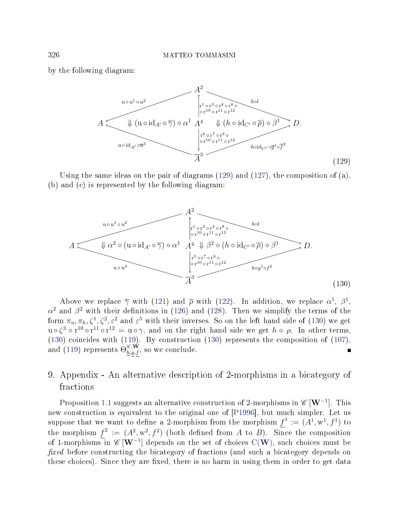<span id="page-69-0"></span>by the following diagram:



Using the same ideas on the pair of diagrams [\(129\)](#page-69-0) and [\(127\)](#page-68-0), the composition of (a), (b) and (c) is represented by the following diagram:

<span id="page-69-1"></span>

Above we replace  $\overline{\gamma}$  with [\(121\)](#page-65-0) and  $\overline{\rho}$  with [\(122\)](#page-65-2). In addition, we replace  $\alpha^1$ ,  $\beta^1$ ,  $\alpha^2$  and  $\beta^2$  with their definitions in [\(126\)](#page-67-2) and [\(128\)](#page-68-1). Then we simplify the terms of the form  $\pi_u, \pi_h, \zeta^1, \zeta^2, \varepsilon^2$  and  $\varepsilon^5$  with their inverses. So on the left hand side of [\(130\)](#page-69-1) we get  $u \circ \zeta^3 \circ r^{10} \circ r^{11} \circ r^{12} = u \circ \gamma$ , and on the right hand side we get  $h \circ \rho$ . In other terms, [\(130\)](#page-69-1) coincides with [\(119\)](#page-64-2). By construction [\(130\)](#page-69-1) represents the composition of [\(107\)](#page-58-0), and  $(119)$  represents  $\Theta_{h,g,f}^{\mathscr C,\mathbf{W}},$  so we conclude.  $\blacksquare$ 

# 9. Appendix - An alternative description of 2-morphisms in a bicategory of fractions

Proposition [1.1](#page-5-0) suggests an alternative construction of 2-morphisms in  $\mathscr{C}\left[\mathbf{W}^{-1}\right]$ . This new construction is equivalent to the original one of [\[P1996\]](#page-71-0), but much simpler. Let us suppose that we want to define a 2-morphism from the morphism  $f^1 := (A^1, w^1, f^1)$  to the morphism  $f^2 := (A^2, w^2, f^2)$  (both defined from A to B). Since the composition of 1-morphisms in  $\mathscr{C}\left[\mathbf{W}^{-1}\right]$  $\mathscr{C}\left[\mathbf{W}^{-1}\right]$  $\mathscr{C}\left[\mathbf{W}^{-1}\right]$  depends on the set of choices  $\mathrm{C}(\mathbf{W}),$  such choices must be fixed before constructing the bicategory of fractions (and such a bicategory depends on these choices). Since they are fixed, there is no harm in using them in order to get data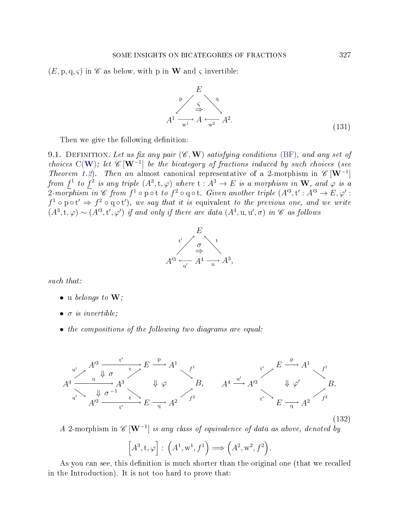$(E, p, q, \varsigma)$  in  $\mathscr C$  as below, with p in **W** and  $\varsigma$  invertible:

$$
E
$$
\n
$$
A^{1} \xrightarrow{F} A \xleftarrow{q} A^{2}.
$$
\n(131)

Then we give the following definition:

<span id="page-70-0"></span>9.1. DEFINITION. Let us fix any pair  $(\mathscr{C}, \mathbf{W})$  satisfying conditions [\(BF\)](#page-0-1), and any set of choices  $C(W)$  $C(W)$  $C(W)$ ; let  $\mathscr{C}[W^{-1}]$  be the bicategory of fractions induced by such choices (see Theorem [1.2\)](#page-7-0). Then an almost canonical representative of a 2-morphism in  $\mathscr{C}[\mathbf{W}^{-1}]$ from  $f^1$  to  $f^2$  is any triple  $(A^3, t, \varphi)$  where  $t : A^3 \to E$  is a morphism in  $W$ , and  $\varphi$  is a  $2\text{-}mo\overline{r}phism\ \bar{i}n\ \mathscr{C}\ \textit{from}\ f^1\circ\text{pot}\ \textit{to}\ f^2\circ\text{q}\circ\text{t}\text{.} \ \textit{Given}\ \textit{another}\ \textit{triple}\ (A'^3,\text{t}':A'^3\rightarrow E,\varphi':A'^3\rightarrow E''\ \text{and}\ \bar{i}''\ \text{or}\ \bar{j}''\ \text{or}\ \bar{j}''\ \text{or}\ \bar{j}''\ \text{or}\ \bar{j}''\ \text{or}\ \bar{j}''\ \text{or}\ \bar{j}''\ \text{or}\ \bar{j}''\ \text{or}\ \bar{j}''\ \text{or$  $f^1 \circ \mathrm{pot}' \Rightarrow f^2 \circ \mathrm{q} \circ t'$ , we say that it is equivalent to the previous one, and we write  $(A^3, t, \varphi) \sim (A^{\prime 3}, t', \varphi')$  if and only if there are data  $(A^4, u, u', \sigma)$  in  $\mathscr C$  as follows



such that:

- $\bullet$  u belongs to  $\mathbf{W}$ ;
- $\bullet$   $\sigma$  is invertible;
- the compositions of the following two diagrams are equal:



A 2-morphism in  $\mathscr{C}[\mathbf{W}^{-1}]$  is any class of equivalence of data as above, denoted by

$$
[A^3, t, \varphi] : (A^1, w^1, f^1) \Longrightarrow (A^2, w^2, f^2).
$$

As you can see, this definition is much shorter than the original one (that we recalled in the Introduction). It is not too hard to prove that: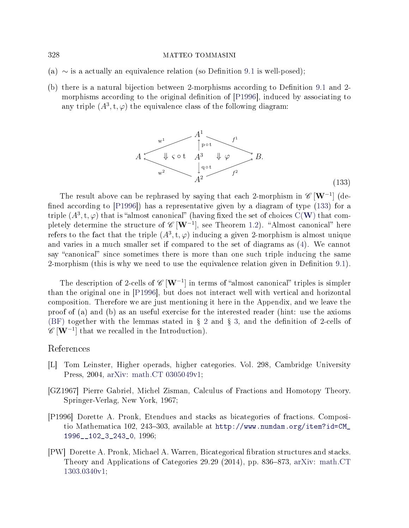- (a)  $\sim$  is a actually an equivalence relation (so Definition [9.1](#page-70-0) is well-posed);
- <span id="page-71-1"></span>(b) there is a natural bijection between 2-morphisms according to Definition [9.1](#page-70-0) and 2-morphisms according to the original definition of [\[P1996\]](#page-71-0), induced by associating to any triple  $(A^3, t, \varphi)$  the equivalence class of the following diagram:



The result above can be rephrased by saying that each 2-morphism in  $\mathscr{C}[\mathbf{W}^{-1}]$  (defined according to  $[P1996]$ ) has a representative given by a diagram of type  $(133)$  for a triple  $(A^3, t, \varphi)$  that is "almost canonical" (having fixed the set of choices C([W](#page-2-0)) that completely determine the structure of  $\mathscr{C}\left[\mathbf{W}^{-1}\right]$ , see Theorem [1.2\)](#page-7-0). "Almost canonical" here refers to the fact that the triple  $(A^3, t, \varphi)$  inducing a given 2-morphism is almost unique and varies in a much smaller set if compared to the set of diagrams as [\(4\)](#page-3-0). We cannot say "canonical" since sometimes there is more than one such triple inducing the same 2-morphism (this is why we need to use the equivalence relation given in Definition [9.1\)](#page-70-0).

The description of 2-cells of  $\mathscr{C}[W^{-1}]$  in terms of "almost canonical" triples is simpler than the original one in [\[P1996\]](#page-71-0), but does not interact well with vertical and horizontal composition. Therefore we are just mentioning it here in the Appendix, and we leave the proof of (a) and (b) as an useful exercise for the interested reader (hint: use the axioms [\(BF\)](#page-0-1) together with the lemmas stated in  $\S 2$  $\S 2$  and  $\S 3$ , and the definition of 2-cells of  $\mathscr{C}\left[\mathbf{W}^{-1}\right]$  that we recalled in the Introduction).

# References

- [L] Tom Leinster, Higher operads, higher categories. Vol. 298, Cambridge University Press, 2004, [arXiv: math.CT 0305049v1;](http://arxiv.org/abs/math/0305049)
- [GZ1967] Pierre Gabriel, Michel Zisman, Calculus of Fractions and Homotopy Theory. Springer-Verlag, New York, 1967;
- <span id="page-71-0"></span>[P1996] Dorette A. Pronk, Etendues and stacks as bicategories of fractions. Compositio Mathematica 102, 243-303, available at [http://www.numdam.org/item?id=CM\\_](http://www.numdam.org/item?id=CM_1996__102_3_243_0) [1996\\_\\_102\\_3\\_243\\_0,](http://www.numdam.org/item?id=CM_1996__102_3_243_0) 1996;
- [PW] Dorette A. Pronk, Michael A. Warren, Bicategorical bration structures and stacks. Theory and Applications of Categories 29.29 (2014), pp. 836–873, [arXiv: math.CT](http://arxiv.org/abs/1303.0340v1) [1303.0340v1;](http://arxiv.org/abs/1303.0340v1)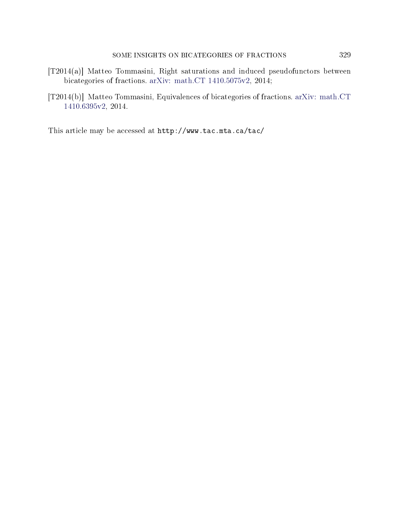- [T2014(a)] Matteo Tommasini, Right saturations and induced pseudofunctors between bicategories of fractions. [arXiv: math.CT 1410.5075v2,](http://arxiv.org/abs/1410.5075v2) 2014;
- [T2014(b)] Matteo Tommasini, Equivalences of bicategories of fractions. [arXiv: math.CT](http://arxiv.org/abs/1410.6395v2) [1410.6395v2,](http://arxiv.org/abs/1410.6395v2) 2014.

This article may be accessed at http://www.tac.mta.ca/tac/